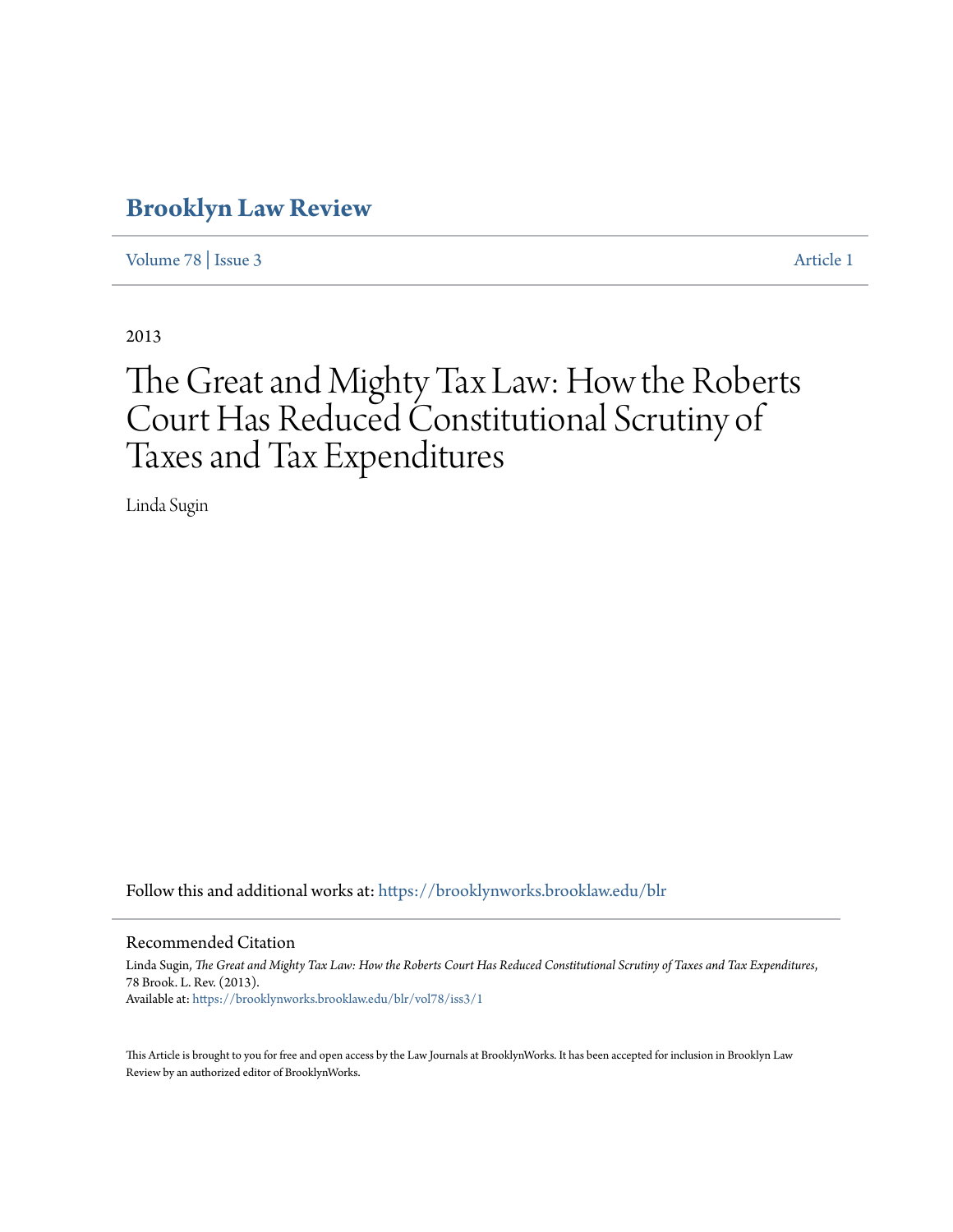# **[Brooklyn Law Review](https://brooklynworks.brooklaw.edu/blr?utm_source=brooklynworks.brooklaw.edu%2Fblr%2Fvol78%2Fiss3%2F1&utm_medium=PDF&utm_campaign=PDFCoverPages)**

[Volume 78](https://brooklynworks.brooklaw.edu/blr/vol78?utm_source=brooklynworks.brooklaw.edu%2Fblr%2Fvol78%2Fiss3%2F1&utm_medium=PDF&utm_campaign=PDFCoverPages) | [Issue 3](https://brooklynworks.brooklaw.edu/blr/vol78/iss3?utm_source=brooklynworks.brooklaw.edu%2Fblr%2Fvol78%2Fiss3%2F1&utm_medium=PDF&utm_campaign=PDFCoverPages) [Article 1](https://brooklynworks.brooklaw.edu/blr/vol78/iss3/1?utm_source=brooklynworks.brooklaw.edu%2Fblr%2Fvol78%2Fiss3%2F1&utm_medium=PDF&utm_campaign=PDFCoverPages)

2013

# The Great and Mighty Tax Law: How the Roberts Court Has Reduced Constitutional Scrutiny of Taxes and Tax Expenditures

Linda Sugin

Follow this and additional works at: [https://brooklynworks.brooklaw.edu/blr](https://brooklynworks.brooklaw.edu/blr?utm_source=brooklynworks.brooklaw.edu%2Fblr%2Fvol78%2Fiss3%2F1&utm_medium=PDF&utm_campaign=PDFCoverPages)

#### Recommended Citation

Linda Sugin, *The Great and Mighty Tax Law: How the Roberts Court Has Reduced Constitutional Scrutiny of Taxes and Tax Expenditures*, 78 Brook. L. Rev. (2013). Available at: [https://brooklynworks.brooklaw.edu/blr/vol78/iss3/1](https://brooklynworks.brooklaw.edu/blr/vol78/iss3/1?utm_source=brooklynworks.brooklaw.edu%2Fblr%2Fvol78%2Fiss3%2F1&utm_medium=PDF&utm_campaign=PDFCoverPages)

This Article is brought to you for free and open access by the Law Journals at BrooklynWorks. It has been accepted for inclusion in Brooklyn Law Review by an authorized editor of BrooklynWorks.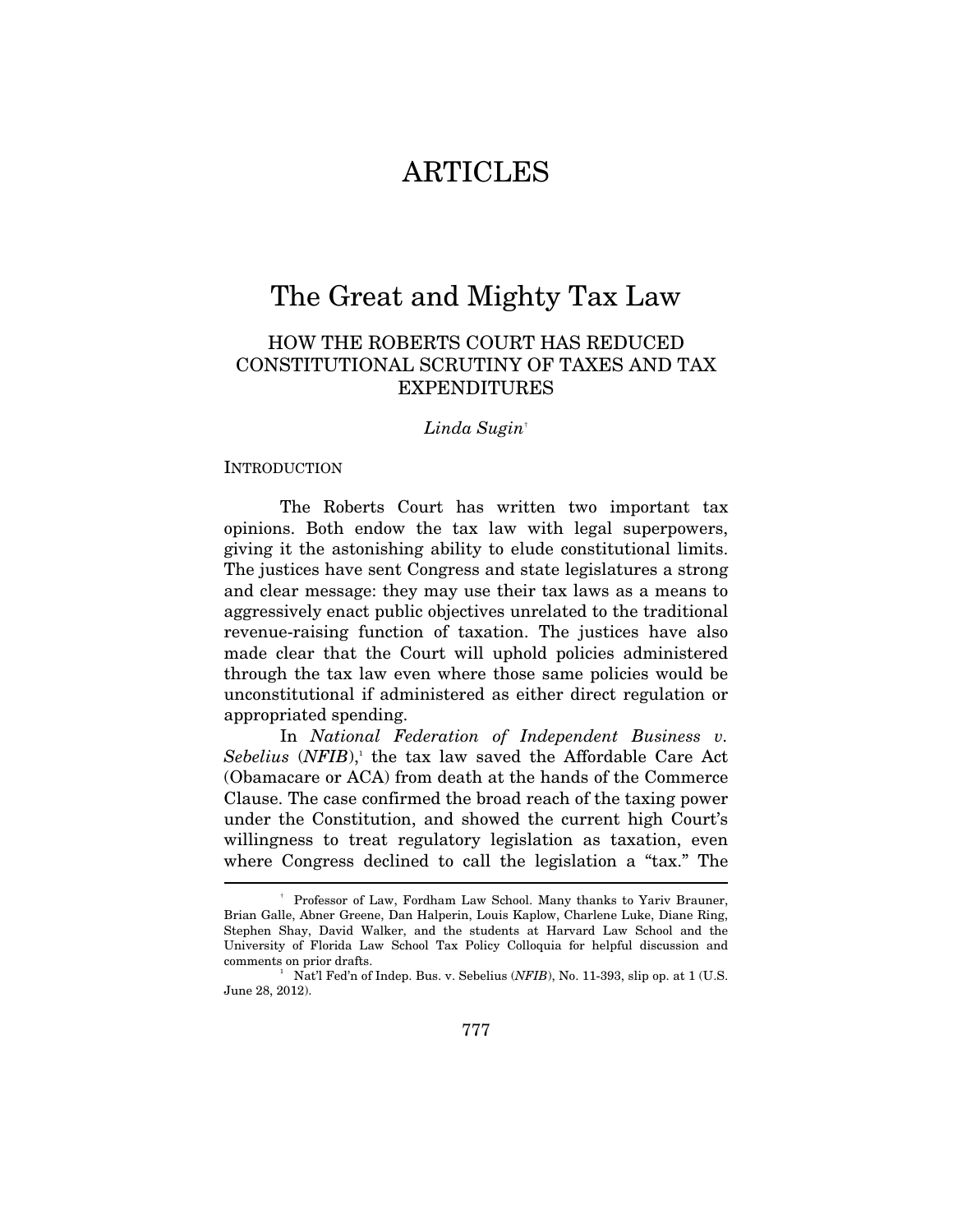# **ARTICLES**

# The Great and Mighty Tax Law

# HOW THE ROBERTS COURT HAS REDUCED CONSTITUTIONAL SCRUTINY OF TAXES AND TAX EXPENDITURES

#### *Linda Sugin*†

#### INTRODUCTION

The Roberts Court has written two important tax opinions. Both endow the tax law with legal superpowers, giving it the astonishing ability to elude constitutional limits. The justices have sent Congress and state legislatures a strong and clear message: they may use their tax laws as a means to aggressively enact public objectives unrelated to the traditional revenue-raising function of taxation. The justices have also made clear that the Court will uphold policies administered through the tax law even where those same policies would be unconstitutional if administered as either direct regulation or appropriated spending.

In *National Federation of Independent Business v.*  Sebelius (NFIB),<sup>1</sup> the tax law saved the Affordable Care Act (Obamacare or ACA) from death at the hands of the Commerce Clause. The case confirmed the broad reach of the taxing power under the Constitution, and showed the current high Court's willingness to treat regulatory legislation as taxation, even where Congress declined to call the legislation a "tax." The  $\overline{\phantom{a}}$ 

<sup>†</sup> Professor of Law, Fordham Law School. Many thanks to Yariv Brauner, Brian Galle, Abner Greene, Dan Halperin, Louis Kaplow, Charlene Luke, Diane Ring, Stephen Shay, David Walker, and the students at Harvard Law School and the University of Florida Law School Tax Policy Colloquia for helpful discussion and comments on prior drafts.

<sup>&</sup>lt;sup>1</sup> Nat'l Fed'n of Indep. Bus. v. Sebelius (*NFIB*), No. 11-393, slip op. at 1 (U.S. June 28, 2012).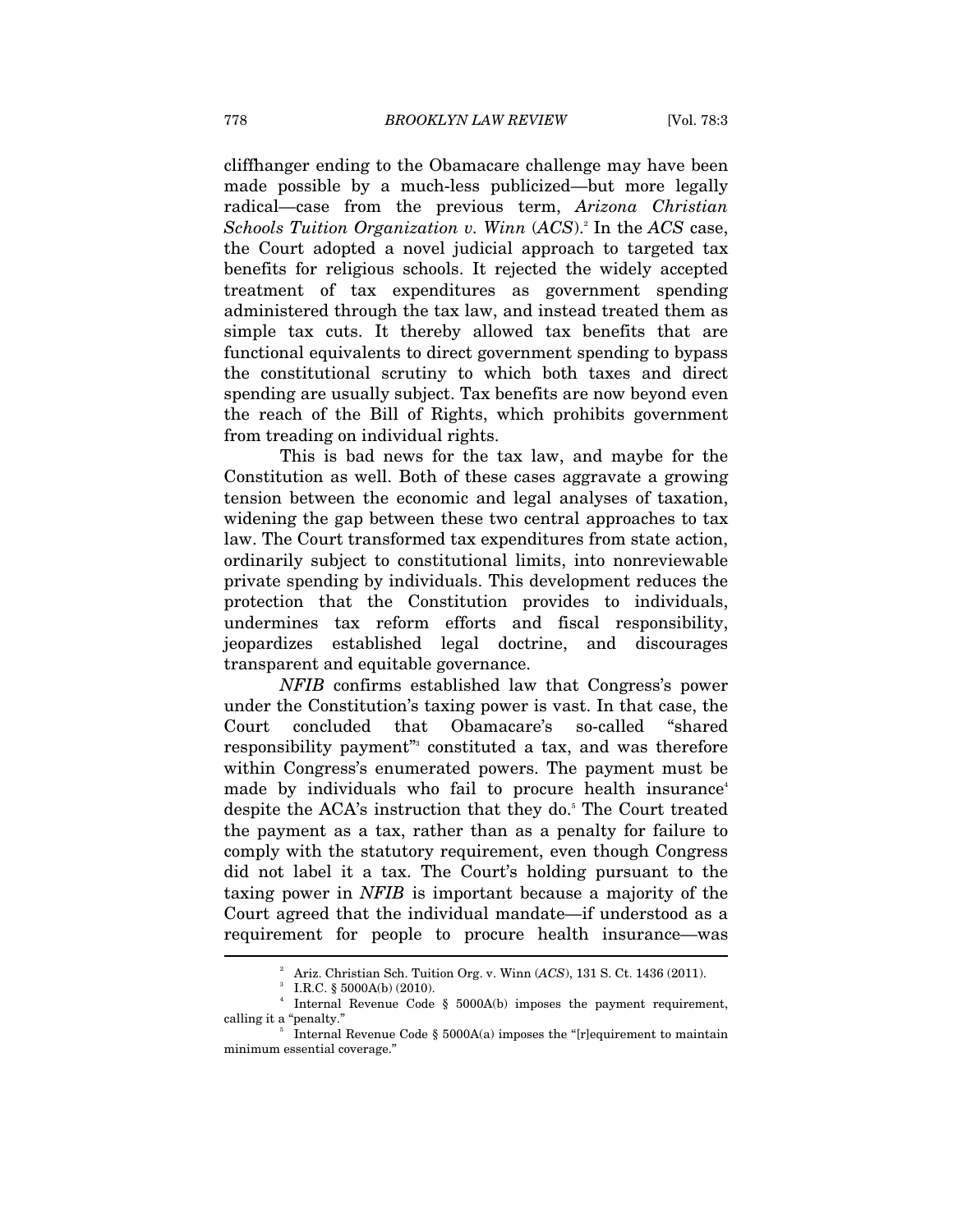cliffhanger ending to the Obamacare challenge may have been made possible by a much-less publicized—but more legally radical—case from the previous term, *Arizona Christian Schools Tuition Organization v. Winn* (*ACS*).2 In the *ACS* case, the Court adopted a novel judicial approach to targeted tax benefits for religious schools. It rejected the widely accepted treatment of tax expenditures as government spending administered through the tax law, and instead treated them as simple tax cuts. It thereby allowed tax benefits that are functional equivalents to direct government spending to bypass the constitutional scrutiny to which both taxes and direct spending are usually subject. Tax benefits are now beyond even the reach of the Bill of Rights, which prohibits government from treading on individual rights.

This is bad news for the tax law, and maybe for the Constitution as well. Both of these cases aggravate a growing tension between the economic and legal analyses of taxation, widening the gap between these two central approaches to tax law. The Court transformed tax expenditures from state action, ordinarily subject to constitutional limits, into nonreviewable private spending by individuals. This development reduces the protection that the Constitution provides to individuals, undermines tax reform efforts and fiscal responsibility, jeopardizes established legal doctrine, and discourages transparent and equitable governance.

*NFIB* confirms established law that Congress's power under the Constitution's taxing power is vast. In that case, the Court concluded that Obamacare's so-called "shared responsibility payment<sup>"</sup> constituted a tax, and was therefore within Congress's enumerated powers. The payment must be made by individuals who fail to procure health insurance<sup>4</sup> despite the ACA's instruction that they do.<sup>5</sup> The Court treated the payment as a tax, rather than as a penalty for failure to comply with the statutory requirement, even though Congress did not label it a tax. The Court's holding pursuant to the taxing power in *NFIB* is important because a majority of the Court agreed that the individual mandate—if understood as a requirement for people to procure health insurance—was l

<sup>2</sup> Ariz. Christian Sch. Tuition Org. v. Winn (*ACS*), 131 S. Ct. 1436 (2011). 3

I.R.C. § 5000A(b) (2010).

<sup>4</sup> Internal Revenue Code § 5000A(b) imposes the payment requirement, calling it a "penalty."

Internal Revenue Code § 5000A(a) imposes the "[r]equirement to maintain minimum essential coverage."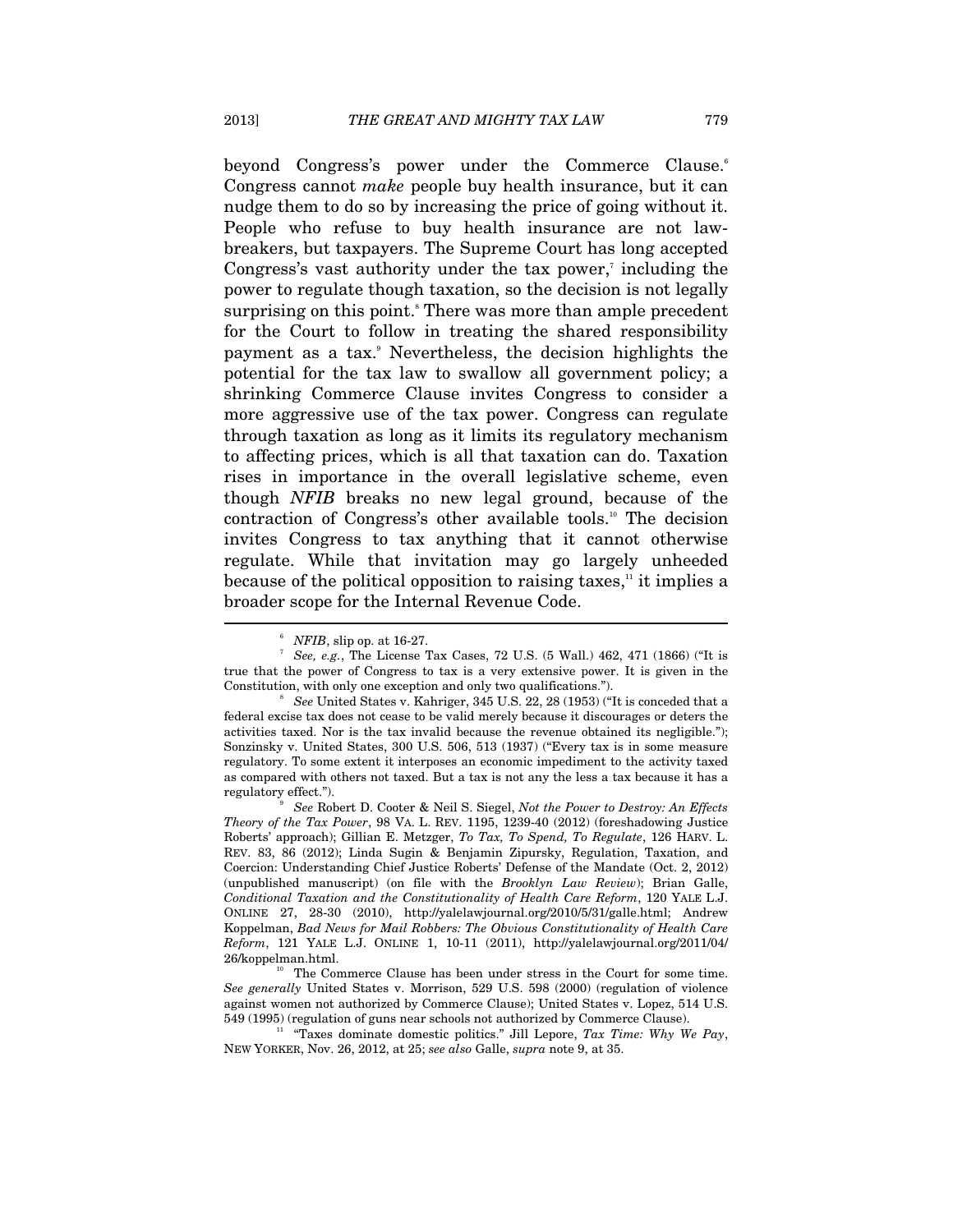beyond Congress's power under the Commerce Clause.<sup>6</sup> Congress cannot *make* people buy health insurance, but it can nudge them to do so by increasing the price of going without it. People who refuse to buy health insurance are not lawbreakers, but taxpayers. The Supreme Court has long accepted Congress's vast authority under the tax power, $\bar{z}$  including the power to regulate though taxation, so the decision is not legally surprising on this point.<sup>8</sup> There was more than ample precedent for the Court to follow in treating the shared responsibility payment as a tax.<sup>9</sup> Nevertheless, the decision highlights the potential for the tax law to swallow all government policy; a shrinking Commerce Clause invites Congress to consider a more aggressive use of the tax power. Congress can regulate through taxation as long as it limits its regulatory mechanism to affecting prices, which is all that taxation can do. Taxation rises in importance in the overall legislative scheme, even though *NFIB* breaks no new legal ground, because of the contraction of Congress's other available tools.<sup>10</sup> The decision invites Congress to tax anything that it cannot otherwise regulate. While that invitation may go largely unheeded because of the political opposition to raising taxes, $\frac{1}{n}$  it implies a broader scope for the Internal Revenue Code.  $\overline{a}$ 

<sup>6</sup>  $NFIB$ , slip op. at 16-27.

<sup>&</sup>lt;sup>7</sup> See, e.g., The License Tax Cases, 72 U.S. (5 Wall.) 462, 471 (1866) ("It is true that the power of Congress to tax is a very extensive power. It is given in the Constitution, with only one exception and only two qualifications.").

*See* United States v. Kahriger, 345 U.S. 22, 28 (1953) ("It is conceded that a federal excise tax does not cease to be valid merely because it discourages or deters the activities taxed. Nor is the tax invalid because the revenue obtained its negligible."); Sonzinsky v. United States, 300 U.S. 506, 513 (1937) ("Every tax is in some measure regulatory. To some extent it interposes an economic impediment to the activity taxed as compared with others not taxed. But a tax is not any the less a tax because it has a regulatory effect.").

*See* Robert D. Cooter & Neil S. Siegel, *Not the Power to Destroy: An Effects Theory of the Tax Power*, 98 VA. L. REV. 1195, 1239-40 (2012) (foreshadowing Justice Roberts' approach); Gillian E. Metzger, *To Tax, To Spend, To Regulate*, 126 HARV. L. REV. 83, 86 (2012); Linda Sugin & Benjamin Zipursky, Regulation, Taxation, and Coercion: Understanding Chief Justice Roberts' Defense of the Mandate (Oct. 2, 2012) (unpublished manuscript) (on file with the *Brooklyn Law Review*); Brian Galle, *Conditional Taxation and the Constitutionality of Health Care Reform*, 120 YALE L.J. ONLINE 27, 28-30 (2010), http://yalelawjournal.org/2010/5/31/galle.html; Andrew Koppelman, *Bad News for Mail Robbers: The Obvious Constitutionality of Health Care Reform*, 121 YALE L.J. ONLINE 1, 10-11 (2011), http://yalelawjournal.org/2011/04/ 26/koppelman.html.<br><sup>10</sup> The Commerce Clause has been under stress in the Court for some time.

*See generally* United States v. Morrison, 529 U.S. 598 (2000) (regulation of violence against women not authorized by Commerce Clause); United States v. Lopez, 514 U.S. 549 (1995) (regulation of guns near schools not authorized by Commerce Clause).

<sup>&</sup>lt;sup>11</sup> "Taxes dominate domestic politics." Jill Lepore, *Tax Time: Why We Pay*, NEW YORKER, Nov. 26, 2012, at 25; *see also* Galle, *supra* note 9, at 35.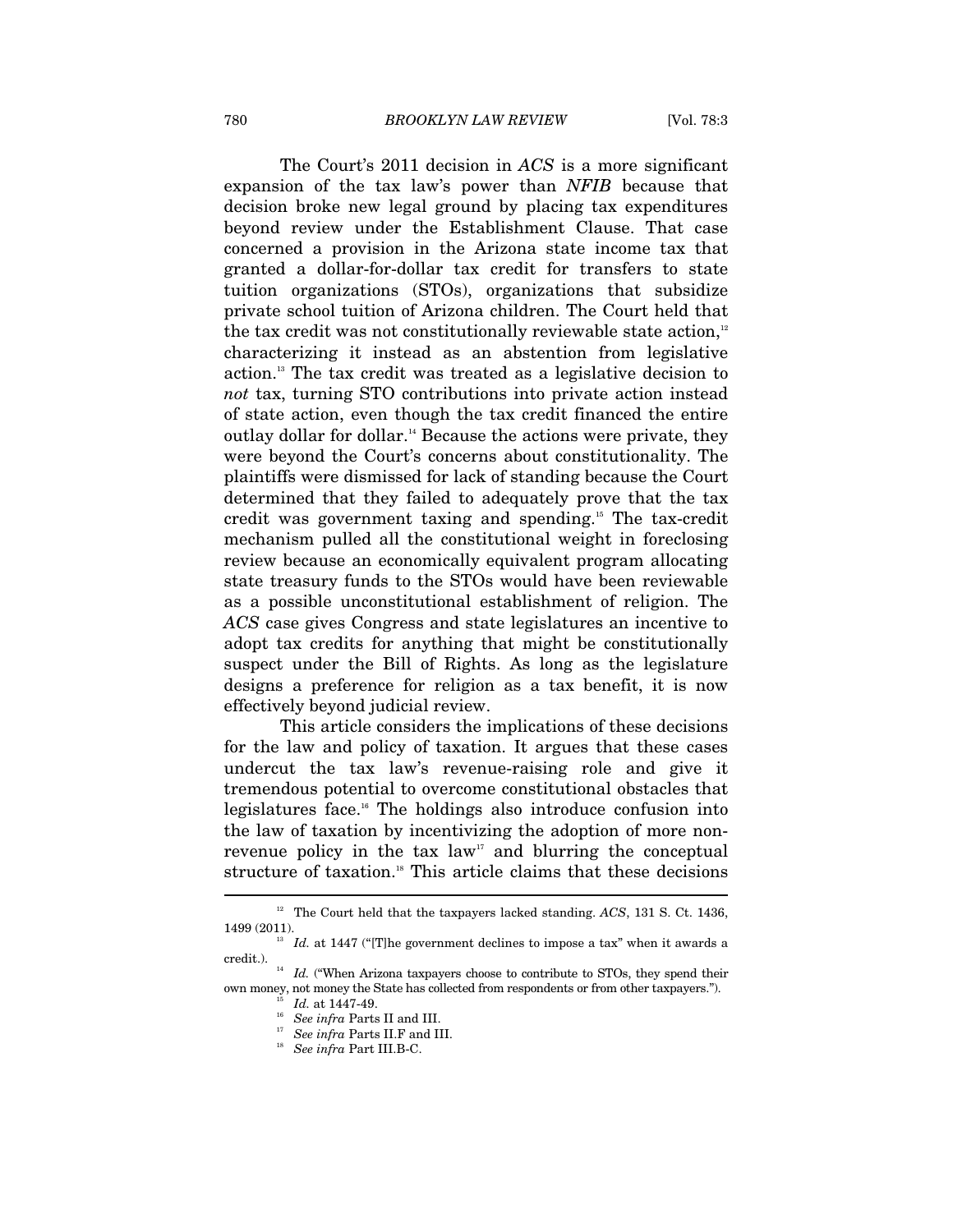The Court's 2011 decision in *ACS* is a more significant expansion of the tax law's power than *NFIB* because that decision broke new legal ground by placing tax expenditures beyond review under the Establishment Clause. That case concerned a provision in the Arizona state income tax that granted a dollar-for-dollar tax credit for transfers to state tuition organizations (STOs), organizations that subsidize private school tuition of Arizona children. The Court held that the tax credit was not constitutionally reviewable state action, $12$ characterizing it instead as an abstention from legislative action.13 The tax credit was treated as a legislative decision to *not* tax, turning STO contributions into private action instead of state action, even though the tax credit financed the entire outlay dollar for dollar.<sup>14</sup> Because the actions were private, they were beyond the Court's concerns about constitutionality. The plaintiffs were dismissed for lack of standing because the Court determined that they failed to adequately prove that the tax credit was government taxing and spending.15 The tax-credit mechanism pulled all the constitutional weight in foreclosing review because an economically equivalent program allocating state treasury funds to the STOs would have been reviewable as a possible unconstitutional establishment of religion. The *ACS* case gives Congress and state legislatures an incentive to adopt tax credits for anything that might be constitutionally suspect under the Bill of Rights. As long as the legislature designs a preference for religion as a tax benefit, it is now effectively beyond judicial review.

This article considers the implications of these decisions for the law and policy of taxation. It argues that these cases undercut the tax law's revenue-raising role and give it tremendous potential to overcome constitutional obstacles that legislatures face.16 The holdings also introduce confusion into the law of taxation by incentivizing the adoption of more nonrevenue policy in the tax law<sup>17</sup> and blurring the conceptual structure of taxation.<sup>18</sup> This article claims that these decisions

<sup>12</sup> The Court held that the taxpayers lacked standing. *ACS*, 131 S. Ct. 1436,

<sup>1499 (2011).</sup>  $13$  *Id.* at 1447 ("[T]he government declines to impose a tax" when it awards a credit.).

 $^{14}$   $\,$   $Id.$  ("When Arizona taxpayers choose to contribute to STOs, they spend their % own money, not money the State has collected from respondents or from other taxpayers."). The Mass II and III. See infra Parts II and III.

<sup>&</sup>lt;sup>17</sup> See infra Parts II.F and III.<br><sup>18</sup> See infra Part III.B-C.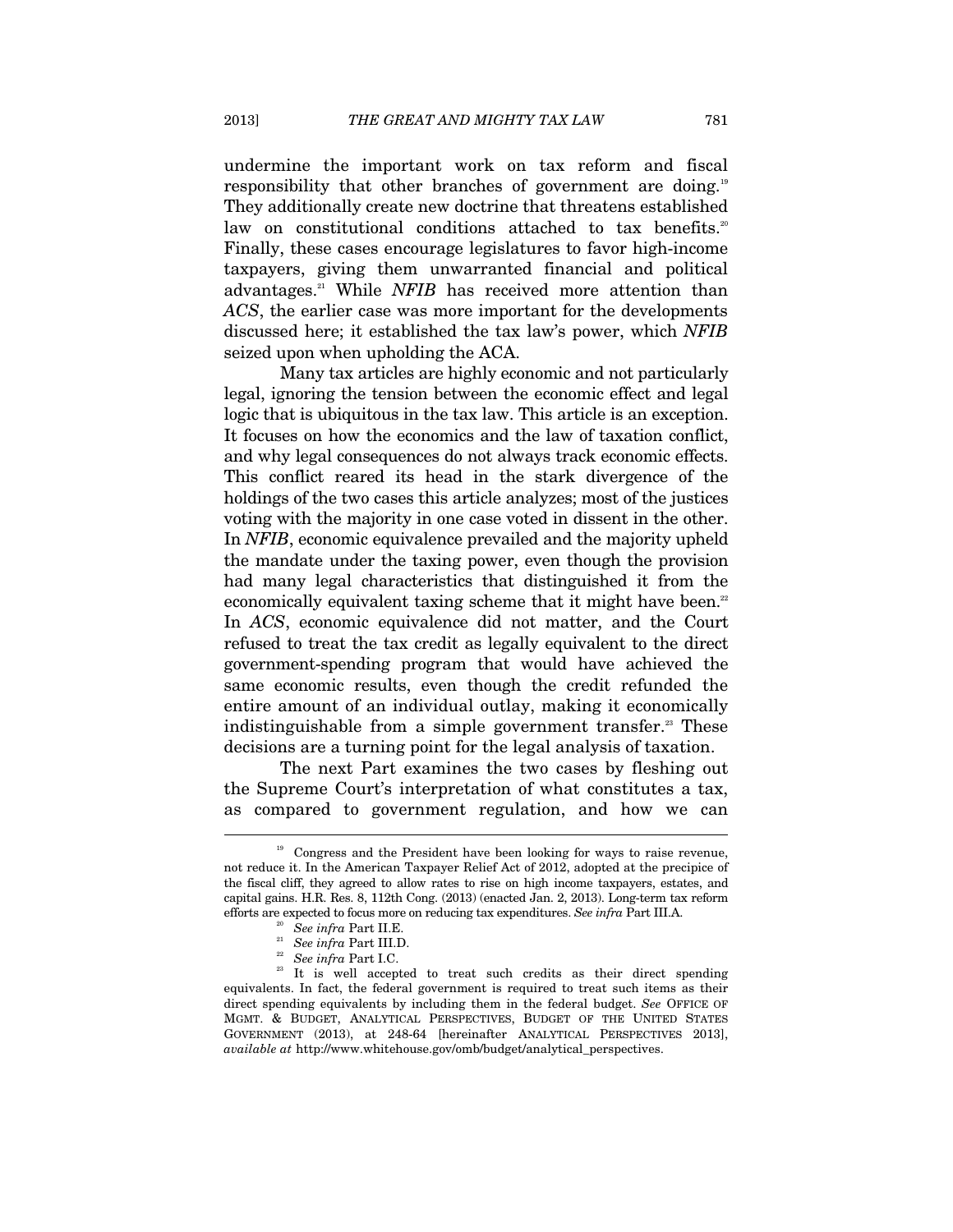undermine the important work on tax reform and fiscal responsibility that other branches of government are doing.<sup>19</sup> They additionally create new doctrine that threatens established law on constitutional conditions attached to tax benefits.<sup>20</sup> Finally, these cases encourage legislatures to favor high-income taxpayers, giving them unwarranted financial and political advantages.<sup>21</sup> While *NFIB* has received more attention than *ACS*, the earlier case was more important for the developments discussed here; it established the tax law's power, which *NFIB* seized upon when upholding the ACA.

Many tax articles are highly economic and not particularly legal, ignoring the tension between the economic effect and legal logic that is ubiquitous in the tax law. This article is an exception. It focuses on how the economics and the law of taxation conflict, and why legal consequences do not always track economic effects. This conflict reared its head in the stark divergence of the holdings of the two cases this article analyzes; most of the justices voting with the majority in one case voted in dissent in the other. In *NFIB*, economic equivalence prevailed and the majority upheld the mandate under the taxing power, even though the provision had many legal characteristics that distinguished it from the economically equivalent taxing scheme that it might have been.<sup>22</sup> In *ACS*, economic equivalence did not matter, and the Court refused to treat the tax credit as legally equivalent to the direct government-spending program that would have achieved the same economic results, even though the credit refunded the entire amount of an individual outlay, making it economically indistinguishable from a simple government transfer.<sup>23</sup> These decisions are a turning point for the legal analysis of taxation.

The next Part examines the two cases by fleshing out the Supreme Court's interpretation of what constitutes a tax, as compared to government regulation, and how we can  $\overline{a}$ 

<sup>&</sup>lt;sup>19</sup> Congress and the President have been looking for ways to raise revenue, not reduce it. In the American Taxpayer Relief Act of 2012, adopted at the precipice of the fiscal cliff, they agreed to allow rates to rise on high income taxpayers, estates, and capital gains. H.R. Res. 8, 112th Cong. (2013) (enacted Jan. 2, 2013). Long-term tax reform

<sup>%</sup> efforts are expected to focus more on reducing tax expenditures. See infra Part III.A.<br><sup>20</sup> See infra Part III.B.<br><sup>21</sup> See infra Part III.D.<br><sup>22</sup> See infra Part II.C.<br><sup>23</sup> It is well accepted to treat such credits as th equivalents. In fact, the federal government is required to treat such items as their direct spending equivalents by including them in the federal budget. *See* OFFICE OF MGMT. & BUDGET, ANALYTICAL PERSPECTIVES, BUDGET OF THE UNITED STATES GOVERNMENT (2013), at 248-64 [hereinafter ANALYTICAL PERSPECTIVES 2013], *available at* http://www.whitehouse.gov/omb/budget/analytical\_perspectives.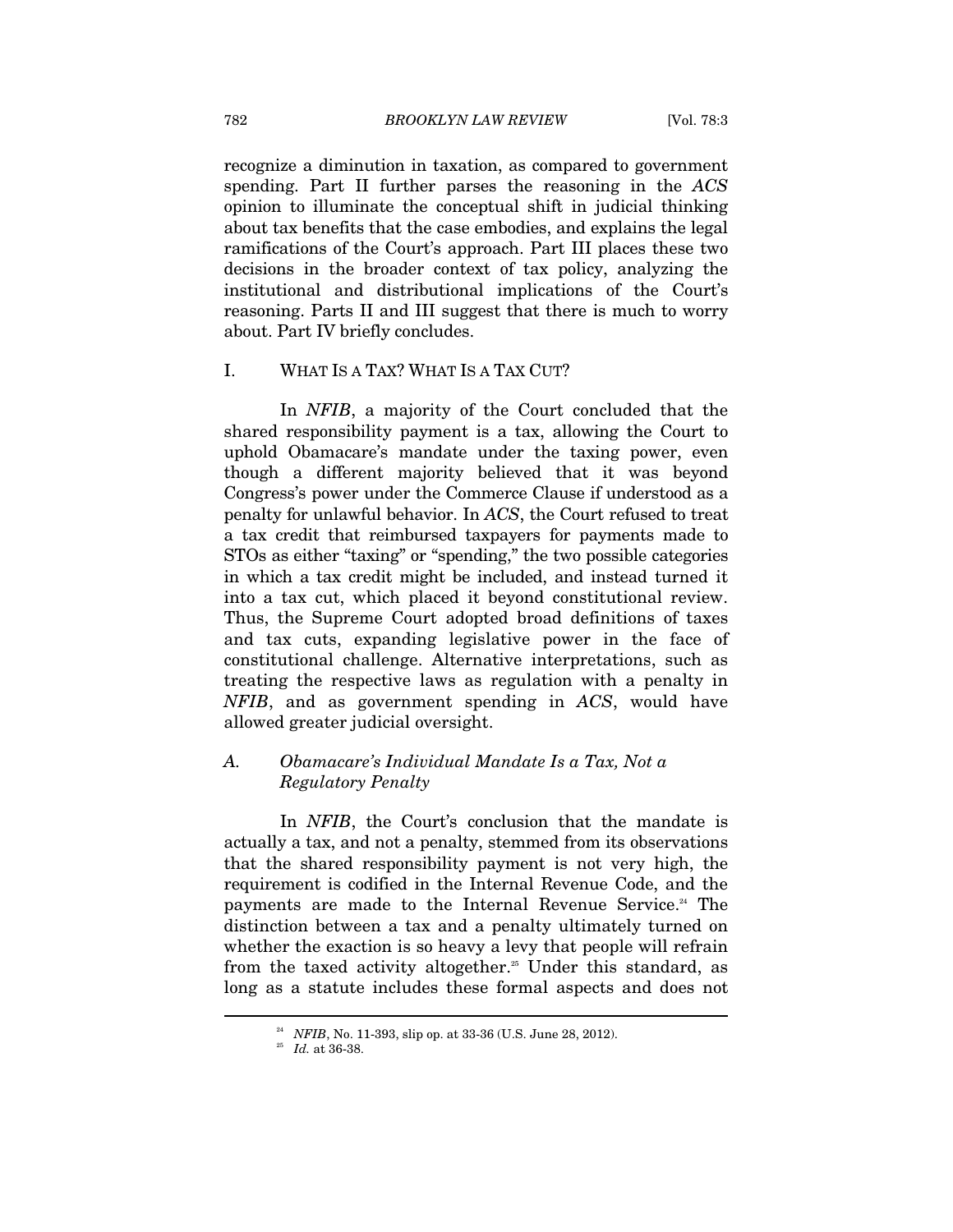recognize a diminution in taxation, as compared to government spending. Part II further parses the reasoning in the *ACS* opinion to illuminate the conceptual shift in judicial thinking about tax benefits that the case embodies, and explains the legal ramifications of the Court's approach. Part III places these two decisions in the broader context of tax policy, analyzing the institutional and distributional implications of the Court's reasoning. Parts II and III suggest that there is much to worry about. Part IV briefly concludes.

#### I. WHAT IS A TAX? WHAT IS A TAX CUT?

In *NFIB*, a majority of the Court concluded that the shared responsibility payment is a tax, allowing the Court to uphold Obamacare's mandate under the taxing power, even though a different majority believed that it was beyond Congress's power under the Commerce Clause if understood as a penalty for unlawful behavior. In *ACS*, the Court refused to treat a tax credit that reimbursed taxpayers for payments made to STOs as either "taxing" or "spending," the two possible categories in which a tax credit might be included, and instead turned it into a tax cut, which placed it beyond constitutional review. Thus, the Supreme Court adopted broad definitions of taxes and tax cuts, expanding legislative power in the face of constitutional challenge. Alternative interpretations, such as treating the respective laws as regulation with a penalty in *NFIB*, and as government spending in *ACS*, would have allowed greater judicial oversight.

### *A. Obamacare's Individual Mandate Is a Tax, Not a Regulatory Penalty*

In *NFIB*, the Court's conclusion that the mandate is actually a tax, and not a penalty, stemmed from its observations that the shared responsibility payment is not very high, the requirement is codified in the Internal Revenue Code, and the payments are made to the Internal Revenue Service.<sup>24</sup> The distinction between a tax and a penalty ultimately turned on whether the exaction is so heavy a levy that people will refrain from the taxed activity altogether.<sup>25</sup> Under this standard, as long as a statute includes these formal aspects and does not

<sup>&</sup>lt;sup>24</sup> *NFIB*, No. 11-393, slip op. at 33-36 (U.S. June 28, 2012).<br><sup>25</sup> *Id.* at 36-38.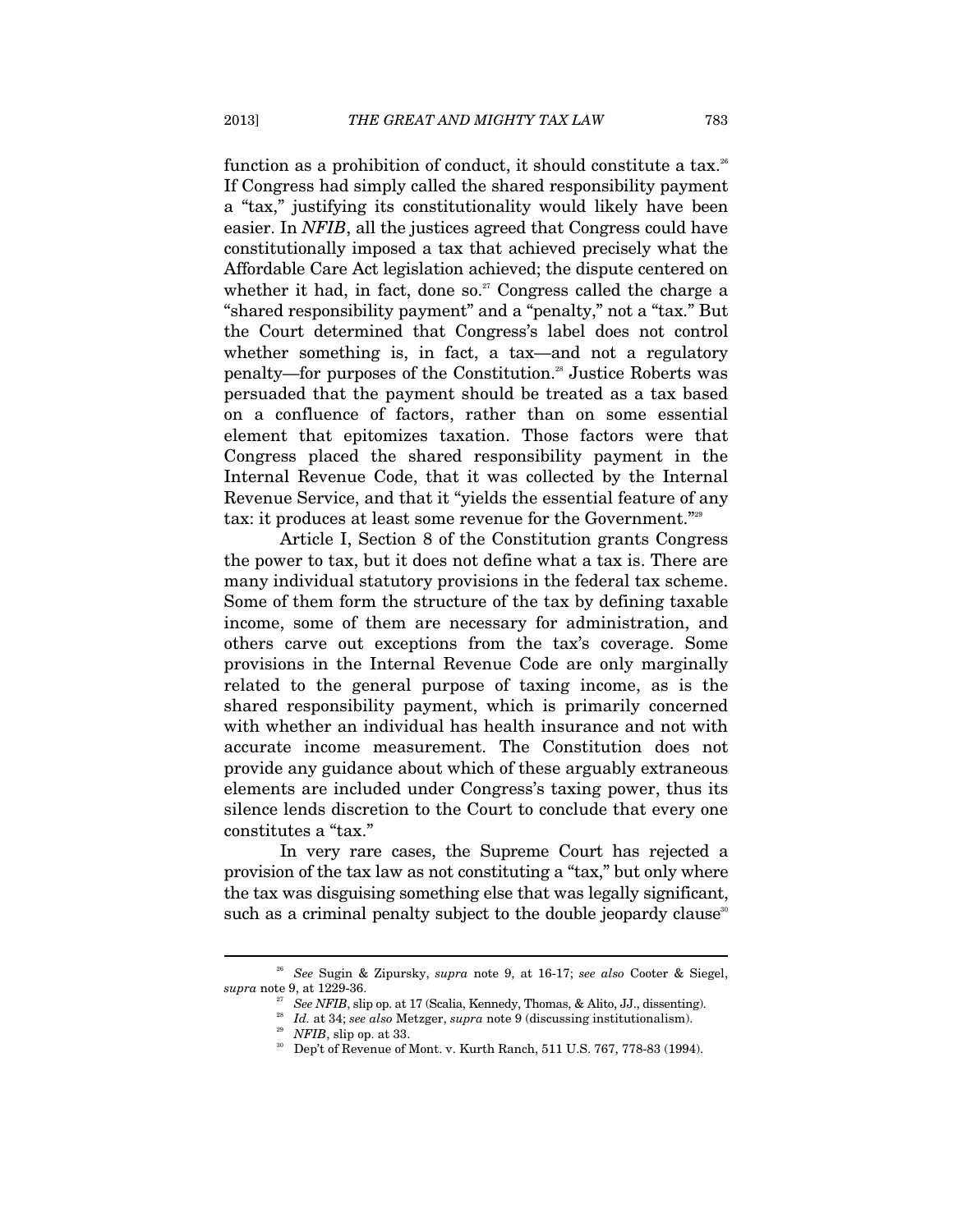function as a prohibition of conduct, it should constitute a tax.<sup>26</sup> If Congress had simply called the shared responsibility payment a "tax," justifying its constitutionality would likely have been easier. In *NFIB*, all the justices agreed that Congress could have constitutionally imposed a tax that achieved precisely what the Affordable Care Act legislation achieved; the dispute centered on whether it had, in fact, done so.<sup>27</sup> Congress called the charge a "shared responsibility payment" and a "penalty," not a "tax." But the Court determined that Congress's label does not control whether something is, in fact, a tax—and not a regulatory penalty—for purposes of the Constitution.28 Justice Roberts was persuaded that the payment should be treated as a tax based on a confluence of factors, rather than on some essential element that epitomizes taxation. Those factors were that Congress placed the shared responsibility payment in the Internal Revenue Code, that it was collected by the Internal Revenue Service, and that it "yields the essential feature of any tax: it produces at least some revenue for the Government."<sup>229</sup>

Article I, Section 8 of the Constitution grants Congress the power to tax, but it does not define what a tax is. There are many individual statutory provisions in the federal tax scheme. Some of them form the structure of the tax by defining taxable income, some of them are necessary for administration, and others carve out exceptions from the tax's coverage. Some provisions in the Internal Revenue Code are only marginally related to the general purpose of taxing income, as is the shared responsibility payment, which is primarily concerned with whether an individual has health insurance and not with accurate income measurement. The Constitution does not provide any guidance about which of these arguably extraneous elements are included under Congress's taxing power, thus its silence lends discretion to the Court to conclude that every one constitutes a "tax."

In very rare cases, the Supreme Court has rejected a provision of the tax law as not constituting a "tax," but only where the tax was disguising something else that was legally significant, such as a criminal penalty subject to the double jeopardy clause<sup>30</sup>

<sup>26</sup> *See* Sugin & Zipursky, *supra* note 9, at 16-17; *see also* Cooter & Siegel, supra note 9, at 1229-36.<br>
<sup>27</sup> See NFIB, slip op. at 17 (Scalia, Kennedy, Thomas, & Alito, JJ., dissenting).<br>
<sup>28</sup> Id. at 34; see also Metzger, supra note 9 (discussing institutionalism).<br>
<sup>29</sup> NFIB, slip op. at 33.<br>
<sup>30</sup>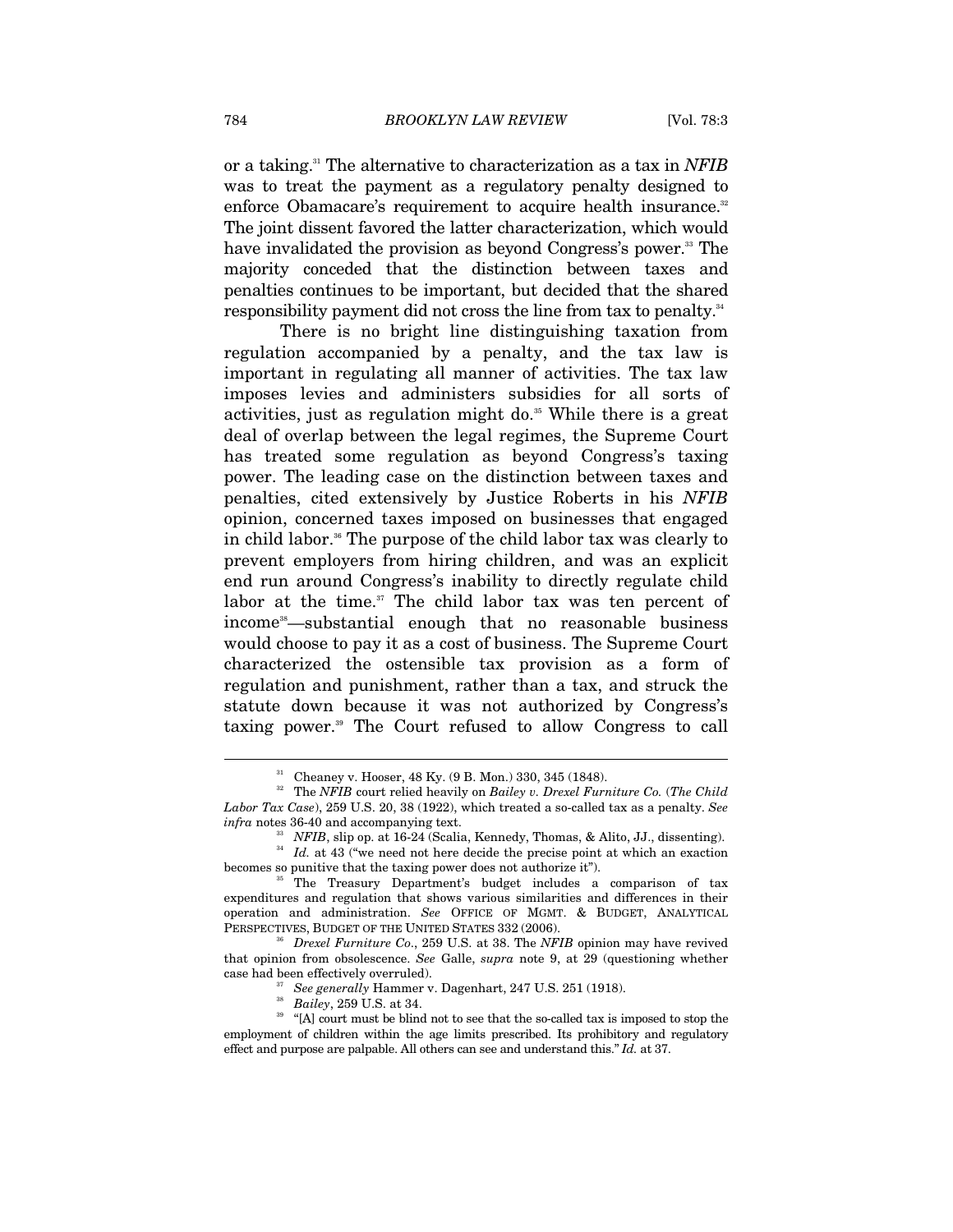or a taking.31 The alternative to characterization as a tax in *NFIB* was to treat the payment as a regulatory penalty designed to enforce Obamacare's requirement to acquire health insurance.<sup>32</sup> The joint dissent favored the latter characterization, which would have invalidated the provision as beyond Congress's power.<sup>33</sup> The majority conceded that the distinction between taxes and penalties continues to be important, but decided that the shared responsibility payment did not cross the line from tax to penalty.<sup>34</sup>

There is no bright line distinguishing taxation from regulation accompanied by a penalty, and the tax law is important in regulating all manner of activities. The tax law imposes levies and administers subsidies for all sorts of activities, just as regulation might do.<sup>35</sup> While there is a great deal of overlap between the legal regimes, the Supreme Court has treated some regulation as beyond Congress's taxing power. The leading case on the distinction between taxes and penalties, cited extensively by Justice Roberts in his *NFIB* opinion, concerned taxes imposed on businesses that engaged in child labor.<sup>36</sup> The purpose of the child labor tax was clearly to prevent employers from hiring children, and was an explicit end run around Congress's inability to directly regulate child labor at the time.<sup>37</sup> The child labor tax was ten percent of income<sup>38</sup>—substantial enough that no reasonable business would choose to pay it as a cost of business. The Supreme Court characterized the ostensible tax provision as a form of regulation and punishment, rather than a tax, and struck the statute down because it was not authorized by Congress's taxing power.39 The Court refused to allow Congress to call

<sup>31</sup> Cheaney v. Hooser, 48 Ky. (9 B. Mon.) 330, 345 (1848).

<sup>32</sup> The *NFIB* court relied heavily on *Bailey v. Drexel Furniture Co.* (*The Child Labor Tax Case*), 259 U.S. 20, 38 (1922), which treated a so-called tax as a penalty. *See*

*infra* notes 36-40 and accompanying text.<br><sup>33</sup> *NFIB*, slip op. at 16-24 (Scalia, Kennedy, Thomas, & Alito, JJ., dissenting).<br><sup>34</sup> *Id.* at 43 ("we need not here decide the precise point at which an exaction

becomes so punitive that the taxing power does not authorize it").<br><sup>35</sup> The Treasury Department's budget includes a comparison of tax expenditures and regulation that shows various similarities and differences in their operation and administration. *See* OFFICE OF MGMT. & BUDGET, ANALYTICAL PERSPECTIVES, BUDGET OF THE UNITED STATES 332 (2006). 36 *Drexel Furniture Co*., 259 U.S. at 38. The *NFIB* opinion may have revived

that opinion from obsolescence. *See* Galle, *supra* note 9, at 29 (questioning whether case had been effectively overruled).

<sup>&</sup>lt;sup>37</sup> See generally Hammer v. Dagenhart, 247 U.S. 251 (1918).<br><sup>38</sup> *Bailey*, 259 U.S. at 34. <sup>39</sup> "[A] court must be blind not to see that the so-called tax is imposed to stop the employment of children within the age limits prescribed. Its prohibitory and regulatory effect and purpose are palpable. All others can see and understand this." *Id.* at 37.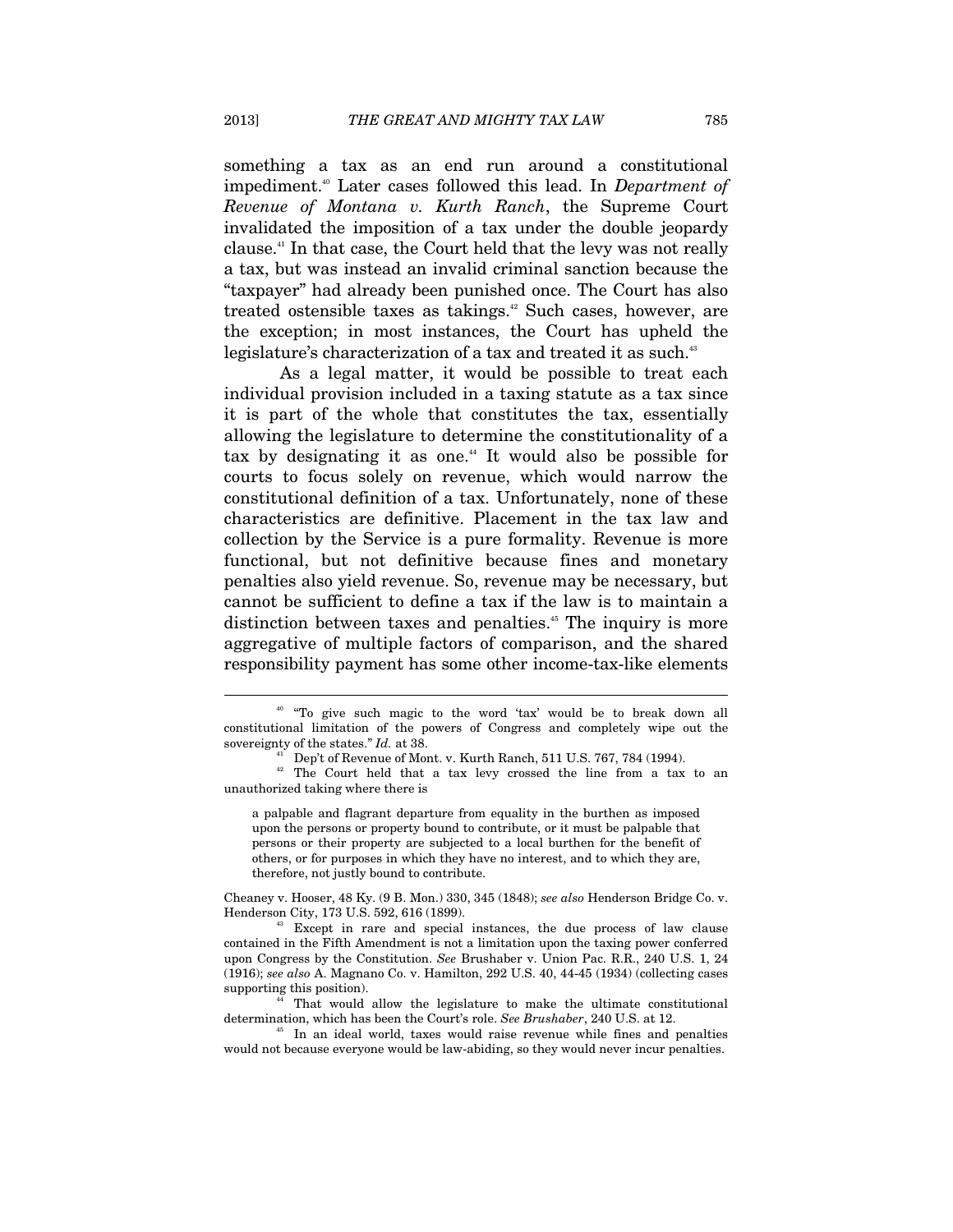something a tax as an end run around a constitutional impediment.40 Later cases followed this lead. In *Department of Revenue of Montana v. Kurth Ranch*, the Supreme Court invalidated the imposition of a tax under the double jeopardy clause.41 In that case, the Court held that the levy was not really a tax, but was instead an invalid criminal sanction because the "taxpayer" had already been punished once. The Court has also treated ostensible taxes as takings.<sup>42</sup> Such cases, however, are the exception; in most instances, the Court has upheld the legislature's characterization of a tax and treated it as such.<sup>43</sup>

As a legal matter, it would be possible to treat each individual provision included in a taxing statute as a tax since it is part of the whole that constitutes the tax, essentially allowing the legislature to determine the constitutionality of a tax by designating it as one.<sup>44</sup> It would also be possible for courts to focus solely on revenue, which would narrow the constitutional definition of a tax. Unfortunately, none of these characteristics are definitive. Placement in the tax law and collection by the Service is a pure formality. Revenue is more functional, but not definitive because fines and monetary penalties also yield revenue. So, revenue may be necessary, but cannot be sufficient to define a tax if the law is to maintain a distinction between taxes and penalties.<sup>45</sup> The inquiry is more aggregative of multiple factors of comparison, and the shared responsibility payment has some other income-tax-like elements

a palpable and flagrant departure from equality in the burthen as imposed upon the persons or property bound to contribute, or it must be palpable that persons or their property are subjected to a local burthen for the benefit of others, or for purposes in which they have no interest, and to which they are, therefore, not justly bound to contribute.

Cheaney v. Hooser, 48 Ky. (9 B. Mon.) 330, 345 (1848); *see also* Henderson Bridge Co. v. Henderson City, 173 U.S. 592, 616 (1899).<br><sup>43</sup> Except in rare and special instances, the due process of law clause

contained in the Fifth Amendment is not a limitation upon the taxing power conferred upon Congress by the Constitution. *See* Brushaber v. Union Pac. R.R., 240 U.S. 1, 24 (1916); *see also* A. Magnano Co. v. Hamilton, 292 U.S. 40, 44-45 (1934) (collecting cases

supporting this position).<br><sup>44</sup> That would allow the legislature to make the ultimate constitutional<br>determination, which has been the Court's role. See Brushaber, 240 U.S. at 12.

<sup>45</sup> In an ideal world, taxes would raise revenue while fines and penalties would not because everyone would be law-abiding, so they would never incur penalties.

<sup>40 &</sup>quot;To give such magic to the word 'tax' would be to break down all constitutional limitation of the powers of Congress and completely wipe out the sovereignty of the states."  $Id$ . at 38.

Dep't of Revenue of Mont. v. Kurth Ranch, 511 U.S. 767, 784 (1994).

<sup>&</sup>lt;sup>42</sup> The Court held that a tax levy crossed the line from a tax to an unauthorized taking where there is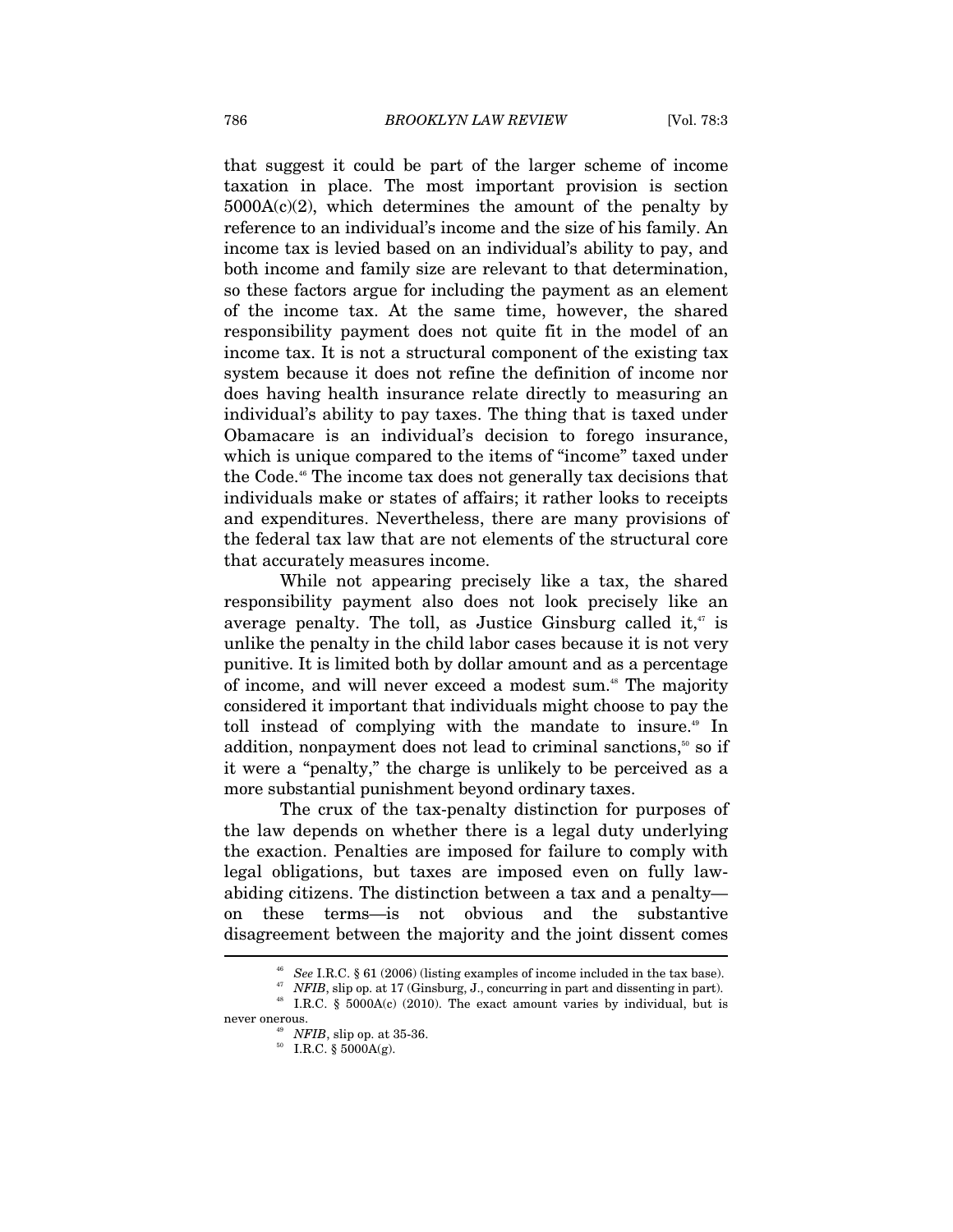that suggest it could be part of the larger scheme of income taxation in place. The most important provision is section  $5000A(c)(2)$ , which determines the amount of the penalty by reference to an individual's income and the size of his family. An income tax is levied based on an individual's ability to pay, and both income and family size are relevant to that determination, so these factors argue for including the payment as an element of the income tax. At the same time, however, the shared responsibility payment does not quite fit in the model of an income tax. It is not a structural component of the existing tax system because it does not refine the definition of income nor does having health insurance relate directly to measuring an individual's ability to pay taxes. The thing that is taxed under Obamacare is an individual's decision to forego insurance, which is unique compared to the items of "income" taxed under the Code.<sup>46</sup> The income tax does not generally tax decisions that individuals make or states of affairs; it rather looks to receipts and expenditures. Nevertheless, there are many provisions of the federal tax law that are not elements of the structural core that accurately measures income.

While not appearing precisely like a tax, the shared responsibility payment also does not look precisely like an average penalty. The toll, as Justice Ginsburg called it, $\alpha$  is unlike the penalty in the child labor cases because it is not very punitive. It is limited both by dollar amount and as a percentage of income, and will never exceed a modest sum.<sup>48</sup> The majority considered it important that individuals might choose to pay the toll instead of complying with the mandate to insure.<sup>49</sup> In addition, nonpayment does not lead to criminal sanctions, $50$  so if it were a "penalty," the charge is unlikely to be perceived as a more substantial punishment beyond ordinary taxes.

The crux of the tax-penalty distinction for purposes of the law depends on whether there is a legal duty underlying the exaction. Penalties are imposed for failure to comply with legal obligations, but taxes are imposed even on fully lawabiding citizens. The distinction between a tax and a penalty on these terms—is not obvious and the substantive disagreement between the majority and the joint dissent comes  $\overline{\phantom{a}}$ 

<sup>&</sup>lt;sup>46</sup> See I.R.C. § 61 (2006) (listing examples of income included in the tax base).<br><sup>47</sup> *NFIB*, slip op. at 17 (Ginsburg, J., concurring in part and dissenting in part).<br><sup>48</sup> I.R.C. § 5000A(c) (2010). The exact amount var never onerous.<br><sup>49</sup> *NFIB*, slip op. at 35-36.<br><sup>50</sup> I.R.C. § 5000A(g).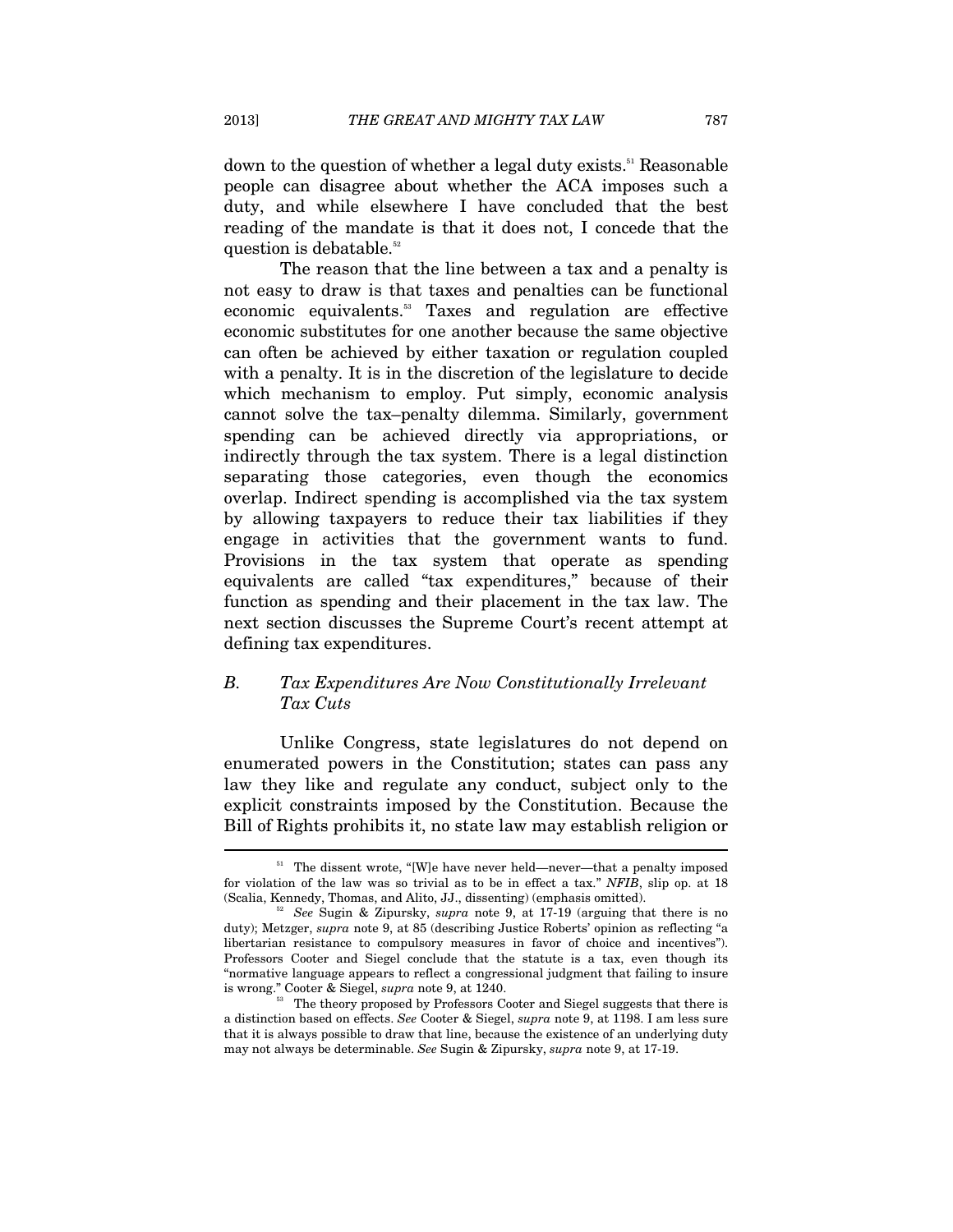down to the question of whether a legal duty exists.<sup>51</sup> Reasonable people can disagree about whether the ACA imposes such a duty, and while elsewhere I have concluded that the best reading of the mandate is that it does not, I concede that the question is debatable.<sup>52</sup>

The reason that the line between a tax and a penalty is not easy to draw is that taxes and penalties can be functional economic equivalents.<sup>53</sup> Taxes and regulation are effective economic substitutes for one another because the same objective can often be achieved by either taxation or regulation coupled with a penalty. It is in the discretion of the legislature to decide which mechanism to employ. Put simply, economic analysis cannot solve the tax–penalty dilemma. Similarly, government spending can be achieved directly via appropriations, or indirectly through the tax system. There is a legal distinction separating those categories, even though the economics overlap. Indirect spending is accomplished via the tax system by allowing taxpayers to reduce their tax liabilities if they engage in activities that the government wants to fund. Provisions in the tax system that operate as spending equivalents are called "tax expenditures," because of their function as spending and their placement in the tax law. The next section discusses the Supreme Court's recent attempt at defining tax expenditures.

# *B. Tax Expenditures Are Now Constitutionally Irrelevant Tax Cuts*

Unlike Congress, state legislatures do not depend on enumerated powers in the Constitution; states can pass any law they like and regulate any conduct, subject only to the explicit constraints imposed by the Constitution. Because the Bill of Rights prohibits it, no state law may establish religion or

 $51$  The dissent wrote, "[W]e have never held—never—that a penalty imposed for violation of the law was so trivial as to be in effect a tax." *NFIB*, slip op. at 18 (Scalia, Kennedy, Thomas, and Alito, JJ., dissenting) (emphasis omitted).

See Sugin & Zipursky, *supra* note 9, at 17-19 (arguing that there is no duty); Metzger, *supra* note 9, at 85 (describing Justice Roberts' opinion as reflecting "a libertarian resistance to compulsory measures in favor of choice and incentives"). Professors Cooter and Siegel conclude that the statute is a tax, even though its "normative language appears to reflect a congressional judgment that failing to insure is wrong." Cooter & Siegel, *supra* note 9, at  $1240$ .

<sup>&</sup>lt;sup>53</sup> The theory proposed by Professors Cooter and Siegel suggests that there is a distinction based on effects. *See* Cooter & Siegel, *supra* note 9, at 1198. I am less sure that it is always possible to draw that line, because the existence of an underlying duty may not always be determinable. *See* Sugin & Zipursky, *supra* note 9, at 17-19.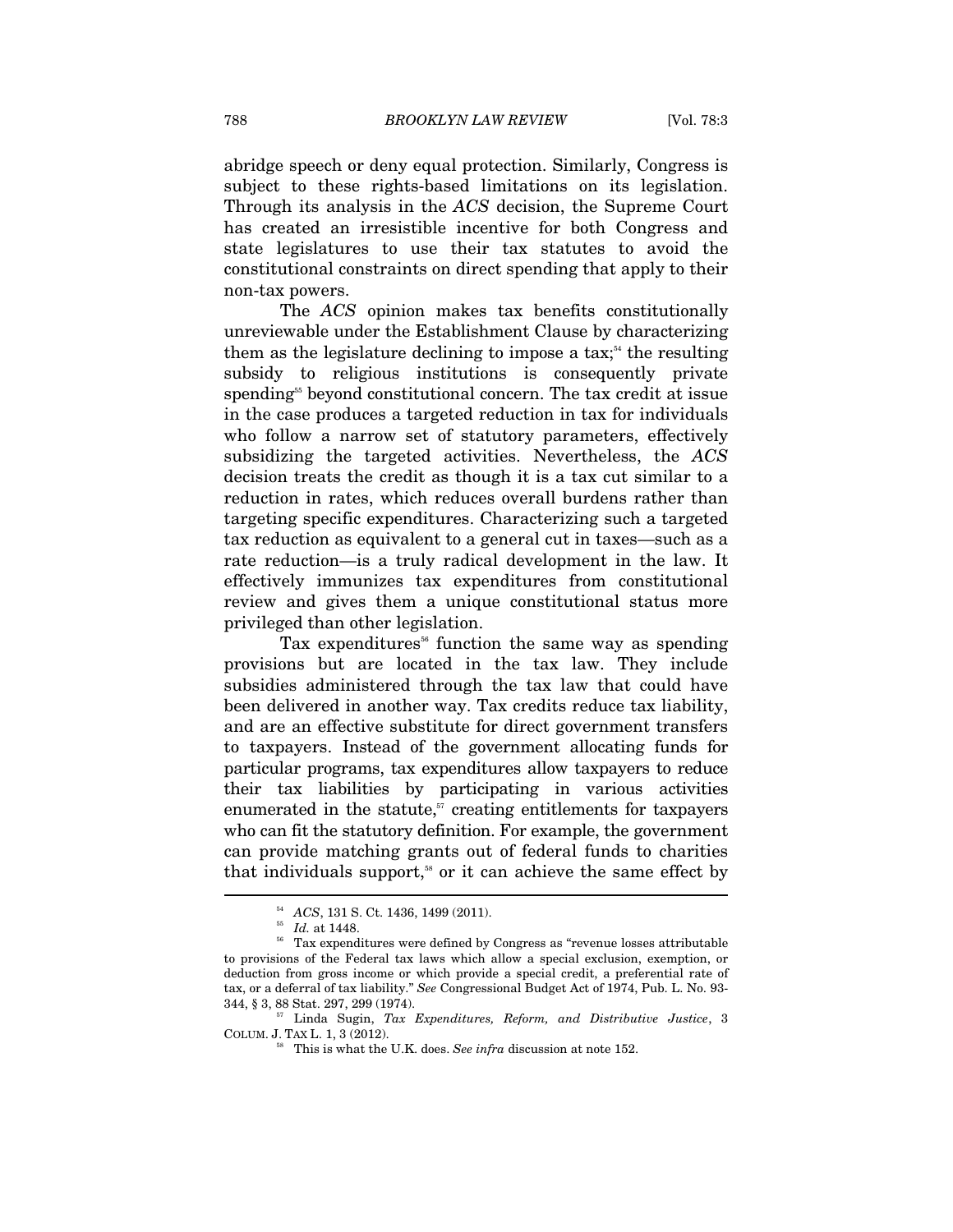abridge speech or deny equal protection. Similarly, Congress is subject to these rights-based limitations on its legislation. Through its analysis in the *ACS* decision, the Supreme Court has created an irresistible incentive for both Congress and state legislatures to use their tax statutes to avoid the constitutional constraints on direct spending that apply to their non-tax powers.

The *ACS* opinion makes tax benefits constitutionally unreviewable under the Establishment Clause by characterizing them as the legislature declining to impose a tax;<sup>54</sup> the resulting subsidy to religious institutions is consequently private spending<sup>55</sup> beyond constitutional concern. The tax credit at issue in the case produces a targeted reduction in tax for individuals who follow a narrow set of statutory parameters, effectively subsidizing the targeted activities. Nevertheless, the *ACS* decision treats the credit as though it is a tax cut similar to a reduction in rates, which reduces overall burdens rather than targeting specific expenditures. Characterizing such a targeted tax reduction as equivalent to a general cut in taxes—such as a rate reduction—is a truly radical development in the law. It effectively immunizes tax expenditures from constitutional review and gives them a unique constitutional status more privileged than other legislation.

Tax expenditures<sup>56</sup> function the same way as spending provisions but are located in the tax law. They include subsidies administered through the tax law that could have been delivered in another way. Tax credits reduce tax liability, and are an effective substitute for direct government transfers to taxpayers. Instead of the government allocating funds for particular programs, tax expenditures allow taxpayers to reduce their tax liabilities by participating in various activities enumerated in the statute, $57$  creating entitlements for taxpayers who can fit the statutory definition. For example, the government can provide matching grants out of federal funds to charities that individuals support,<sup>58</sup> or it can achieve the same effect by

 $^{54}_{\,55}$   $~Id.$  at 1448.  $^{55}_{\,56}$  Tax expenditures were defined by Congress as "revenue losses attributable  $^{56}$ to provisions of the Federal tax laws which allow a special exclusion, exemption, or deduction from gross income or which provide a special credit, a preferential rate of tax, or a deferral of tax liability." *See* Congressional Budget Act of 1974, Pub. L. No. 93-

<sup>&</sup>lt;sup>57</sup> Linda Sugin, *Tax Expenditures, Reform, and Distributive Justice*, 3 COLUM. J. TAX L. 1, 3 (2012). 58 This is what the U.K. does. *See infra* discussion at note 152.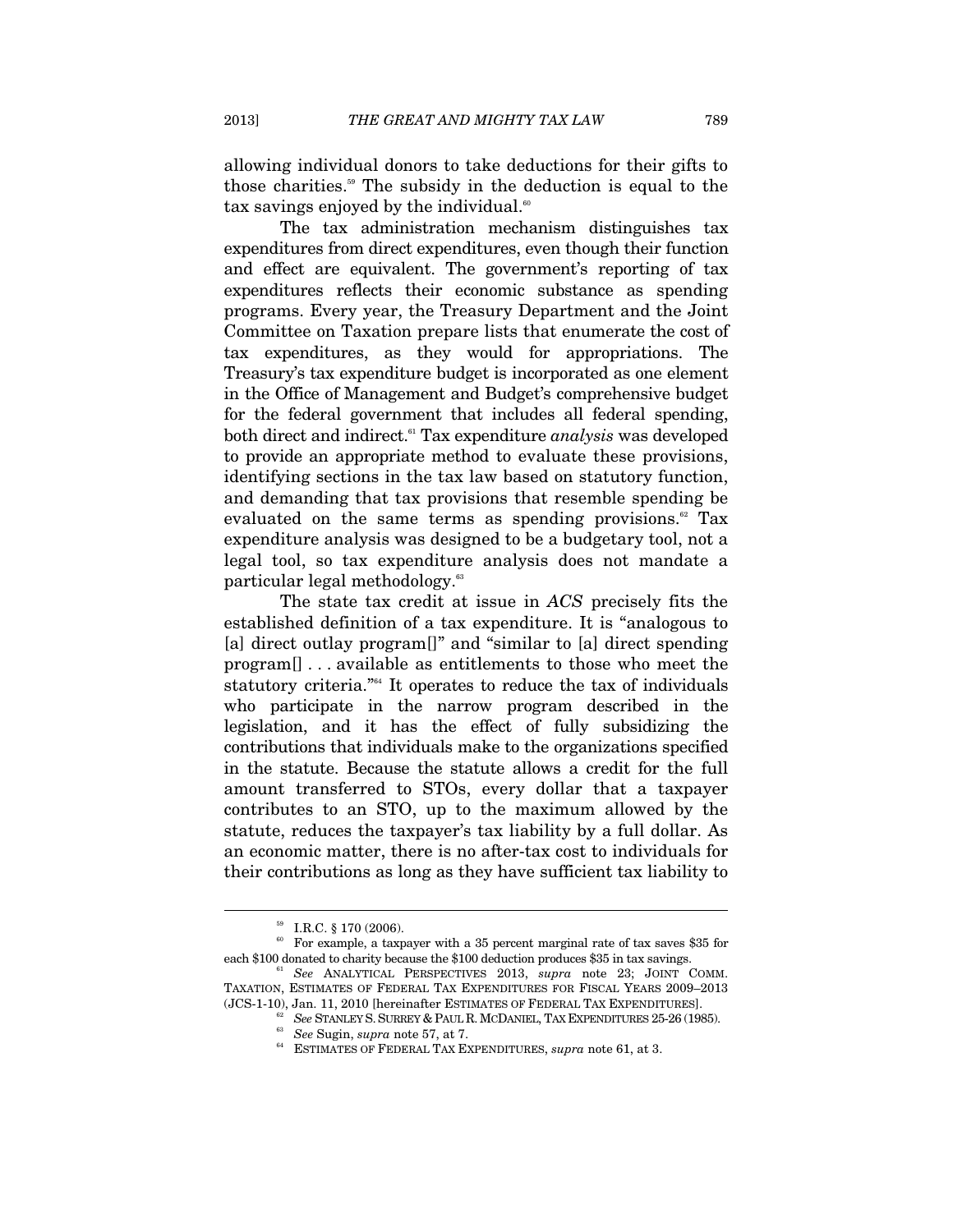allowing individual donors to take deductions for their gifts to those charities.<sup>59</sup> The subsidy in the deduction is equal to the tax savings enjoyed by the individual.<sup>60</sup>

The tax administration mechanism distinguishes tax expenditures from direct expenditures, even though their function and effect are equivalent. The government's reporting of tax expenditures reflects their economic substance as spending programs. Every year, the Treasury Department and the Joint Committee on Taxation prepare lists that enumerate the cost of tax expenditures, as they would for appropriations. The Treasury's tax expenditure budget is incorporated as one element in the Office of Management and Budget's comprehensive budget for the federal government that includes all federal spending, both direct and indirect.61 Tax expenditure *analysis* was developed to provide an appropriate method to evaluate these provisions, identifying sections in the tax law based on statutory function, and demanding that tax provisions that resemble spending be evaluated on the same terms as spending provisions.<sup>62</sup> Tax expenditure analysis was designed to be a budgetary tool, not a legal tool, so tax expenditure analysis does not mandate a particular legal methodology.<sup>63</sup>

The state tax credit at issue in *ACS* precisely fits the established definition of a tax expenditure. It is "analogous to [a] direct outlay program<sup>[]"</sup> and "similar to [a] direct spending program[] . . . available as entitlements to those who meet the statutory criteria."64 It operates to reduce the tax of individuals who participate in the narrow program described in the legislation, and it has the effect of fully subsidizing the contributions that individuals make to the organizations specified in the statute. Because the statute allows a credit for the full amount transferred to STOs, every dollar that a taxpayer contributes to an STO, up to the maximum allowed by the statute, reduces the taxpayer's tax liability by a full dollar. As an economic matter, there is no after-tax cost to individuals for their contributions as long as they have sufficient tax liability to

I.R.C. § 170 (2006).

 $^{\circ\circ}$  For example, a taxpayer with a 35 percent marginal rate of tax saves \$35 for each \$100 donated to charity because the \$100 deduction produces \$35 in tax savings.

<sup>&</sup>lt;sup>61</sup> See ANALYTICAL PERSPECTIVES 2013, *supra* note 23; JOINT COMM. TAXATION, ESTIMATES OF FEDERAL TAX EXPENDITURES FOR FISCAL YEARS 2009–2013 (JCS-1-10), Jan. 11, 2010 [hereinafter ESTIMATES OF FEDERAL TAX EXPENDITURES].

<sup>&</sup>lt;sup>62</sup> See STANLEY S. SURREY & PAUL R. MCDANIEL, TAX EXPENDITURES 25-26 (1985).<br><sup>63</sup> See Sugin, *supra* note 57, at 7.<br><sup>64</sup> ESTIMATES OF FEDERAL TAX EXPENDITURES, *supra* note 61, at 3.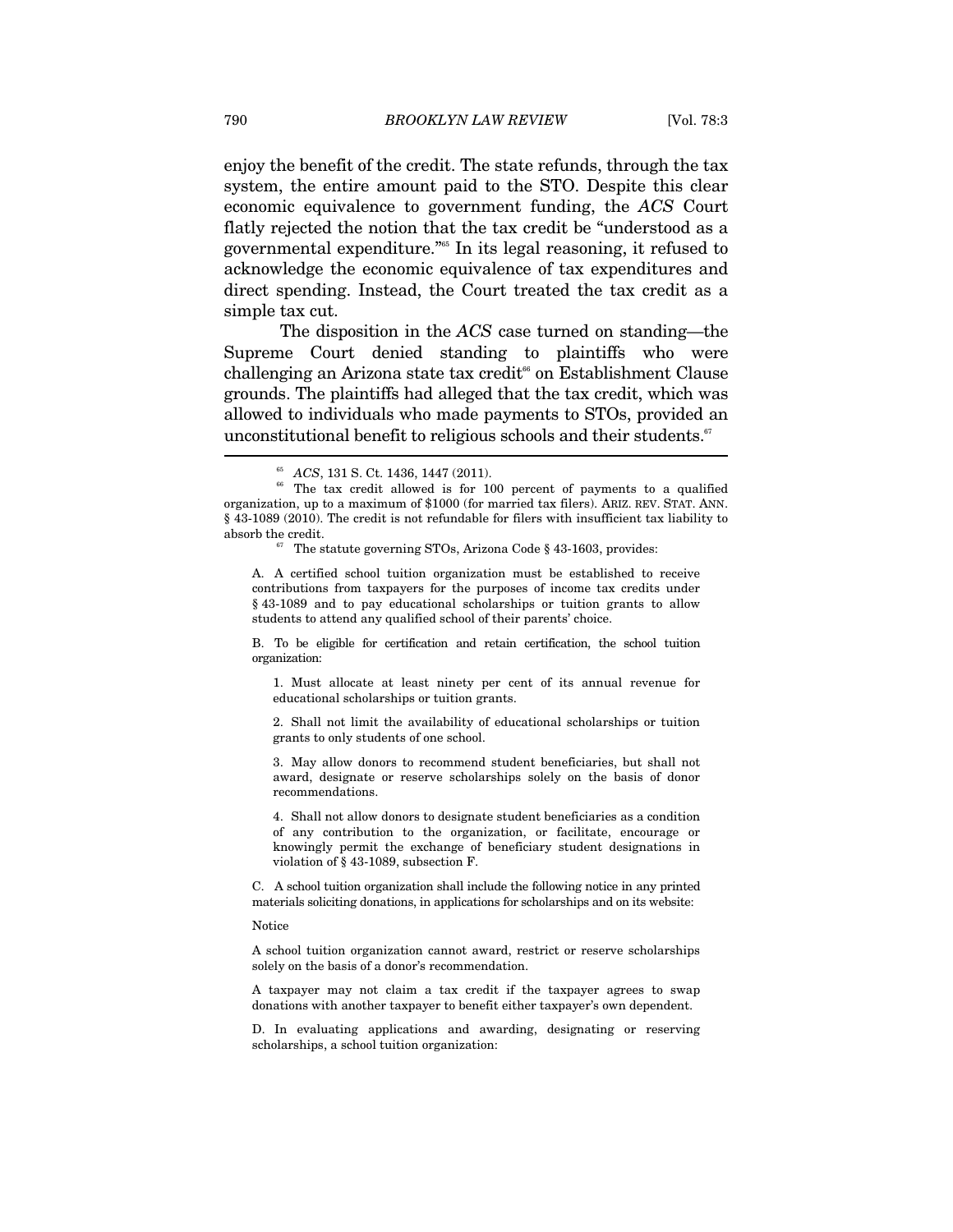enjoy the benefit of the credit. The state refunds, through the tax system, the entire amount paid to the STO. Despite this clear economic equivalence to government funding, the *ACS* Court flatly rejected the notion that the tax credit be "understood as a governmental expenditure."65 In its legal reasoning, it refused to acknowledge the economic equivalence of tax expenditures and direct spending. Instead, the Court treated the tax credit as a simple tax cut.

The disposition in the *ACS* case turned on standing—the Supreme Court denied standing to plaintiffs who were challenging an Arizona state tax credit<sup> $66$ </sup> on Establishment Clause grounds. The plaintiffs had alleged that the tax credit, which was allowed to individuals who made payments to STOs, provided an unconstitutional benefit to religious schools and their students.<sup>67</sup>

A. A certified school tuition organization must be established to receive contributions from taxpayers for the purposes of income tax credits under § 43-1089 and to pay educational scholarships or tuition grants to allow students to attend any qualified school of their parents' choice.

B. To be eligible for certification and retain certification, the school tuition organization:

1. Must allocate at least ninety per cent of its annual revenue for educational scholarships or tuition grants.

2. Shall not limit the availability of educational scholarships or tuition grants to only students of one school.

3. May allow donors to recommend student beneficiaries, but shall not award, designate or reserve scholarships solely on the basis of donor recommendations.

4. Shall not allow donors to designate student beneficiaries as a condition of any contribution to the organization, or facilitate, encourage or knowingly permit the exchange of beneficiary student designations in violation of § 43-1089, subsection F.

C. A school tuition organization shall include the following notice in any printed materials soliciting donations, in applications for scholarships and on its website:

Notice

A school tuition organization cannot award, restrict or reserve scholarships solely on the basis of a donor's recommendation.

A taxpayer may not claim a tax credit if the taxpayer agrees to swap donations with another taxpayer to benefit either taxpayer's own dependent.

D. In evaluating applications and awarding, designating or reserving scholarships, a school tuition organization:

 $65$  *ACS*, 131 S. Ct. 1436, 1447 (2011).  $66$  The tax credit allowed is for 100 percent of payments to a qualified organization, up to a maximum of \$1000 (for married tax filers). ARIZ. REV. STAT. ANN. § 43-1089 (2010). The credit is not refundable for filers with insufficient tax liability to absorb the credit.  $\frac{67}{67}$  The statute governing STOs, Arizona Code § 43-1603, provides: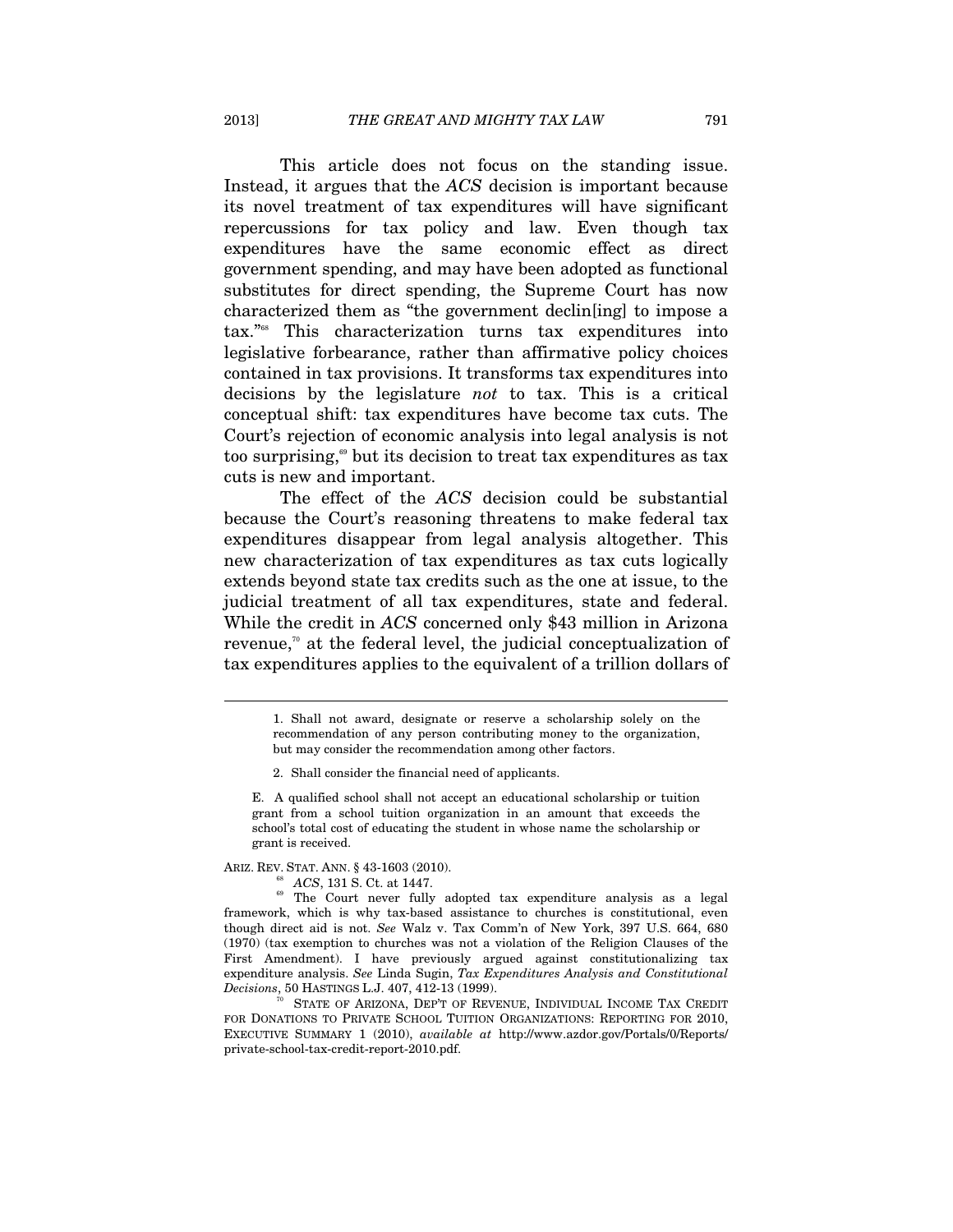This article does not focus on the standing issue. Instead, it argues that the *ACS* decision is important because its novel treatment of tax expenditures will have significant repercussions for tax policy and law. Even though tax expenditures have the same economic effect as direct government spending, and may have been adopted as functional substitutes for direct spending, the Supreme Court has now characterized them as "the government declin[ing] to impose a tax."68 This characterization turns tax expenditures into legislative forbearance, rather than affirmative policy choices contained in tax provisions. It transforms tax expenditures into decisions by the legislature *not* to tax. This is a critical conceptual shift: tax expenditures have become tax cuts. The Court's rejection of economic analysis into legal analysis is not too surprising, $\omega$  but its decision to treat tax expenditures as tax cuts is new and important.

The effect of the *ACS* decision could be substantial because the Court's reasoning threatens to make federal tax expenditures disappear from legal analysis altogether. This new characterization of tax expenditures as tax cuts logically extends beyond state tax credits such as the one at issue, to the judicial treatment of all tax expenditures, state and federal. While the credit in *ACS* concerned only \$43 million in Arizona revenue,<sup> $\pi$ </sup> at the federal level, the judicial conceptualization of tax expenditures applies to the equivalent of a trillion dollars of

ARIZ. REV. STAT. ANN. § 43-1603 (2010).<br><sup>68</sup> *ACS*, 131 S. Ct. at 1447.<br><sup>69</sup> The Court never fully adopted tax expenditure analysis as a legal framework, which is why tax-based assistance to churches is constitutional, even though direct aid is not. *See* Walz v. Tax Comm'n of New York, 397 U.S. 664, 680 (1970) (tax exemption to churches was not a violation of the Religion Clauses of the First Amendment). I have previously argued against constitutionalizing tax expenditure analysis. *See* Linda Sugin, *Tax Expenditures Analysis and Constitutional Decisions*, 50 HASTINGS L.J. 407, 412-13 (1999).<br><sup>70</sup> STATE OF ARIZONA, DEP'T OF REVENUE, INDIVIDUAL INCOME TAX CREDIT

FOR DONATIONS TO PRIVATE SCHOOL TUITION ORGANIZATIONS: REPORTING FOR 2010, EXECUTIVE SUMMARY 1 (2010), *available at* http://www.azdor.gov/Portals/0/Reports/ private-school-tax-credit-report-2010.pdf.

<sup>1.</sup> Shall not award, designate or reserve a scholarship solely on the recommendation of any person contributing money to the organization, but may consider the recommendation among other factors.

<sup>2.</sup> Shall consider the financial need of applicants.

E. A qualified school shall not accept an educational scholarship or tuition grant from a school tuition organization in an amount that exceeds the school's total cost of educating the student in whose name the scholarship or grant is received.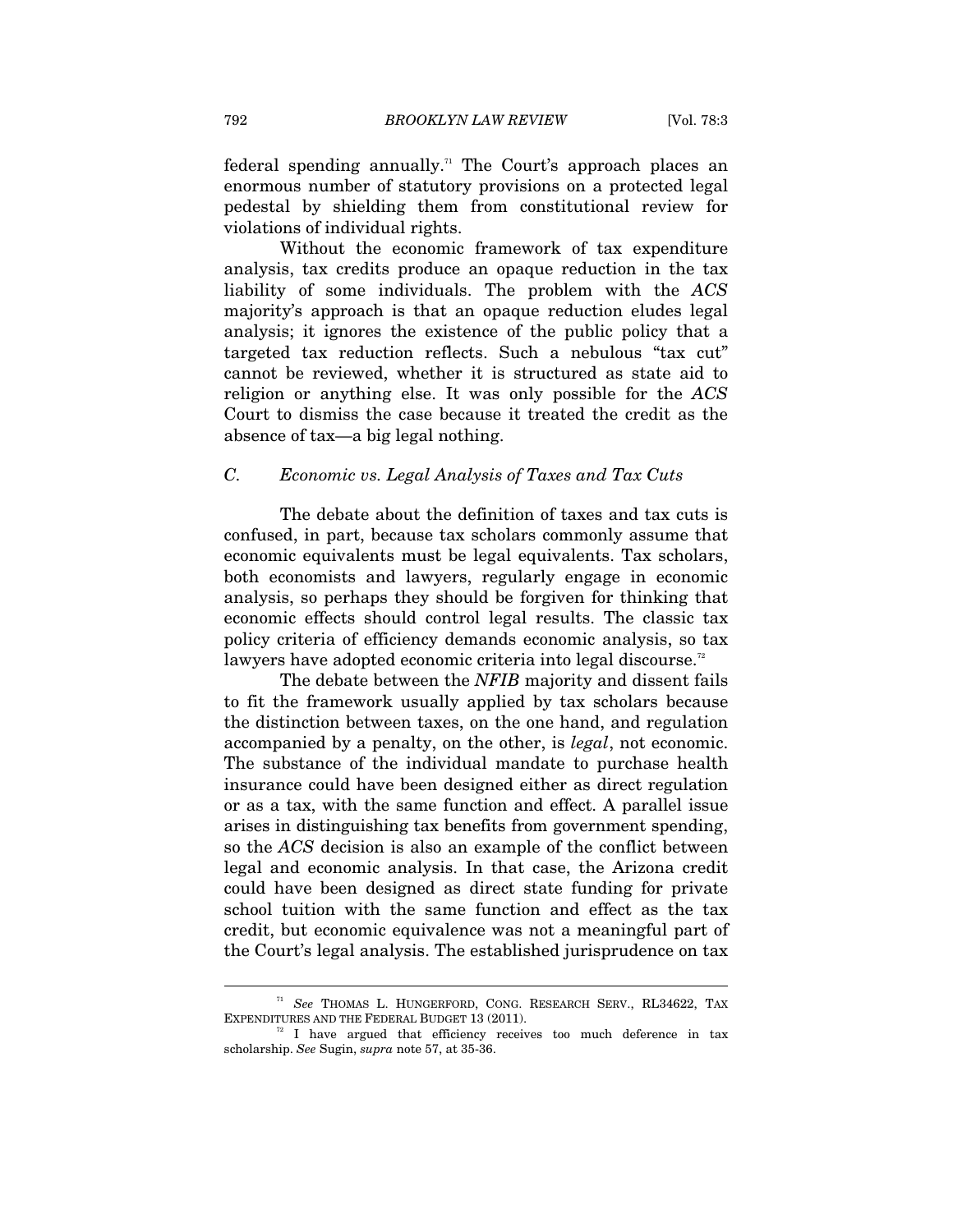federal spending annually.<sup>71</sup> The Court's approach places an enormous number of statutory provisions on a protected legal pedestal by shielding them from constitutional review for violations of individual rights.

Without the economic framework of tax expenditure analysis, tax credits produce an opaque reduction in the tax liability of some individuals. The problem with the *ACS* majority's approach is that an opaque reduction eludes legal analysis; it ignores the existence of the public policy that a targeted tax reduction reflects. Such a nebulous "tax cut" cannot be reviewed, whether it is structured as state aid to religion or anything else. It was only possible for the *ACS* Court to dismiss the case because it treated the credit as the absence of tax—a big legal nothing.

#### *C. Economic vs. Legal Analysis of Taxes and Tax Cuts*

The debate about the definition of taxes and tax cuts is confused, in part, because tax scholars commonly assume that economic equivalents must be legal equivalents. Tax scholars, both economists and lawyers, regularly engage in economic analysis, so perhaps they should be forgiven for thinking that economic effects should control legal results. The classic tax policy criteria of efficiency demands economic analysis, so tax lawyers have adopted economic criteria into legal discourse. $^{\scriptscriptstyle{72}}$ 

The debate between the *NFIB* majority and dissent fails to fit the framework usually applied by tax scholars because the distinction between taxes, on the one hand, and regulation accompanied by a penalty, on the other, is *legal*, not economic. The substance of the individual mandate to purchase health insurance could have been designed either as direct regulation or as a tax, with the same function and effect. A parallel issue arises in distinguishing tax benefits from government spending, so the *ACS* decision is also an example of the conflict between legal and economic analysis. In that case, the Arizona credit could have been designed as direct state funding for private school tuition with the same function and effect as the tax credit, but economic equivalence was not a meaningful part of the Court's legal analysis. The established jurisprudence on tax

 $^{71}$   $\,See$  THOMAS L. HUNGERFORD, CONG. RESEARCH SERV., RL34622, TAX EXPENDITURES AND THE FEDERAL BUDGET 13 (2011).

 $T<sup>2</sup>$  I have argued that efficiency receives too much deference in tax scholarship. *See* Sugin, *supra* note 57, at 35-36.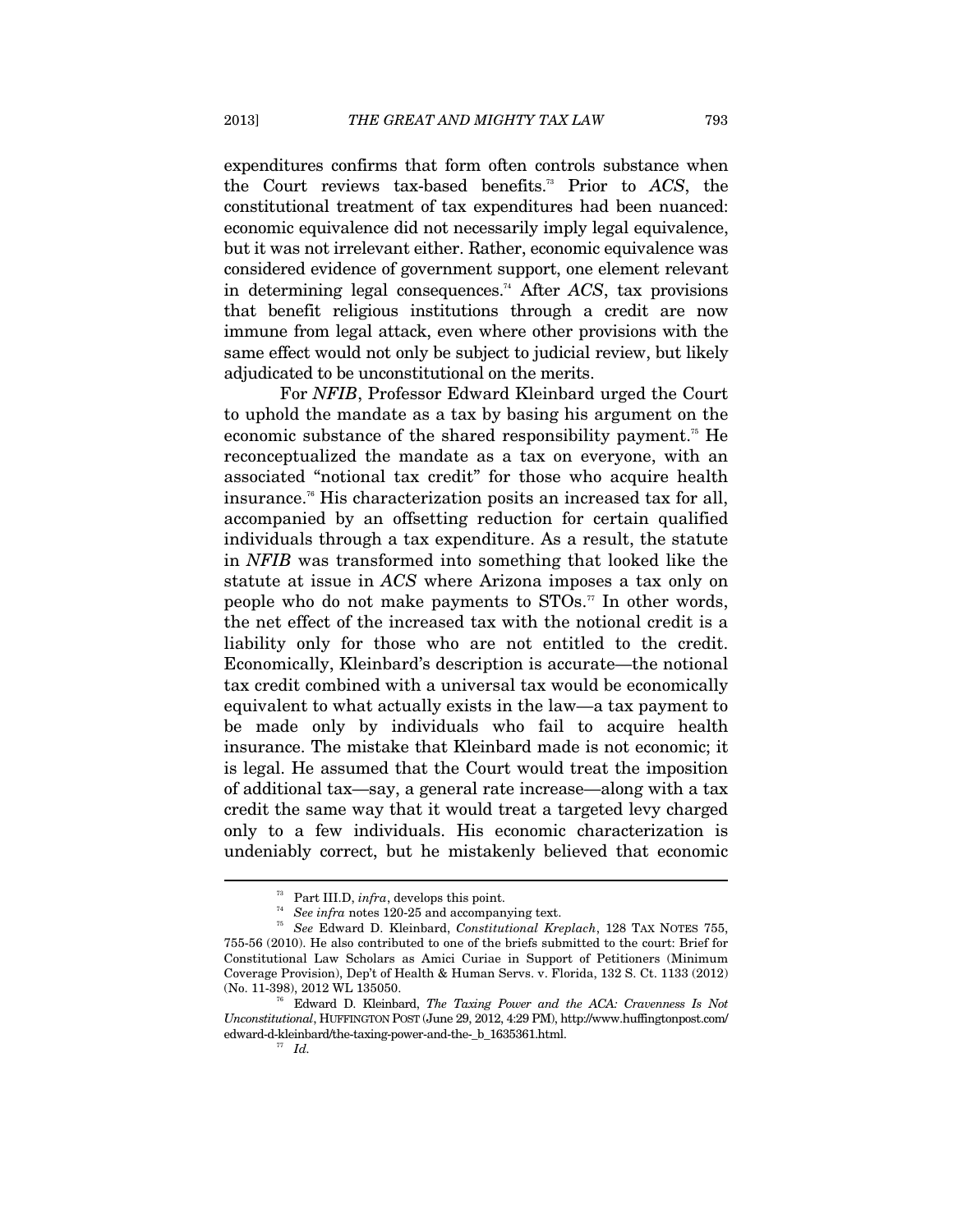expenditures confirms that form often controls substance when the Court reviews tax-based benefits.73 Prior to *ACS*, the constitutional treatment of tax expenditures had been nuanced: economic equivalence did not necessarily imply legal equivalence, but it was not irrelevant either. Rather, economic equivalence was considered evidence of government support, one element relevant in determining legal consequences.74 After *ACS*, tax provisions that benefit religious institutions through a credit are now immune from legal attack, even where other provisions with the same effect would not only be subject to judicial review, but likely adjudicated to be unconstitutional on the merits.

For *NFIB*, Professor Edward Kleinbard urged the Court to uphold the mandate as a tax by basing his argument on the economic substance of the shared responsibility payment.<sup>75</sup> He reconceptualized the mandate as a tax on everyone, with an associated "notional tax credit" for those who acquire health insurance.76 His characterization posits an increased tax for all, accompanied by an offsetting reduction for certain qualified individuals through a tax expenditure. As a result, the statute in *NFIB* was transformed into something that looked like the statute at issue in *ACS* where Arizona imposes a tax only on people who do not make payments to  $STOs.$ <sup>77</sup> In other words, the net effect of the increased tax with the notional credit is a liability only for those who are not entitled to the credit. Economically, Kleinbard's description is accurate—the notional tax credit combined with a universal tax would be economically equivalent to what actually exists in the law—a tax payment to be made only by individuals who fail to acquire health insurance. The mistake that Kleinbard made is not economic; it is legal. He assumed that the Court would treat the imposition of additional tax—say, a general rate increase—along with a tax credit the same way that it would treat a targeted levy charged only to a few individuals. His economic characterization is undeniably correct, but he mistakenly believed that economic

<sup>&</sup>lt;sup>73</sup> Part III.D, *infra*, develops this point.<br><sup>74</sup> *See infra* notes 120-25 and accompanying text.<br><sup>75</sup> See Februari D. *V*lainhard, Constitutional *K*n

<sup>75</sup> *See* Edward D. Kleinbard, *Constitutional Kreplach*, 128 TAX NOTES 755, 755-56 (2010). He also contributed to one of the briefs submitted to the court: Brief for Constitutional Law Scholars as Amici Curiae in Support of Petitioners (Minimum Coverage Provision), Dep't of Health & Human Servs. v. Florida, 132 S. Ct. 1133 (2012) (No. 11-398), 2012 WL 135050.

<sup>76</sup> Edward D. Kleinbard, *The Taxing Power and the ACA: Cravenness Is Not Unconstitutional*, HUFFINGTON POST (June 29, 2012, 4:29 PM), http://www.huffingtonpost.com/ edward-d-kleinbard/the-taxing-power-and-the-\_b\_1635361.html. 77 *Id.*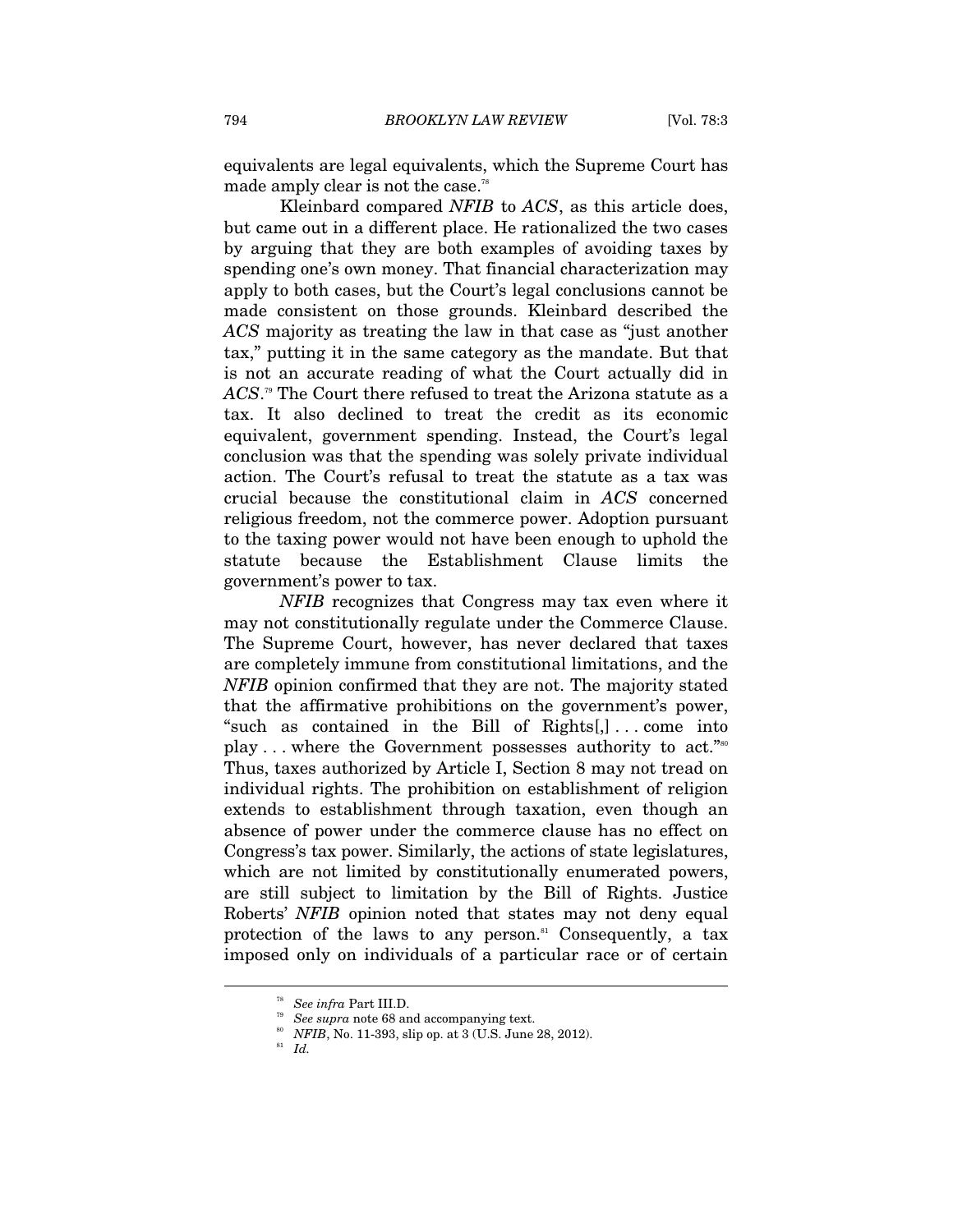equivalents are legal equivalents, which the Supreme Court has made amply clear is not the case.<sup>78</sup>

Kleinbard compared *NFIB* to *ACS*, as this article does, but came out in a different place. He rationalized the two cases by arguing that they are both examples of avoiding taxes by spending one's own money. That financial characterization may apply to both cases, but the Court's legal conclusions cannot be made consistent on those grounds. Kleinbard described the *ACS* majority as treating the law in that case as "just another tax," putting it in the same category as the mandate. But that is not an accurate reading of what the Court actually did in *ACS*. 79 The Court there refused to treat the Arizona statute as a tax. It also declined to treat the credit as its economic equivalent, government spending. Instead, the Court's legal conclusion was that the spending was solely private individual action. The Court's refusal to treat the statute as a tax was crucial because the constitutional claim in *ACS* concerned religious freedom, not the commerce power. Adoption pursuant to the taxing power would not have been enough to uphold the statute because the Establishment Clause limits the government's power to tax.

*NFIB* recognizes that Congress may tax even where it may not constitutionally regulate under the Commerce Clause. The Supreme Court, however, has never declared that taxes are completely immune from constitutional limitations, and the *NFIB* opinion confirmed that they are not. The majority stated that the affirmative prohibitions on the government's power, "such as contained in the Bill of Rights[,] . . . come into play . . . where the Government possesses authority to act."80 Thus, taxes authorized by Article I, Section 8 may not tread on individual rights. The prohibition on establishment of religion extends to establishment through taxation, even though an absence of power under the commerce clause has no effect on Congress's tax power. Similarly, the actions of state legislatures, which are not limited by constitutionally enumerated powers, are still subject to limitation by the Bill of Rights. Justice Roberts' *NFIB* opinion noted that states may not deny equal protection of the laws to any person.<sup>81</sup> Consequently, a tax imposed only on individuals of a particular race or of certain

<sup>&</sup>lt;sup>78</sup> See *infra* Part III.D.<br><sup>79</sup> See *supra* note 68 and accompanying text.<br><sup>80</sup> *NFIB*, No. 11-393, slip op. at 3 (U.S. June 28, 2012).<br><sup>81</sup> *Id.*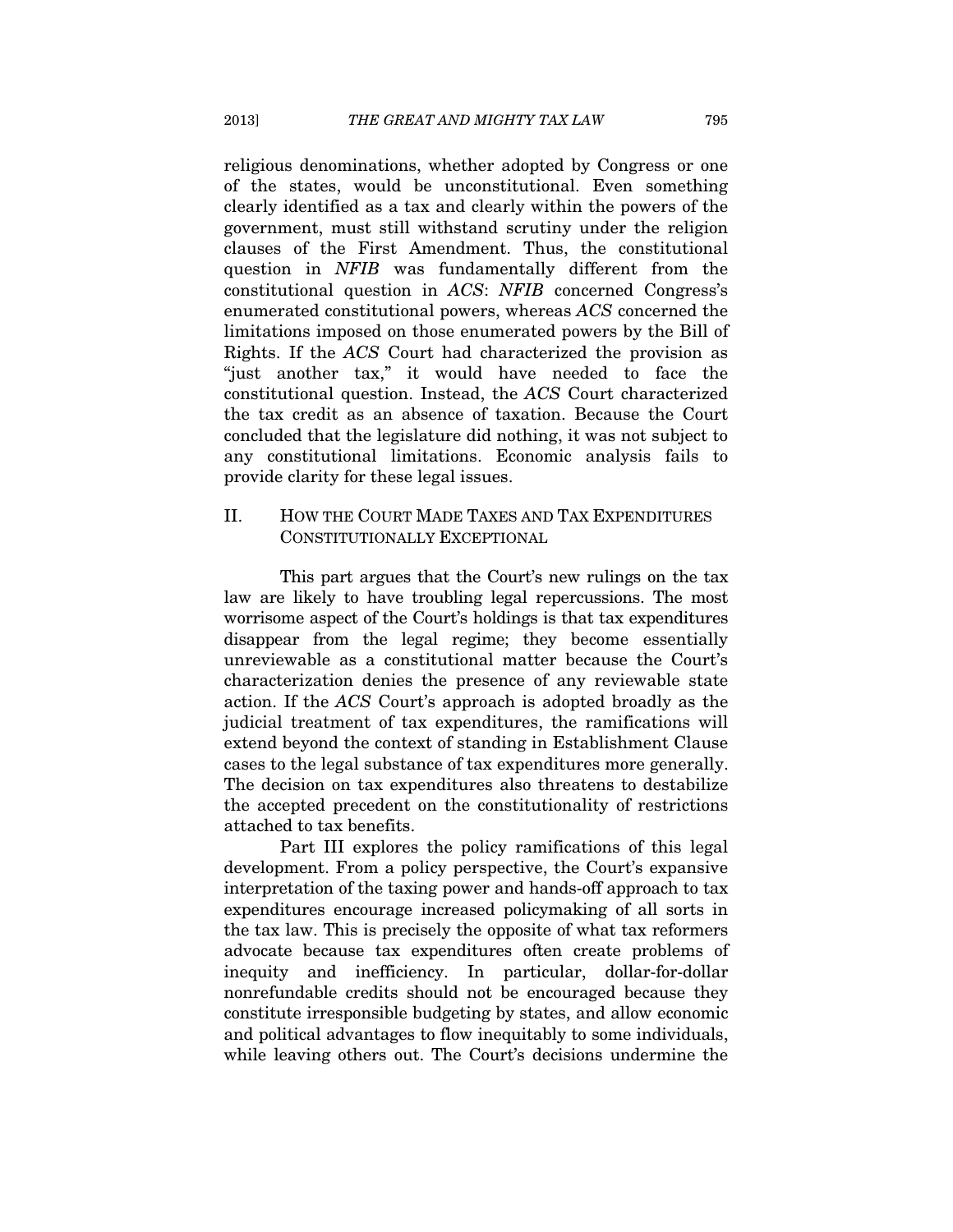religious denominations, whether adopted by Congress or one of the states, would be unconstitutional. Even something clearly identified as a tax and clearly within the powers of the government, must still withstand scrutiny under the religion clauses of the First Amendment. Thus, the constitutional question in *NFIB* was fundamentally different from the constitutional question in *ACS*: *NFIB* concerned Congress's enumerated constitutional powers, whereas *ACS* concerned the limitations imposed on those enumerated powers by the Bill of Rights. If the *ACS* Court had characterized the provision as "just another tax," it would have needed to face the constitutional question. Instead, the *ACS* Court characterized the tax credit as an absence of taxation. Because the Court concluded that the legislature did nothing, it was not subject to any constitutional limitations. Economic analysis fails to provide clarity for these legal issues.

# II. HOW THE COURT MADE TAXES AND TAX EXPENDITURES CONSTITUTIONALLY EXCEPTIONAL

This part argues that the Court's new rulings on the tax law are likely to have troubling legal repercussions. The most worrisome aspect of the Court's holdings is that tax expenditures disappear from the legal regime; they become essentially unreviewable as a constitutional matter because the Court's characterization denies the presence of any reviewable state action. If the *ACS* Court's approach is adopted broadly as the judicial treatment of tax expenditures, the ramifications will extend beyond the context of standing in Establishment Clause cases to the legal substance of tax expenditures more generally. The decision on tax expenditures also threatens to destabilize the accepted precedent on the constitutionality of restrictions attached to tax benefits.

Part III explores the policy ramifications of this legal development. From a policy perspective, the Court's expansive interpretation of the taxing power and hands-off approach to tax expenditures encourage increased policymaking of all sorts in the tax law. This is precisely the opposite of what tax reformers advocate because tax expenditures often create problems of inequity and inefficiency. In particular, dollar-for-dollar nonrefundable credits should not be encouraged because they constitute irresponsible budgeting by states, and allow economic and political advantages to flow inequitably to some individuals, while leaving others out. The Court's decisions undermine the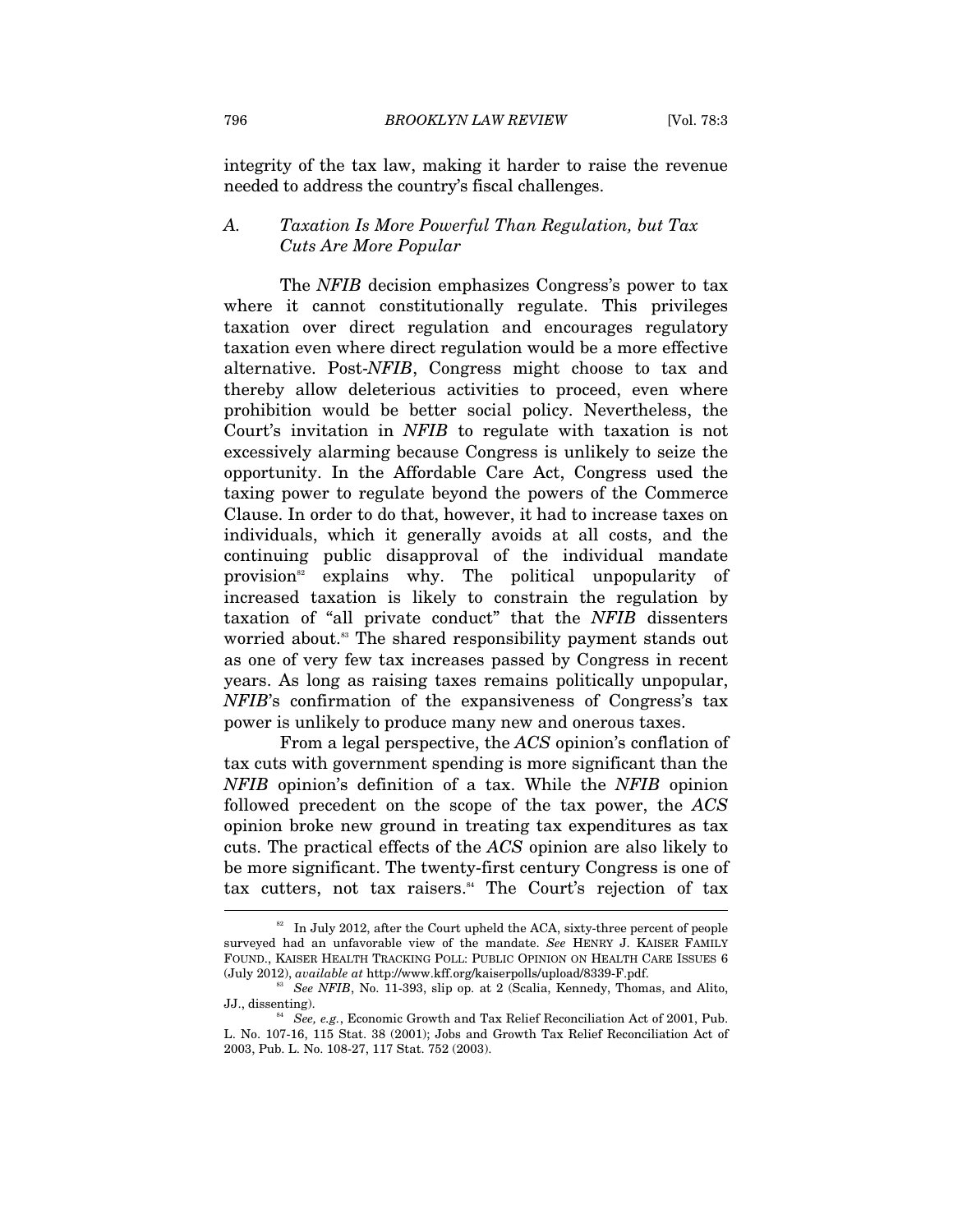integrity of the tax law, making it harder to raise the revenue needed to address the country's fiscal challenges.

#### *A. Taxation Is More Powerful Than Regulation, but Tax Cuts Are More Popular*

The *NFIB* decision emphasizes Congress's power to tax where it cannot constitutionally regulate. This privileges taxation over direct regulation and encourages regulatory taxation even where direct regulation would be a more effective alternative. Post-*NFIB*, Congress might choose to tax and thereby allow deleterious activities to proceed, even where prohibition would be better social policy. Nevertheless, the Court's invitation in *NFIB* to regulate with taxation is not excessively alarming because Congress is unlikely to seize the opportunity. In the Affordable Care Act, Congress used the taxing power to regulate beyond the powers of the Commerce Clause. In order to do that, however, it had to increase taxes on individuals, which it generally avoids at all costs, and the continuing public disapproval of the individual mandate provision<sup>82</sup> explains why. The political unpopularity of increased taxation is likely to constrain the regulation by taxation of "all private conduct" that the *NFIB* dissenters worried about.<sup>83</sup> The shared responsibility payment stands out as one of very few tax increases passed by Congress in recent years. As long as raising taxes remains politically unpopular, *NFIB*'s confirmation of the expansiveness of Congress's tax power is unlikely to produce many new and onerous taxes.

From a legal perspective, the *ACS* opinion's conflation of tax cuts with government spending is more significant than the *NFIB* opinion's definition of a tax. While the *NFIB* opinion followed precedent on the scope of the tax power, the *ACS* opinion broke new ground in treating tax expenditures as tax cuts. The practical effects of the *ACS* opinion are also likely to be more significant. The twenty-first century Congress is one of tax cutters, not tax raisers.<sup>84</sup> The Court's rejection of tax

 $82$  In July 2012, after the Court upheld the ACA, sixty-three percent of people surveyed had an unfavorable view of the mandate. *See* HENRY J. KAISER FAMILY FOUND., KAISER HEALTH TRACKING POLL: PUBLIC OPINION ON HEALTH CARE ISSUES 6 (July 2012), *available at http://www.kff.org/kaiserpolls/upload/8339-F.pdf.* 

 $S<sup>33</sup>$  *See NFIB*, No. 11-393, slip op. at 2 (Scalia, Kennedy, Thomas, and Alito, JJ., dissenting). 84 *See, e.g.*, Economic Growth and Tax Relief Reconciliation Act of 2001, Pub.

L. No. 107-16, 115 Stat. 38 (2001); Jobs and Growth Tax Relief Reconciliation Act of 2003, Pub. L. No. 108-27, 117 Stat. 752 (2003).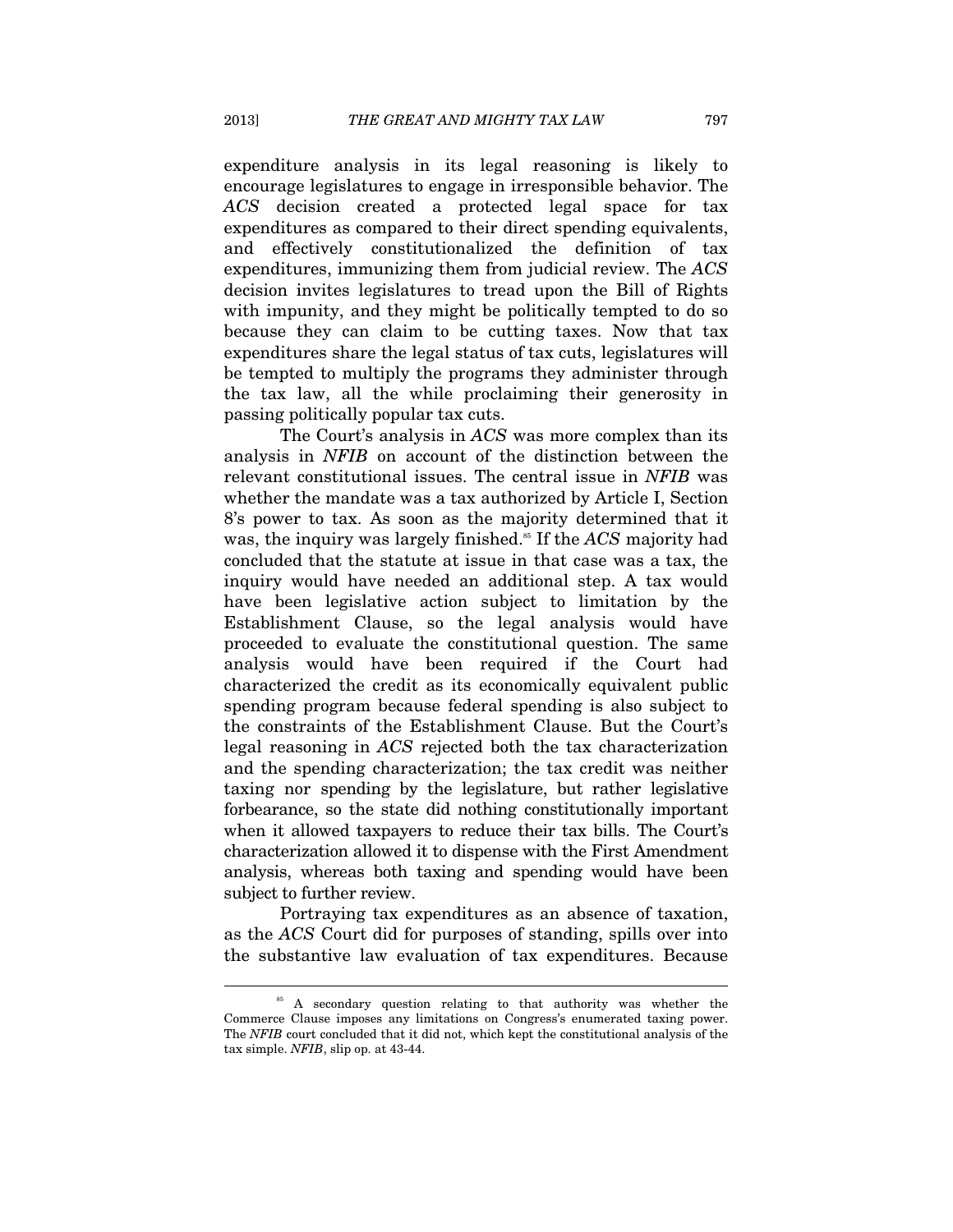expenditure analysis in its legal reasoning is likely to encourage legislatures to engage in irresponsible behavior. The *ACS* decision created a protected legal space for tax expenditures as compared to their direct spending equivalents, and effectively constitutionalized the definition of tax expenditures, immunizing them from judicial review. The *ACS* decision invites legislatures to tread upon the Bill of Rights with impunity, and they might be politically tempted to do so because they can claim to be cutting taxes. Now that tax expenditures share the legal status of tax cuts, legislatures will be tempted to multiply the programs they administer through the tax law, all the while proclaiming their generosity in passing politically popular tax cuts.

The Court's analysis in *ACS* was more complex than its analysis in *NFIB* on account of the distinction between the relevant constitutional issues. The central issue in *NFIB* was whether the mandate was a tax authorized by Article I, Section 8's power to tax. As soon as the majority determined that it was, the inquiry was largely finished.<sup>85</sup> If the *ACS* majority had concluded that the statute at issue in that case was a tax, the inquiry would have needed an additional step. A tax would have been legislative action subject to limitation by the Establishment Clause, so the legal analysis would have proceeded to evaluate the constitutional question. The same analysis would have been required if the Court had characterized the credit as its economically equivalent public spending program because federal spending is also subject to the constraints of the Establishment Clause. But the Court's legal reasoning in *ACS* rejected both the tax characterization and the spending characterization; the tax credit was neither taxing nor spending by the legislature, but rather legislative forbearance, so the state did nothing constitutionally important when it allowed taxpayers to reduce their tax bills. The Court's characterization allowed it to dispense with the First Amendment analysis, whereas both taxing and spending would have been subject to further review.

Portraying tax expenditures as an absence of taxation, as the *ACS* Court did for purposes of standing, spills over into the substantive law evaluation of tax expenditures. Because

<sup>&</sup>lt;sup>85</sup> A secondary question relating to that authority was whether the Commerce Clause imposes any limitations on Congress's enumerated taxing power. The *NFIB* court concluded that it did not, which kept the constitutional analysis of the tax simple. *NFIB*, slip op. at 43-44.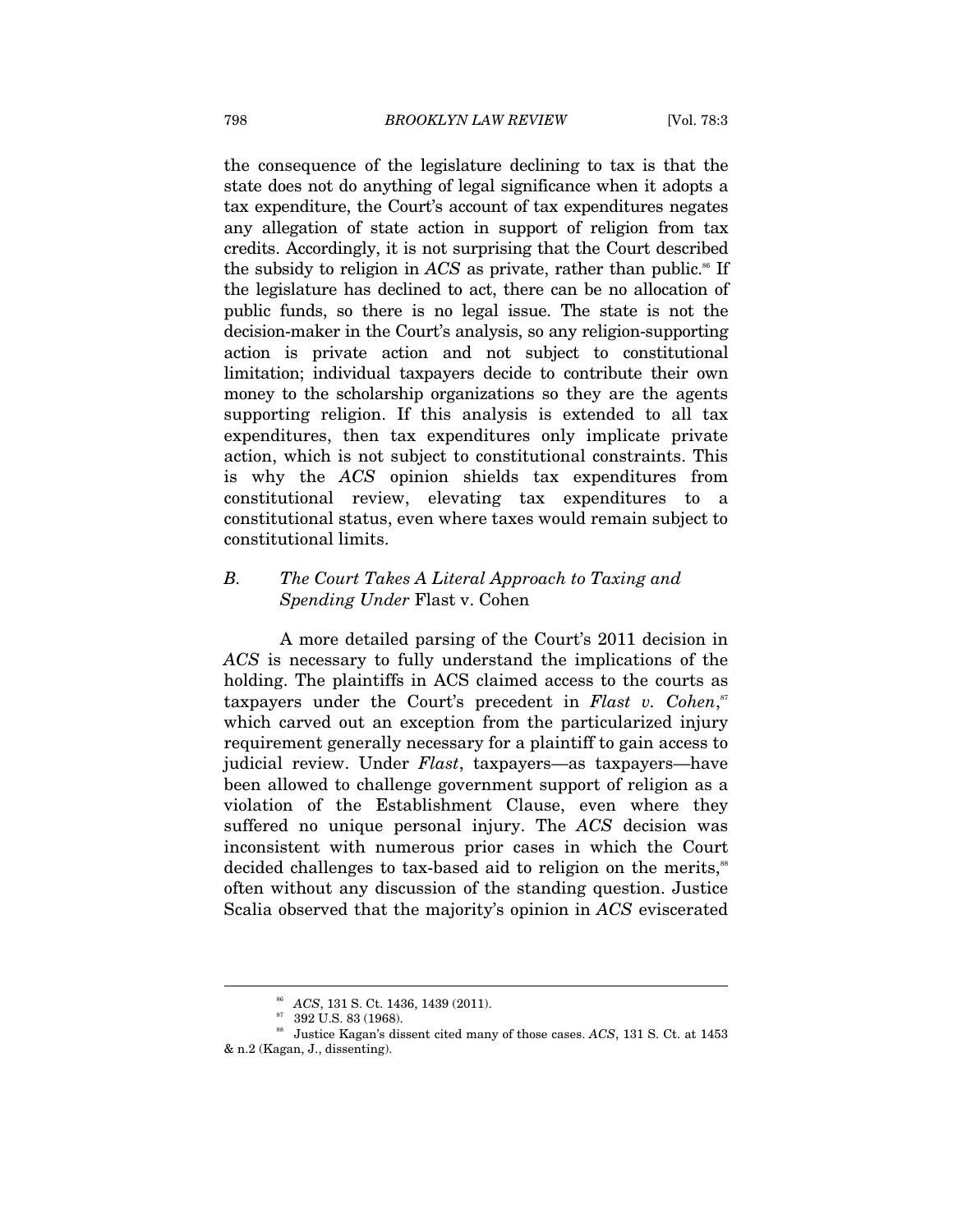the consequence of the legislature declining to tax is that the state does not do anything of legal significance when it adopts a tax expenditure, the Court's account of tax expenditures negates any allegation of state action in support of religion from tax credits. Accordingly, it is not surprising that the Court described the subsidy to religion in *ACS* as private, rather than public.<sup>86</sup> If the legislature has declined to act, there can be no allocation of public funds, so there is no legal issue. The state is not the decision-maker in the Court's analysis, so any religion-supporting action is private action and not subject to constitutional limitation; individual taxpayers decide to contribute their own money to the scholarship organizations so they are the agents supporting religion. If this analysis is extended to all tax expenditures, then tax expenditures only implicate private action, which is not subject to constitutional constraints. This is why the *ACS* opinion shields tax expenditures from constitutional review, elevating tax expenditures to a constitutional status, even where taxes would remain subject to constitutional limits.

### *B. The Court Takes A Literal Approach to Taxing and Spending Under* Flast v. Cohen

A more detailed parsing of the Court's 2011 decision in *ACS* is necessary to fully understand the implications of the holding. The plaintiffs in ACS claimed access to the courts as taxpayers under the Court's precedent in *Flast v. Cohen*,<sup>*st*</sup> which carved out an exception from the particularized injury requirement generally necessary for a plaintiff to gain access to judicial review. Under *Flast*, taxpayers—as taxpayers—have been allowed to challenge government support of religion as a violation of the Establishment Clause, even where they suffered no unique personal injury. The *ACS* decision was inconsistent with numerous prior cases in which the Court decided challenges to tax-based aid to religion on the merits,<sup>88</sup> often without any discussion of the standing question. Justice Scalia observed that the majority's opinion in *ACS* eviscerated

<sup>86</sup> *ACS*, 131 S. Ct. 1436, 1439 (2011). 87 392 U.S. 83 (1968).

<sup>88</sup> Justice Kagan's dissent cited many of those cases. *ACS*, 131 S. Ct. at 1453 & n.2 (Kagan, J., dissenting).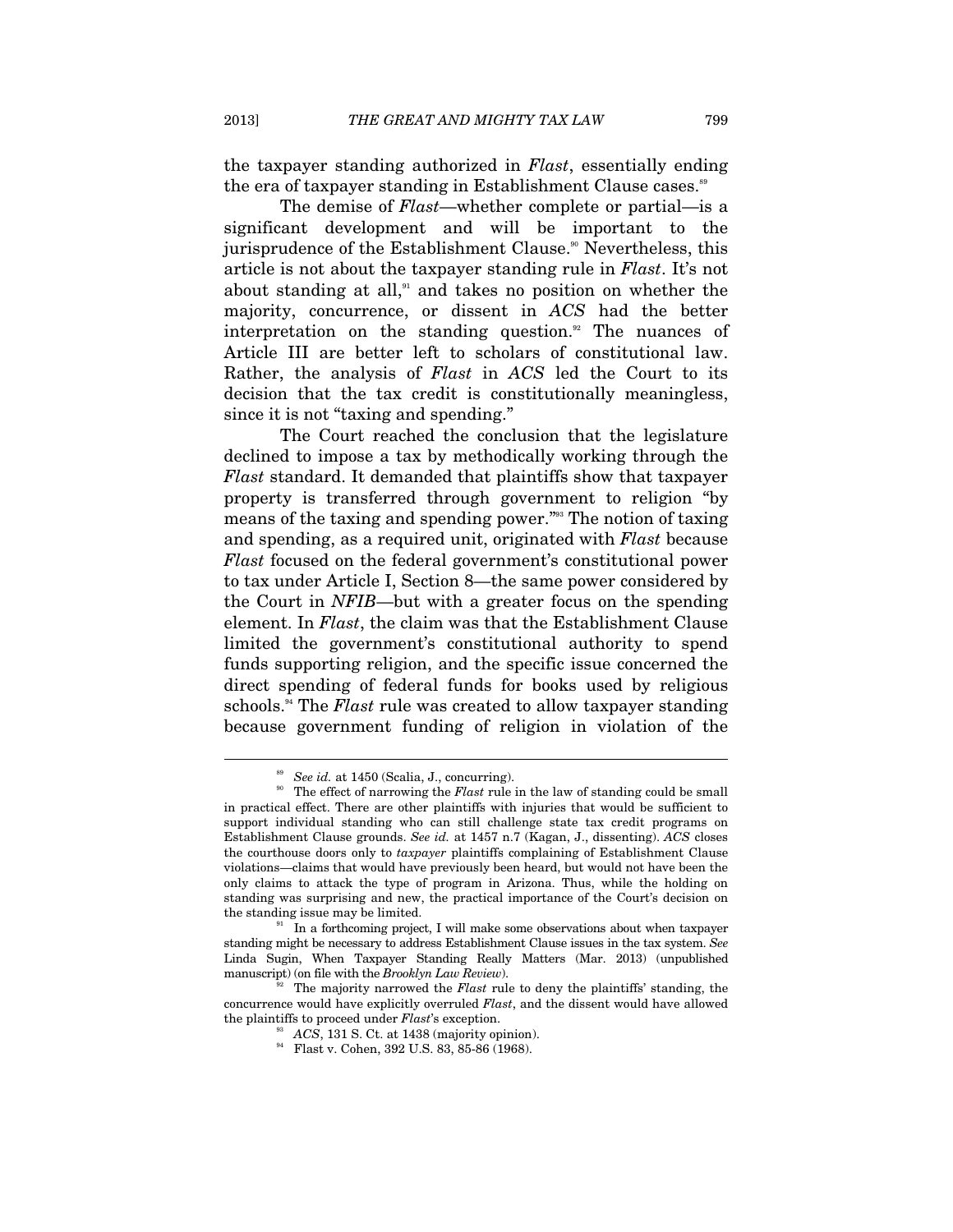the taxpayer standing authorized in *Flast*, essentially ending the era of taxpayer standing in Establishment Clause cases.<sup>89</sup>

The demise of *Flast*—whether complete or partial—is a significant development and will be important to the jurisprudence of the Establishment Clause.<sup>90</sup> Nevertheless, this article is not about the taxpayer standing rule in *Flast*. It's not about standing at all, $91$  and takes no position on whether the majority, concurrence, or dissent in *ACS* had the better interpretation on the standing question.<sup>92</sup> The nuances of Article III are better left to scholars of constitutional law. Rather, the analysis of *Flast* in *ACS* led the Court to its decision that the tax credit is constitutionally meaningless, since it is not "taxing and spending."

The Court reached the conclusion that the legislature declined to impose a tax by methodically working through the *Flast* standard. It demanded that plaintiffs show that taxpayer property is transferred through government to religion "by means of the taxing and spending power."93 The notion of taxing and spending, as a required unit, originated with *Flast* because *Flast* focused on the federal government's constitutional power to tax under Article I, Section 8—the same power considered by the Court in *NFIB*—but with a greater focus on the spending element. In *Flast*, the claim was that the Establishment Clause limited the government's constitutional authority to spend funds supporting religion, and the specific issue concerned the direct spending of federal funds for books used by religious schools.94 The *Flast* rule was created to allow taxpayer standing because government funding of religion in violation of the

See id. at 1450 (Scalia, J., concurring).<br>The effect of narrowing the *Flast* rule in the law of standing could be small in practical effect. There are other plaintiffs with injuries that would be sufficient to support individual standing who can still challenge state tax credit programs on Establishment Clause grounds. *See id.* at 1457 n.7 (Kagan, J., dissenting). *ACS* closes the courthouse doors only to *taxpayer* plaintiffs complaining of Establishment Clause violations—claims that would have previously been heard, but would not have been the only claims to attack the type of program in Arizona. Thus, while the holding on standing was surprising and new, the practical importance of the Court's decision on the standing issue may be limited.<br><sup>91</sup> In a forthcoming project, I will make some observations about when taxpayer

standing might be necessary to address Establishment Clause issues in the tax system. *See*  Linda Sugin, When Taxpayer Standing Really Matters (Mar. 2013) (unpublished manuscript) (on file with the *Brooklyn Law Review*).

<sup>&</sup>lt;sup>1</sup> The majority narrowed the *Flast* rule to deny the plaintiffs' standing, the concurrence would have explicitly overruled *Flast*, and the dissent would have allowed the plaintiffs to proceed under *Flast*'s exception.<br><sup>93</sup> ACS, 131 S. Ct. at 1438 (majority opinion).<br><sup>94</sup> Flast v. Cohen, 392 U.S. 83, 85-86 (1968).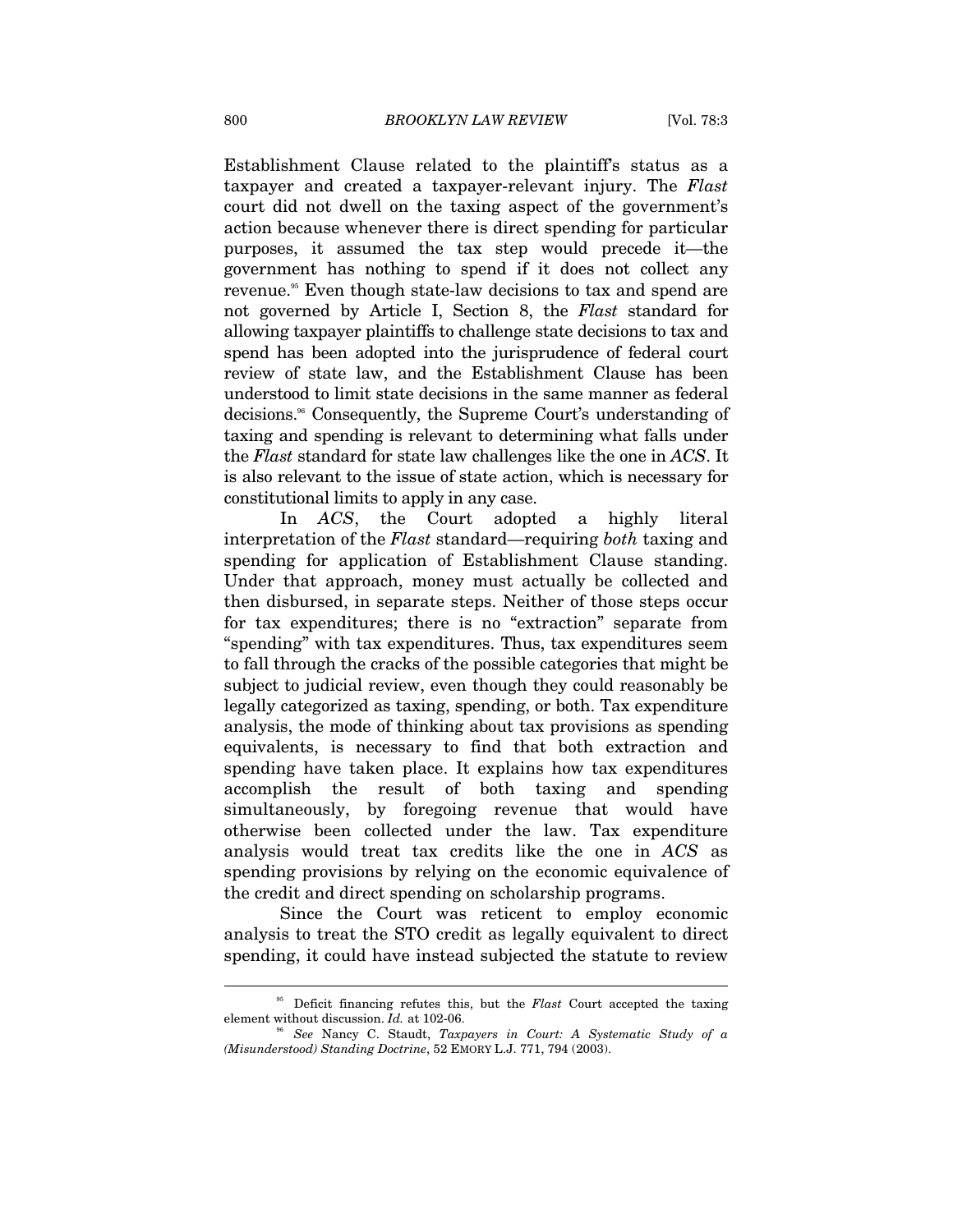Establishment Clause related to the plaintiff's status as a taxpayer and created a taxpayer-relevant injury. The *Flast* court did not dwell on the taxing aspect of the government's action because whenever there is direct spending for particular purposes, it assumed the tax step would precede it—the government has nothing to spend if it does not collect any revenue.<sup>55</sup> Even though state-law decisions to tax and spend are not governed by Article I, Section 8, the *Flast* standard for allowing taxpayer plaintiffs to challenge state decisions to tax and spend has been adopted into the jurisprudence of federal court review of state law, and the Establishment Clause has been understood to limit state decisions in the same manner as federal decisions.96 Consequently, the Supreme Court's understanding of taxing and spending is relevant to determining what falls under the *Flast* standard for state law challenges like the one in *ACS*. It is also relevant to the issue of state action, which is necessary for constitutional limits to apply in any case.

In *ACS*, the Court adopted a highly literal interpretation of the *Flast* standard—requiring *both* taxing and spending for application of Establishment Clause standing. Under that approach, money must actually be collected and then disbursed, in separate steps. Neither of those steps occur for tax expenditures; there is no "extraction" separate from "spending" with tax expenditures. Thus, tax expenditures seem to fall through the cracks of the possible categories that might be subject to judicial review, even though they could reasonably be legally categorized as taxing, spending, or both. Tax expenditure analysis, the mode of thinking about tax provisions as spending equivalents, is necessary to find that both extraction and spending have taken place. It explains how tax expenditures accomplish the result of both taxing and spending simultaneously, by foregoing revenue that would have otherwise been collected under the law. Tax expenditure analysis would treat tax credits like the one in *ACS* as spending provisions by relying on the economic equivalence of the credit and direct spending on scholarship programs.

Since the Court was reticent to employ economic analysis to treat the STO credit as legally equivalent to direct spending, it could have instead subjected the statute to review

<sup>&</sup>lt;sup>95</sup> Deficit financing refutes this, but the *Flast* Court accepted the taxing element without discussion. *Id.* at 102-06.

<sup>96</sup> *See* Nancy C. Staudt, *Taxpayers in Court: A Systematic Study of a (Misunderstood) Standing Doctrine*, 52 EMORY L.J. 771, 794 (2003).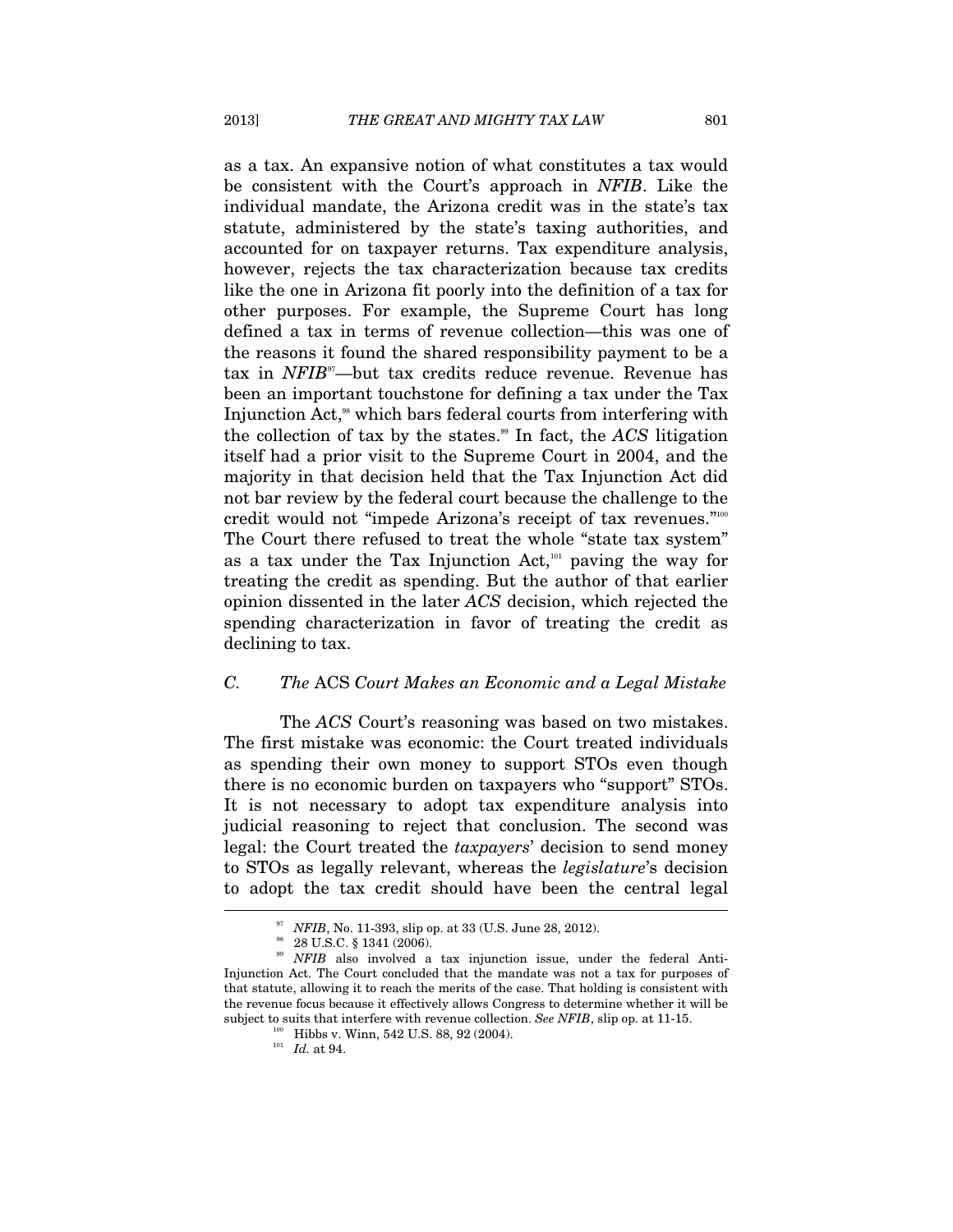as a tax. An expansive notion of what constitutes a tax would be consistent with the Court's approach in *NFIB*. Like the individual mandate, the Arizona credit was in the state's tax statute, administered by the state's taxing authorities, and accounted for on taxpayer returns. Tax expenditure analysis, however, rejects the tax characterization because tax credits like the one in Arizona fit poorly into the definition of a tax for other purposes. For example, the Supreme Court has long defined a tax in terms of revenue collection—this was one of the reasons it found the shared responsibility payment to be a tax in *NFIB*97—but tax credits reduce revenue. Revenue has been an important touchstone for defining a tax under the Tax Injunction Act,<sup>98</sup> which bars federal courts from interfering with the collection of tax by the states.<sup>99</sup> In fact, the *ACS* litigation itself had a prior visit to the Supreme Court in 2004, and the majority in that decision held that the Tax Injunction Act did not bar review by the federal court because the challenge to the credit would not "impede Arizona's receipt of tax revenues."100 The Court there refused to treat the whole "state tax system" as a tax under the Tax Injunction Act, $101$  paving the way for treating the credit as spending. But the author of that earlier opinion dissented in the later *ACS* decision, which rejected the spending characterization in favor of treating the credit as declining to tax.

#### *C. The* ACS *Court Makes an Economic and a Legal Mistake*

The *ACS* Court's reasoning was based on two mistakes. The first mistake was economic: the Court treated individuals as spending their own money to support STOs even though there is no economic burden on taxpayers who "support" STOs. It is not necessary to adopt tax expenditure analysis into judicial reasoning to reject that conclusion. The second was legal: the Court treated the *taxpayers*' decision to send money to STOs as legally relevant, whereas the *legislature*'s decision to adopt the tax credit should have been the central legal l

<sup>&</sup>lt;sup>97</sup> *NFIB*, No. 11-393, slip op. at 33 (U.S. June 28, 2012).<br><sup>98</sup> 28 U.S.C. § 1341 (2006).

<sup>&</sup>lt;sup>99</sup> NFIB also involved a tax injunction issue, under the federal Anti-Injunction Act. The Court concluded that the mandate was not a tax for purposes of that statute, allowing it to reach the merits of the case. That holding is consistent with the revenue focus because it effectively allows Congress to determine whether it will be subject to suits that interfere with revenue collection. *See NFIB*, slip op. at 11-15. 100 Hibbs v. Winn, 542 U.S. 88, 92 (2004). *Id.* at 94.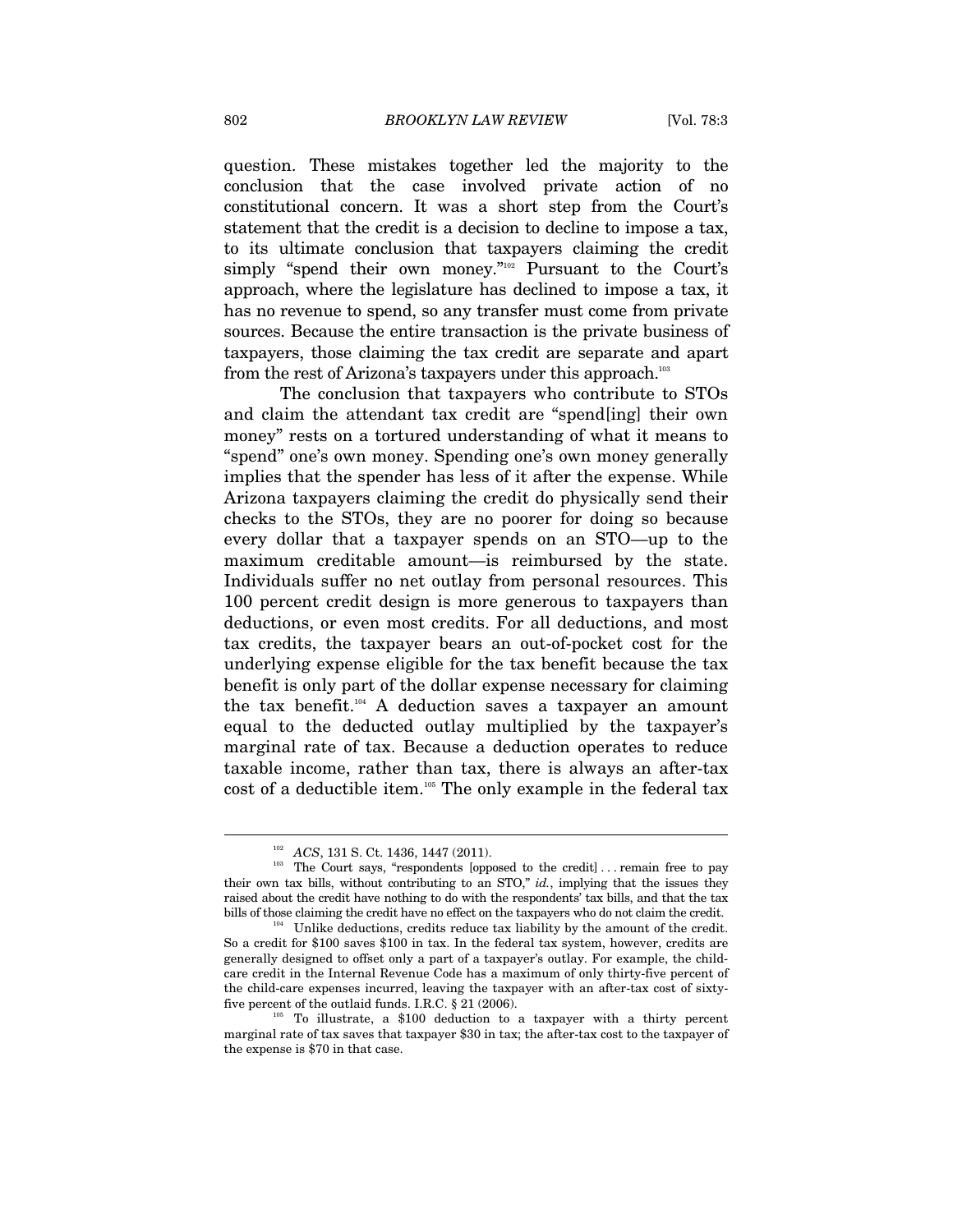question. These mistakes together led the majority to the conclusion that the case involved private action of no constitutional concern. It was a short step from the Court's statement that the credit is a decision to decline to impose a tax, to its ultimate conclusion that taxpayers claiming the credit simply "spend their own money."<sup>102</sup> Pursuant to the Court's approach, where the legislature has declined to impose a tax, it has no revenue to spend, so any transfer must come from private sources. Because the entire transaction is the private business of taxpayers, those claiming the tax credit are separate and apart from the rest of Arizona's taxpayers under this approach.<sup>103</sup>

The conclusion that taxpayers who contribute to STOs and claim the attendant tax credit are "spend[ing] their own money" rests on a tortured understanding of what it means to "spend" one's own money. Spending one's own money generally implies that the spender has less of it after the expense. While Arizona taxpayers claiming the credit do physically send their checks to the STOs, they are no poorer for doing so because every dollar that a taxpayer spends on an STO—up to the maximum creditable amount—is reimbursed by the state. Individuals suffer no net outlay from personal resources. This 100 percent credit design is more generous to taxpayers than deductions, or even most credits. For all deductions, and most tax credits, the taxpayer bears an out-of-pocket cost for the underlying expense eligible for the tax benefit because the tax benefit is only part of the dollar expense necessary for claiming the tax benefit.<sup>104</sup> A deduction saves a taxpayer an amount equal to the deducted outlay multiplied by the taxpayer's marginal rate of tax. Because a deduction operates to reduce taxable income, rather than tax, there is always an after-tax cost of a deductible item.105 The only example in the federal tax

<sup>&</sup>lt;sup>102</sup> ACS, 131 S. Ct. 1436, 1447 (2011).<br><sup>103</sup> The Court says, "respondents [opposed to the credit] . . . remain free to pay their own tax bills, without contributing to an STO," *id.*, implying that the issues they raised about the credit have nothing to do with the respondents' tax bills, and that the tax bills of those claiming the credit have no effect on the taxpayers who do not claim the credit.<br>Unlike deductions, credits reduce tax liability by the amount of the credit.

So a credit for \$100 saves \$100 in tax. In the federal tax system, however, credits are generally designed to offset only a part of a taxpayer's outlay. For example, the childcare credit in the Internal Revenue Code has a maximum of only thirty-five percent of the child-care expenses incurred, leaving the taxpayer with an after-tax cost of sixty-<br>five percent of the outlaid funds. I.R.C.  $\S 21$  (2006).

 $105$  To illustrate, a \$100 deduction to a taxpayer with a thirty percent marginal rate of tax saves that taxpayer \$30 in tax; the after-tax cost to the taxpayer of the expense is \$70 in that case.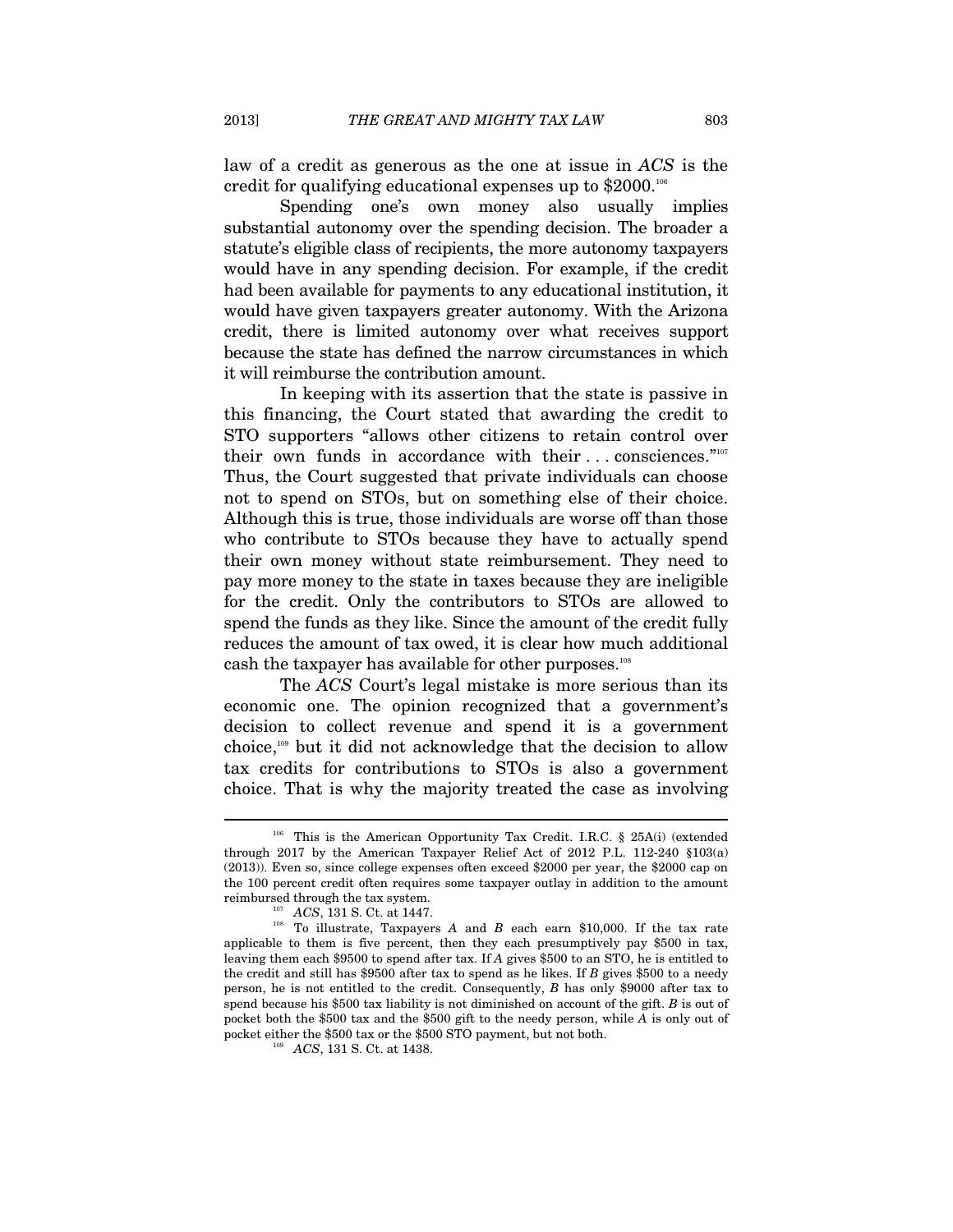law of a credit as generous as the one at issue in *ACS* is the credit for qualifying educational expenses up to \$2000.106

Spending one's own money also usually implies substantial autonomy over the spending decision. The broader a statute's eligible class of recipients, the more autonomy taxpayers would have in any spending decision. For example, if the credit had been available for payments to any educational institution, it would have given taxpayers greater autonomy. With the Arizona credit, there is limited autonomy over what receives support because the state has defined the narrow circumstances in which it will reimburse the contribution amount.

In keeping with its assertion that the state is passive in this financing, the Court stated that awarding the credit to STO supporters "allows other citizens to retain control over their own funds in accordance with their ... consciences."107 Thus, the Court suggested that private individuals can choose not to spend on STOs, but on something else of their choice. Although this is true, those individuals are worse off than those who contribute to STOs because they have to actually spend their own money without state reimbursement. They need to pay more money to the state in taxes because they are ineligible for the credit. Only the contributors to STOs are allowed to spend the funds as they like. Since the amount of the credit fully reduces the amount of tax owed, it is clear how much additional cash the taxpayer has available for other purposes.<sup>108</sup>

The *ACS* Court's legal mistake is more serious than its economic one. The opinion recognized that a government's decision to collect revenue and spend it is a government choice,109 but it did not acknowledge that the decision to allow tax credits for contributions to STOs is also a government choice. That is why the majority treated the case as involving

<sup>106</sup> This is the American Opportunity Tax Credit. I.R.C. § 25A(i) (extended through 2017 by the American Taxpayer Relief Act of 2012 P.L. 112-240 §103(a) (2013)). Even so, since college expenses often exceed \$2000 per year, the \$2000 cap on the 100 percent credit often requires some taxpayer outlay in addition to the amount

reimbursed through the tax system.<br><sup>107</sup> *ACS*, 131 S. Ct. at 1447.<br><sup>108</sup> To illustrate, Taxpayers *A* and *B* each earn \$10,000. If the tax rate applicable to them is five percent, then they each presumptively pay \$500 in tax, leaving them each \$9500 to spend after tax. If *A* gives \$500 to an STO, he is entitled to the credit and still has \$9500 after tax to spend as he likes. If *B* gives \$500 to a needy person, he is not entitled to the credit. Consequently, *B* has only \$9000 after tax to spend because his \$500 tax liability is not diminished on account of the gift. *B* is out of pocket both the \$500 tax and the \$500 gift to the needy person, while *A* is only out of pocket either the \$500 tax or the \$500 STO payment, but not both.  $ACS$ , 131 S. Ct. at 1438.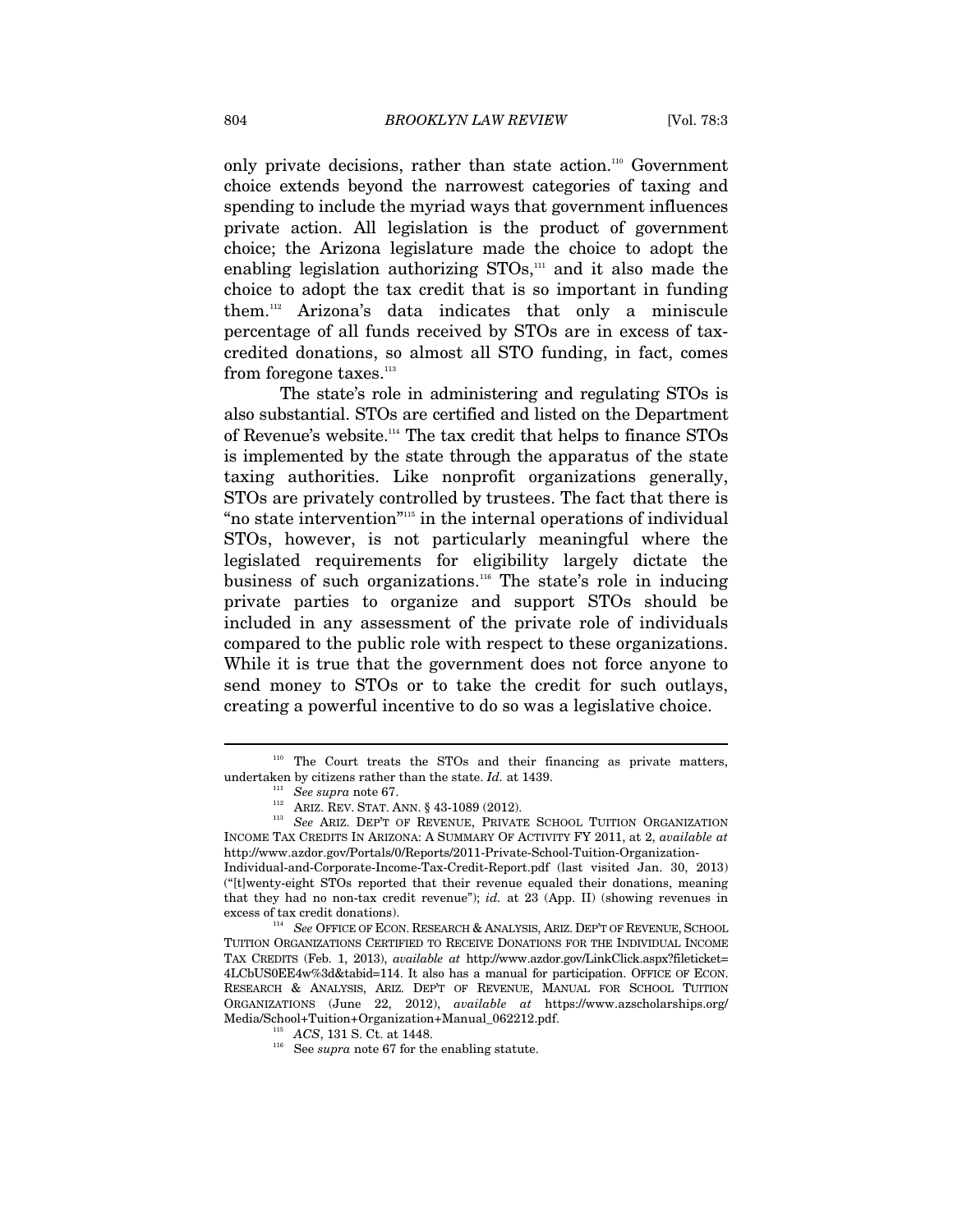only private decisions, rather than state action.110 Government choice extends beyond the narrowest categories of taxing and spending to include the myriad ways that government influences private action. All legislation is the product of government choice; the Arizona legislature made the choice to adopt the enabling legislation authorizing  $STOs$ ,<sup>111</sup> and it also made the choice to adopt the tax credit that is so important in funding them.112 Arizona's data indicates that only a miniscule percentage of all funds received by STOs are in excess of taxcredited donations, so almost all STO funding, in fact, comes from foregone taxes.<sup>113</sup>

The state's role in administering and regulating STOs is also substantial. STOs are certified and listed on the Department of Revenue's website.114 The tax credit that helps to finance STOs is implemented by the state through the apparatus of the state taxing authorities. Like nonprofit organizations generally, STOs are privately controlled by trustees. The fact that there is "no state intervention"115 in the internal operations of individual STOs, however, is not particularly meaningful where the legislated requirements for eligibility largely dictate the business of such organizations.<sup>116</sup> The state's role in inducing private parties to organize and support STOs should be included in any assessment of the private role of individuals compared to the public role with respect to these organizations. While it is true that the government does not force anyone to send money to STOs or to take the credit for such outlays, creating a powerful incentive to do so was a legislative choice.

<sup>&</sup>lt;sup>110</sup> The Court treats the STOs and their financing as private matters, undertaken by citizens rather than the state. *Id.* at 1439.

 $\begin{array}{l} \textbf{111} \quad \textbf{See supra note 67.} \\ \textbf{112} \quad \textbf{ARIZ. REV. STAT. ANN. § 43-1089 (2012).} \end{array}$ 

<sup>113</sup> See ARIZ. DEP'T OF REVENUE, PRIVATE SCHOOL TUITION ORGANIZATION INCOME TAX CREDITS IN ARIZONA: A SUMMARY OF ACTIVITY FY 2011, at 2, *available at* http://www.azdor.gov/Portals/0/Reports/2011-Private-School-Tuition-Organization-

Individual-and-Corporate-Income-Tax-Credit-Report.pdf (last visited Jan. 30, 2013) ("[t]wenty-eight STOs reported that their revenue equaled their donations, meaning that they had no non-tax credit revenue"); *id.* at 23 (App. II) (showing revenues in excess of tax credit donations). 114 *See* OFFICE OF ECON. RESEARCH & ANALYSIS, ARIZ. DEP'T OF REVENUE, SCHOOL

TUITION ORGANIZATIONS CERTIFIED TO RECEIVE DONATIONS FOR THE INDIVIDUAL INCOME TAX CREDITS (Feb. 1, 2013), *available at* http://www.azdor.gov/LinkClick.aspx?fileticket= 4LCbUS0EE4w%3d&tabid=114. It also has a manual for participation. OFFICE OF ECON. RESEARCH & ANALYSIS, ARIZ. DEP'T OF REVENUE, MANUAL FOR SCHOOL TUITION ORGANIZATIONS (June 22, 2012), *available at* https://www.azscholarships.org/ Media/School+Tuition+Organization+Manual\_062212.pdf. 115 *ACS*, 131 S. Ct. at 1448.

 $116$  See *supra* note 67 for the enabling statute.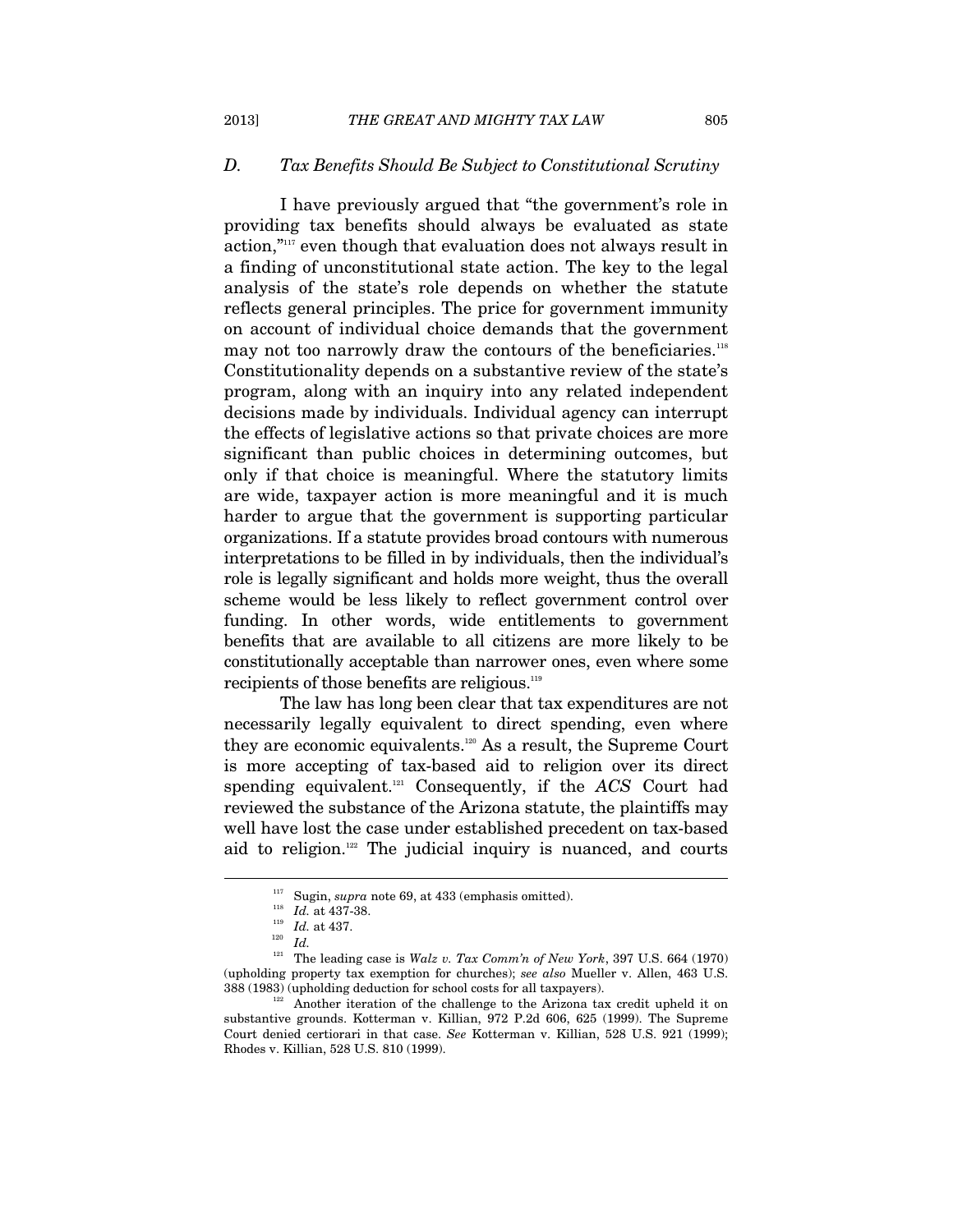# *D. Tax Benefits Should Be Subject to Constitutional Scrutiny*

I have previously argued that "the government's role in providing tax benefits should always be evaluated as state action,"117 even though that evaluation does not always result in a finding of unconstitutional state action. The key to the legal analysis of the state's role depends on whether the statute reflects general principles. The price for government immunity on account of individual choice demands that the government may not too narrowly draw the contours of the beneficiaries.<sup>118</sup> Constitutionality depends on a substantive review of the state's program, along with an inquiry into any related independent decisions made by individuals. Individual agency can interrupt the effects of legislative actions so that private choices are more significant than public choices in determining outcomes, but only if that choice is meaningful. Where the statutory limits are wide, taxpayer action is more meaningful and it is much harder to argue that the government is supporting particular organizations. If a statute provides broad contours with numerous interpretations to be filled in by individuals, then the individual's role is legally significant and holds more weight, thus the overall scheme would be less likely to reflect government control over funding. In other words, wide entitlements to government benefits that are available to all citizens are more likely to be constitutionally acceptable than narrower ones, even where some recipients of those benefits are religious.<sup>119</sup>

The law has long been clear that tax expenditures are not necessarily legally equivalent to direct spending, even where they are economic equivalents.<sup>120</sup> As a result, the Supreme Court is more accepting of tax-based aid to religion over its direct spending equivalent.121 Consequently, if the *ACS* Court had reviewed the substance of the Arizona statute, the plaintiffs may well have lost the case under established precedent on tax-based aid to religion.<sup>122</sup> The judicial inquiry is nuanced, and courts

<sup>&</sup>lt;sup>117</sup> Sugin, *supra* note 69, at 433 (emphasis omitted).<br><sup>118</sup> *Id.* at 437-38.<br><sup>119</sup> *Id.* 120<br><sup>121</sup> The leading case is *Walz v. Tax Comm'n of New York*, 397 U.S. 664 (1970) (upholding property tax exemption for churches); *see also* Mueller v. Allen, 463 U.S. 388 (1983) (upholding deduction for school costs for all taxpayers).<br>
122 Another iteration of the challenge to the Arizona tax credit upheld it on

substantive grounds. Kotterman v. Killian, 972 P.2d 606, 625 (1999). The Supreme Court denied certiorari in that case. *See* Kotterman v. Killian, 528 U.S. 921 (1999); Rhodes v. Killian, 528 U.S. 810 (1999).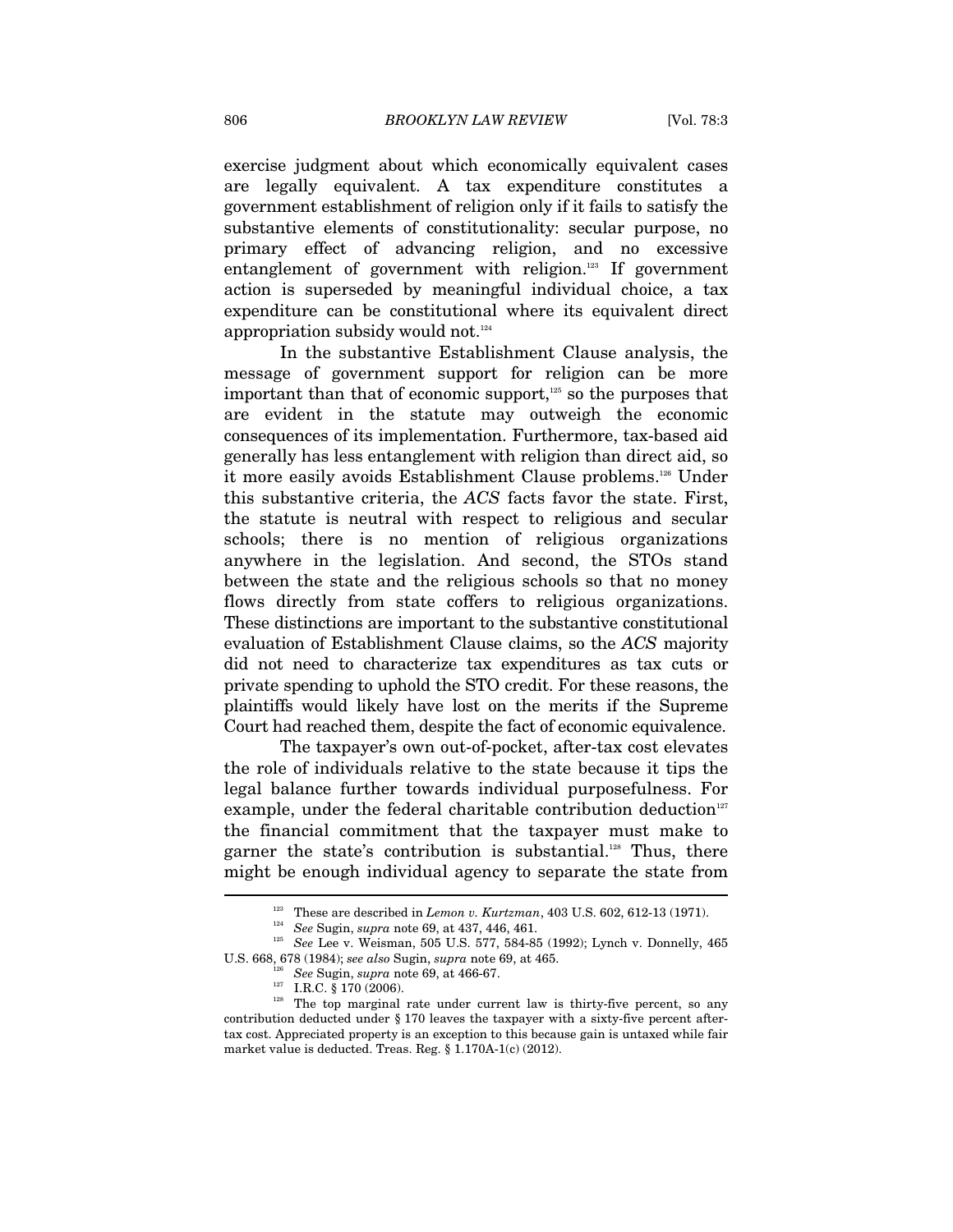exercise judgment about which economically equivalent cases are legally equivalent. A tax expenditure constitutes a government establishment of religion only if it fails to satisfy the substantive elements of constitutionality: secular purpose, no primary effect of advancing religion, and no excessive entanglement of government with religion.<sup>123</sup> If government action is superseded by meaningful individual choice, a tax expenditure can be constitutional where its equivalent direct appropriation subsidy would not.<sup>124</sup>

In the substantive Establishment Clause analysis, the message of government support for religion can be more important than that of economic support,<sup>125</sup> so the purposes that are evident in the statute may outweigh the economic consequences of its implementation. Furthermore, tax-based aid generally has less entanglement with religion than direct aid, so it more easily avoids Establishment Clause problems.126 Under this substantive criteria, the *ACS* facts favor the state. First, the statute is neutral with respect to religious and secular schools; there is no mention of religious organizations anywhere in the legislation. And second, the STOs stand between the state and the religious schools so that no money flows directly from state coffers to religious organizations. These distinctions are important to the substantive constitutional evaluation of Establishment Clause claims, so the *ACS* majority did not need to characterize tax expenditures as tax cuts or private spending to uphold the STO credit. For these reasons, the plaintiffs would likely have lost on the merits if the Supreme Court had reached them, despite the fact of economic equivalence.

The taxpayer's own out-of-pocket, after-tax cost elevates the role of individuals relative to the state because it tips the legal balance further towards individual purposefulness. For example, under the federal charitable contribution deduction<sup>127</sup> the financial commitment that the taxpayer must make to garner the state's contribution is substantial.<sup>128</sup> Thus, there might be enough individual agency to separate the state from  $\overline{a}$ 

<sup>&</sup>lt;sup>123</sup> These are described in *Lemon v. Kurtzman*, 403 U.S. 602, 612-13 (1971).<br><sup>124</sup> See Sugin, *supra* note 69, at 437, 446, 461.<br><sup>125</sup> See Lee v. Weisman, 505 U.S. 577, 584-85 (1992); Lynch v. Donnelly, 465 U.S. 668, 678 (1984); *see also* Sugin, *supra* note 69, at 465. 126 *See* Sugin, *supra* note 69, at 466-67.

<sup>&</sup>lt;sup>128</sup> The top marginal rate under current law is thirty-five percent, so any contribution deducted under § 170 leaves the taxpayer with a sixty-five percent aftertax cost. Appreciated property is an exception to this because gain is untaxed while fair market value is deducted. Treas. Reg. § 1.170A-1(c) (2012).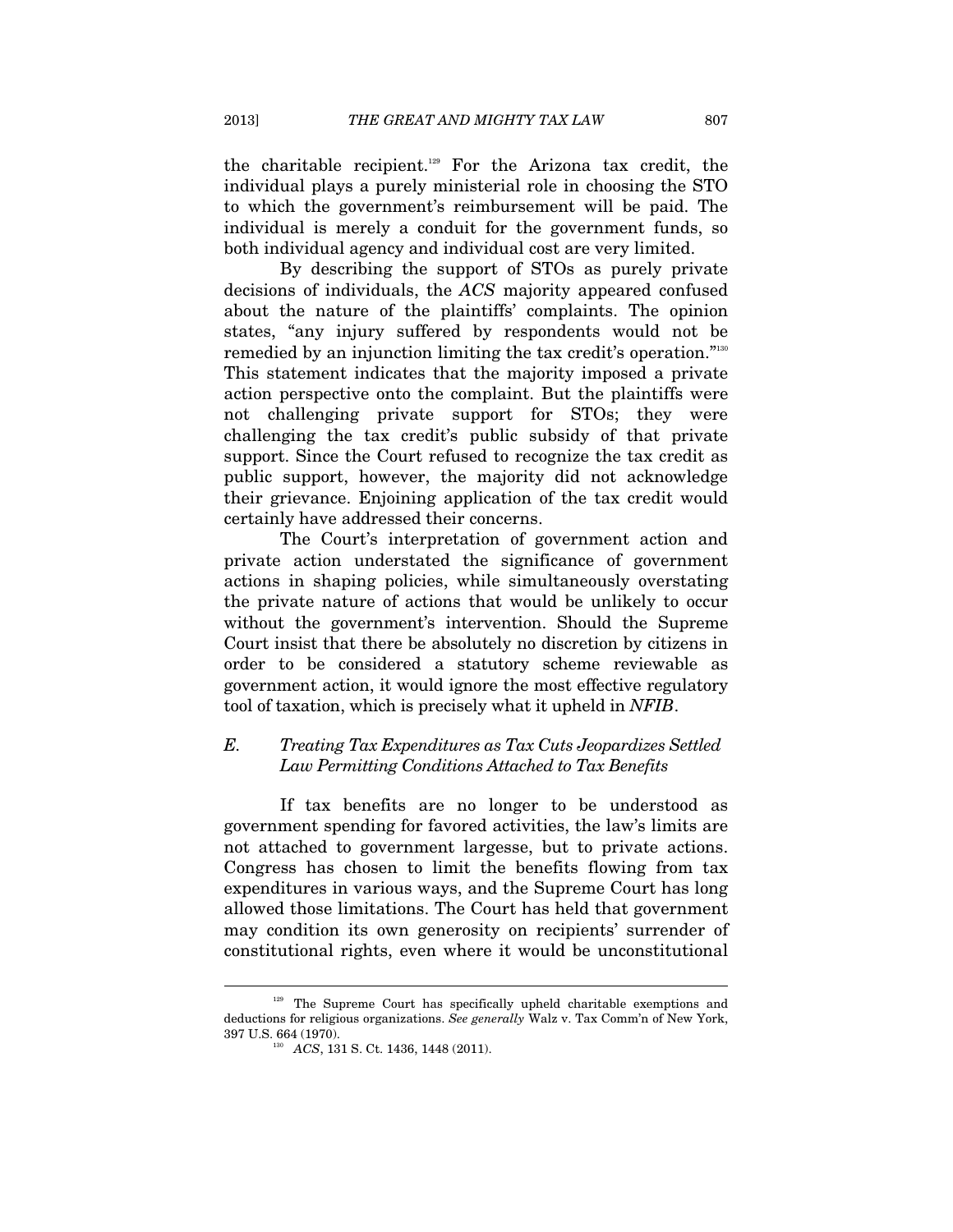the charitable recipient.129 For the Arizona tax credit, the individual plays a purely ministerial role in choosing the STO to which the government's reimbursement will be paid. The individual is merely a conduit for the government funds, so both individual agency and individual cost are very limited.

By describing the support of STOs as purely private decisions of individuals, the *ACS* majority appeared confused about the nature of the plaintiffs' complaints. The opinion states, "any injury suffered by respondents would not be remedied by an injunction limiting the tax credit's operation."<sup>130</sup> This statement indicates that the majority imposed a private action perspective onto the complaint. But the plaintiffs were not challenging private support for STOs; they were challenging the tax credit's public subsidy of that private support. Since the Court refused to recognize the tax credit as public support, however, the majority did not acknowledge their grievance. Enjoining application of the tax credit would certainly have addressed their concerns.

The Court's interpretation of government action and private action understated the significance of government actions in shaping policies, while simultaneously overstating the private nature of actions that would be unlikely to occur without the government's intervention. Should the Supreme Court insist that there be absolutely no discretion by citizens in order to be considered a statutory scheme reviewable as government action, it would ignore the most effective regulatory tool of taxation, which is precisely what it upheld in *NFIB*.

# *E. Treating Tax Expenditures as Tax Cuts Jeopardizes Settled Law Permitting Conditions Attached to Tax Benefits*

If tax benefits are no longer to be understood as government spending for favored activities, the law's limits are not attached to government largesse, but to private actions. Congress has chosen to limit the benefits flowing from tax expenditures in various ways, and the Supreme Court has long allowed those limitations. The Court has held that government may condition its own generosity on recipients' surrender of constitutional rights, even where it would be unconstitutional

<sup>&</sup>lt;sup>129</sup> The Supreme Court has specifically upheld charitable exemptions and deductions for religious organizations. *See generally* Walz v. Tax Comm'n of New York, 397 U.S. 664 (1970). 130 *ACS*, 131 S. Ct. 1436, 1448 (2011).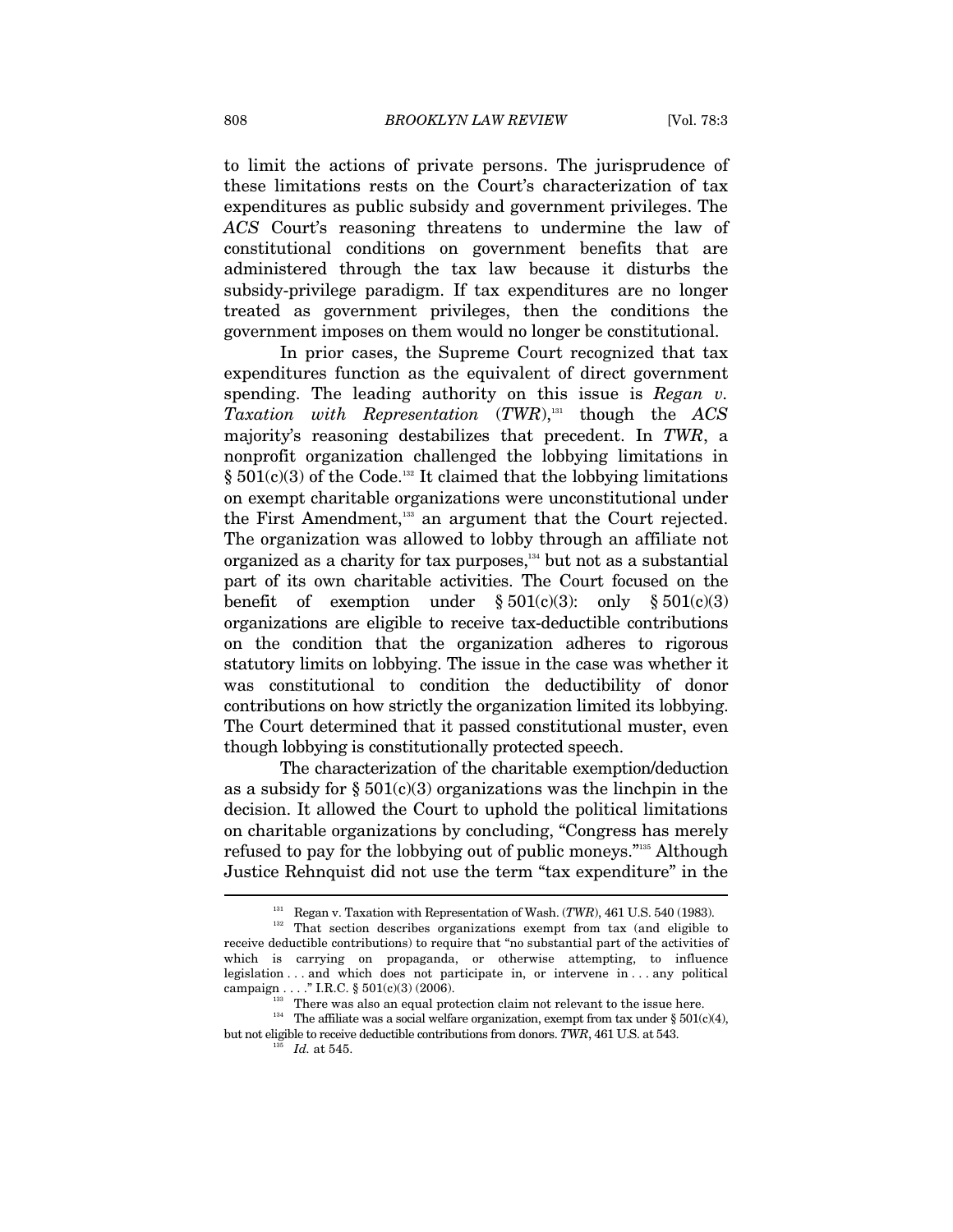to limit the actions of private persons. The jurisprudence of these limitations rests on the Court's characterization of tax expenditures as public subsidy and government privileges. The *ACS* Court's reasoning threatens to undermine the law of constitutional conditions on government benefits that are administered through the tax law because it disturbs the subsidy-privilege paradigm. If tax expenditures are no longer treated as government privileges, then the conditions the government imposes on them would no longer be constitutional.

In prior cases, the Supreme Court recognized that tax expenditures function as the equivalent of direct government spending. The leading authority on this issue is *Regan v. Taxation with Representation* (*TWR*),131 though the *ACS* majority's reasoning destabilizes that precedent. In *TWR*, a nonprofit organization challenged the lobbying limitations in  $\S 501(c)(3)$  of the Code.<sup>132</sup> It claimed that the lobbying limitations on exempt charitable organizations were unconstitutional under the First Amendment,133 an argument that the Court rejected. The organization was allowed to lobby through an affiliate not organized as a charity for tax purposes,<sup>134</sup> but not as a substantial part of its own charitable activities. The Court focused on the benefit of exemption under  $\S 501(c)(3)$ : only  $\S 501(c)(3)$ organizations are eligible to receive tax-deductible contributions on the condition that the organization adheres to rigorous statutory limits on lobbying. The issue in the case was whether it was constitutional to condition the deductibility of donor contributions on how strictly the organization limited its lobbying. The Court determined that it passed constitutional muster, even though lobbying is constitutionally protected speech.

The characterization of the charitable exemption/deduction as a subsidy for  $\S 501(c)(3)$  organizations was the linchpin in the decision. It allowed the Court to uphold the political limitations on charitable organizations by concluding, "Congress has merely refused to pay for the lobbying out of public moneys."135 Although Justice Rehnquist did not use the term "tax expenditure" in the

<sup>&</sup>lt;sup>131</sup> Regan v. Taxation with Representation of Wash.  $(TWR)$ , 461 U.S. 540 (1983). That section describes organizations exempt from tax (and eligible to receive deductible contributions) to require that "no substantial part of the activities of which is carrying on propaganda, or otherwise attempting, to influence legislation . . . and which does not participate in, or intervene in . . . any political campaign . . . . " I.R.C.  $\S 501(c)(3)(2006)$ .

<sup>&</sup>lt;sup>133</sup> There was also an equal protection claim not relevant to the issue here. The affiliate was a social welfare organization, exempt from tax under § 501(c)(4), but not eligible to receive deductible contributions from donors. *TWR*, 461 U.S. at 543.

 $^{135}$  *Id.* at 545.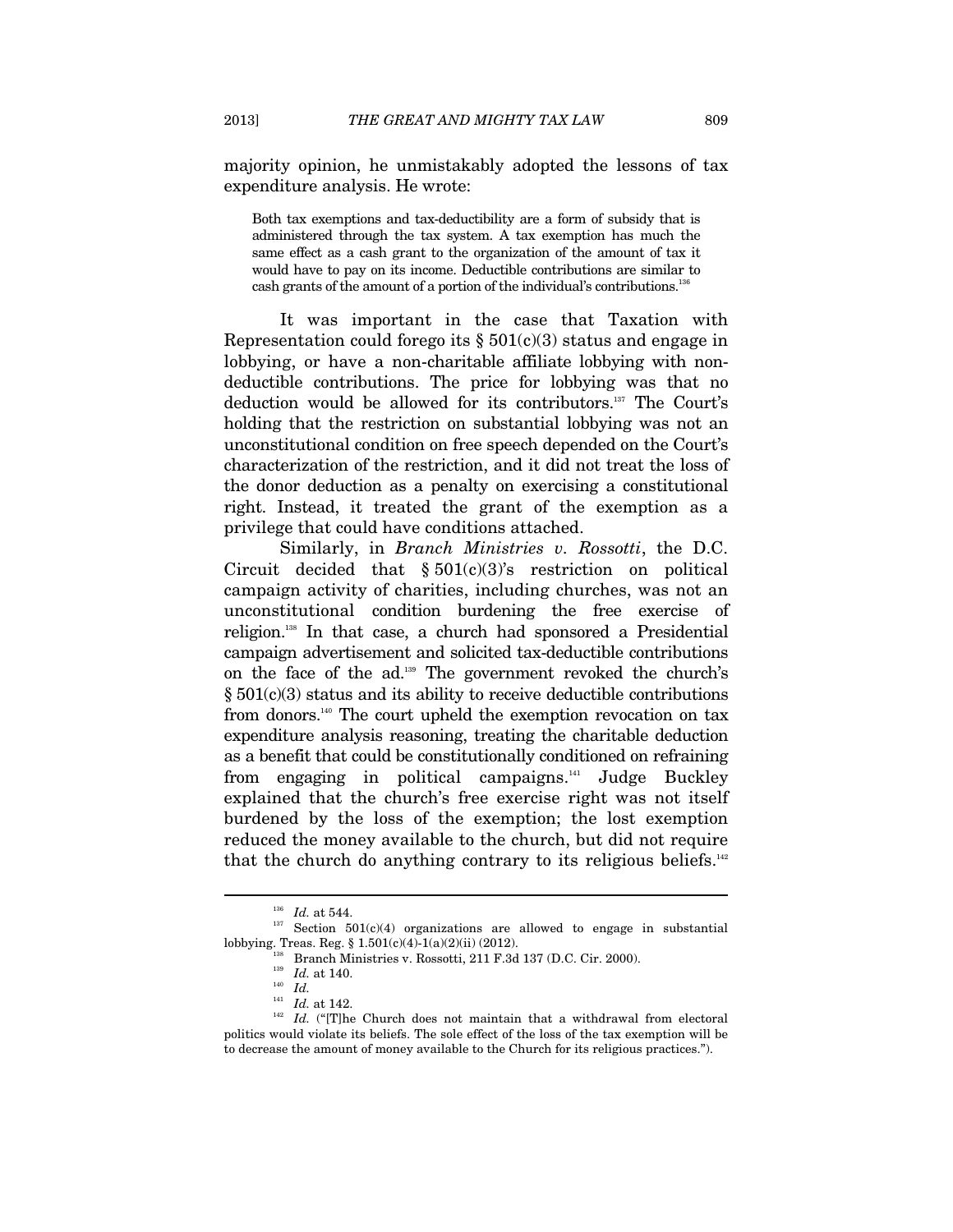majority opinion, he unmistakably adopted the lessons of tax expenditure analysis. He wrote:

Both tax exemptions and tax-deductibility are a form of subsidy that is administered through the tax system. A tax exemption has much the same effect as a cash grant to the organization of the amount of tax it would have to pay on its income. Deductible contributions are similar to cash grants of the amount of a portion of the individual's contributions.<sup>136</sup>

It was important in the case that Taxation with Representation could forego its  $\S 501(c)(3)$  status and engage in lobbying, or have a non-charitable affiliate lobbying with nondeductible contributions. The price for lobbying was that no deduction would be allowed for its contributors.137 The Court's holding that the restriction on substantial lobbying was not an unconstitutional condition on free speech depended on the Court's characterization of the restriction, and it did not treat the loss of the donor deduction as a penalty on exercising a constitutional right. Instead, it treated the grant of the exemption as a privilege that could have conditions attached.

Similarly, in *Branch Ministries v. Rossotti*, the D.C. Circuit decided that  $\S 501(c)(3)$ 's restriction on political campaign activity of charities, including churches, was not an unconstitutional condition burdening the free exercise of religion.138 In that case, a church had sponsored a Presidential campaign advertisement and solicited tax-deductible contributions on the face of the ad.139 The government revoked the church's  $§ 501(c)(3)$  status and its ability to receive deductible contributions from donors.140 The court upheld the exemption revocation on tax expenditure analysis reasoning, treating the charitable deduction as a benefit that could be constitutionally conditioned on refraining from engaging in political campaigns.<sup>141</sup> Judge Buckley explained that the church's free exercise right was not itself burdened by the loss of the exemption; the lost exemption reduced the money available to the church, but did not require that the church do anything contrary to its religious beliefs. $142$ 

 $\begin{array}{rclcl} \hbox{^{136}} & Id. \text{ at 544.} \\ \hbox{Section} & 501(c)(4) \text{ organizations are allowed to engage in substantial} \end{array}$ lobbying. Treas. Reg. § 1.501(c)(4)-1(a)(2)(ii) (2012).

<sup>&</sup>lt;sup>38</sup> Branch Ministries v. Rossotti, 211 F.3d 137 (D.C. Cir. 2000).

<sup>&</sup>lt;sup>139</sup> *Id.* at 140.<br>
<sup>140</sup> *Id. Id.* at 142.

 $142$  *Id.* ("[T]he Church does not maintain that a withdrawal from electoral politics would violate its beliefs. The sole effect of the loss of the tax exemption will be to decrease the amount of money available to the Church for its religious practices.").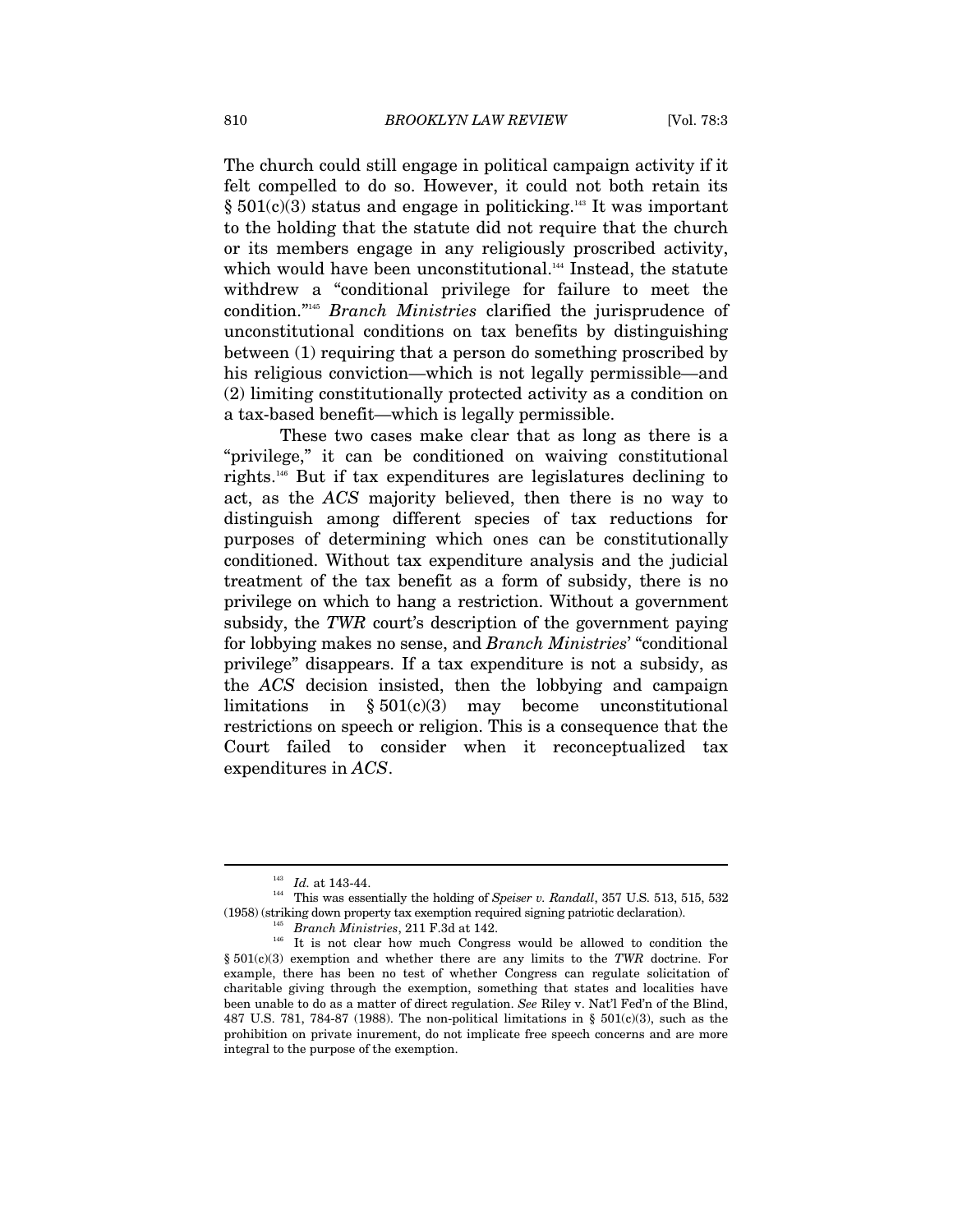The church could still engage in political campaign activity if it felt compelled to do so. However, it could not both retain its  $§ 501(c)(3)$  status and engage in politicking.<sup>143</sup> It was important to the holding that the statute did not require that the church or its members engage in any religiously proscribed activity, which would have been unconstitutional.<sup>144</sup> Instead, the statute withdrew a "conditional privilege for failure to meet the condition."145 *Branch Ministries* clarified the jurisprudence of unconstitutional conditions on tax benefits by distinguishing between (1) requiring that a person do something proscribed by his religious conviction—which is not legally permissible—and (2) limiting constitutionally protected activity as a condition on a tax-based benefit—which is legally permissible.

These two cases make clear that as long as there is a "privilege," it can be conditioned on waiving constitutional rights.146 But if tax expenditures are legislatures declining to act, as the *ACS* majority believed, then there is no way to distinguish among different species of tax reductions for purposes of determining which ones can be constitutionally conditioned. Without tax expenditure analysis and the judicial treatment of the tax benefit as a form of subsidy, there is no privilege on which to hang a restriction. Without a government subsidy, the *TWR* court's description of the government paying for lobbying makes no sense, and *Branch Ministries*' "conditional privilege" disappears. If a tax expenditure is not a subsidy, as the *ACS* decision insisted, then the lobbying and campaign limitations in  $\S 501(c)(3)$  may become unconstitutional restrictions on speech or religion. This is a consequence that the Court failed to consider when it reconceptualized tax expenditures in *ACS*.

 $^{143}$   $\,$   $Id.$  at 143-44. This was essentially the holding of *Speiser v. Randall*, 357 U.S. 513, 515, 532 (1958) (striking down property tax exemption required signing patriotic declaration).  $Branch$  *Branch Ministries*, 211 F.3d at 142. <sup>146</sup> It is not clear how much Congress would be allowed to condition the

<sup>§ 501(</sup>c)(3) exemption and whether there are any limits to the *TWR* doctrine. For example, there has been no test of whether Congress can regulate solicitation of charitable giving through the exemption, something that states and localities have been unable to do as a matter of direct regulation. *See* Riley v. Nat'l Fed'n of the Blind, 487 U.S. 781, 784-87 (1988). The non-political limitations in §  $501(c)(3)$ , such as the prohibition on private inurement, do not implicate free speech concerns and are more integral to the purpose of the exemption.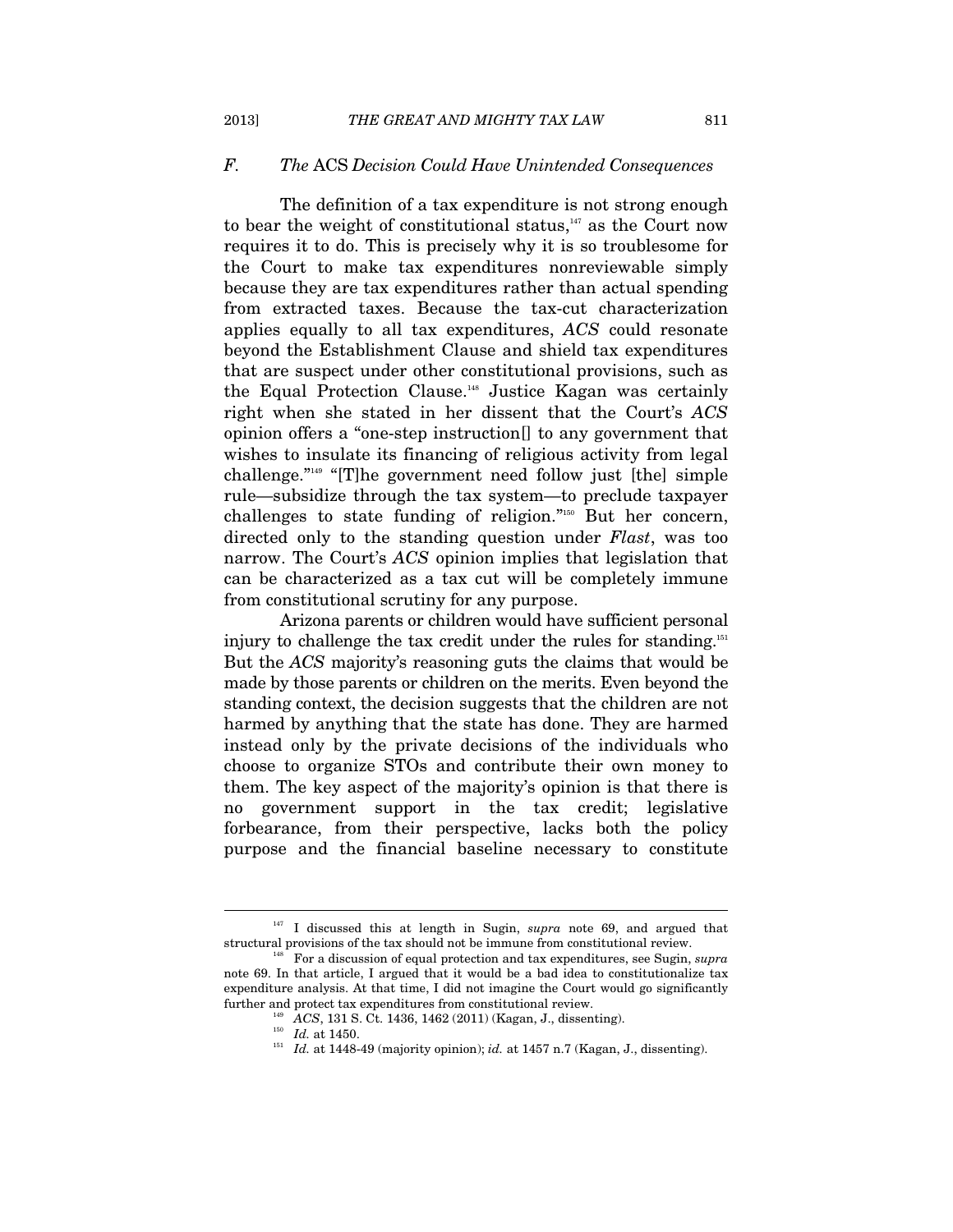#### *F. The* ACS *Decision Could Have Unintended Consequences*

The definition of a tax expenditure is not strong enough to bear the weight of constitutional status, $147$  as the Court now requires it to do. This is precisely why it is so troublesome for the Court to make tax expenditures nonreviewable simply because they are tax expenditures rather than actual spending from extracted taxes. Because the tax-cut characterization applies equally to all tax expenditures, *ACS* could resonate beyond the Establishment Clause and shield tax expenditures that are suspect under other constitutional provisions, such as the Equal Protection Clause.148 Justice Kagan was certainly right when she stated in her dissent that the Court's *ACS* opinion offers a "one-step instruction[] to any government that wishes to insulate its financing of religious activity from legal challenge."149 "[T]he government need follow just [the] simple rule—subsidize through the tax system—to preclude taxpayer challenges to state funding of religion."150 But her concern, directed only to the standing question under *Flast*, was too narrow. The Court's *ACS* opinion implies that legislation that can be characterized as a tax cut will be completely immune from constitutional scrutiny for any purpose.

Arizona parents or children would have sufficient personal injury to challenge the tax credit under the rules for standing.<sup>151</sup> But the *ACS* majority's reasoning guts the claims that would be made by those parents or children on the merits. Even beyond the standing context, the decision suggests that the children are not harmed by anything that the state has done. They are harmed instead only by the private decisions of the individuals who choose to organize STOs and contribute their own money to them. The key aspect of the majority's opinion is that there is no government support in the tax credit; legislative forbearance, from their perspective, lacks both the policy purpose and the financial baseline necessary to constitute

<sup>&</sup>lt;sup>147</sup> I discussed this at length in Sugin, *supra* note 69, and argued that structural provisions of the tax should not be immune from constitutional review. 148 For a discussion of equal protection and tax expenditures, see Sugin, *supra*

note 69. In that article, I argued that it would be a bad idea to constitutionalize tax expenditure analysis. At that time, I did not imagine the Court would go significantly further and protect tax expenditures from constitutional review.<br>  $ACS$ , 131 S. Ct. 1436, 1462 (2011) (Kagan, J., dissenting).<br>  $Id$ . at 1450.<br>  $Id$ . at 1448-49 (majority opinion);  $id$ . at 1457 n.7 (Kagan, J., dissenting).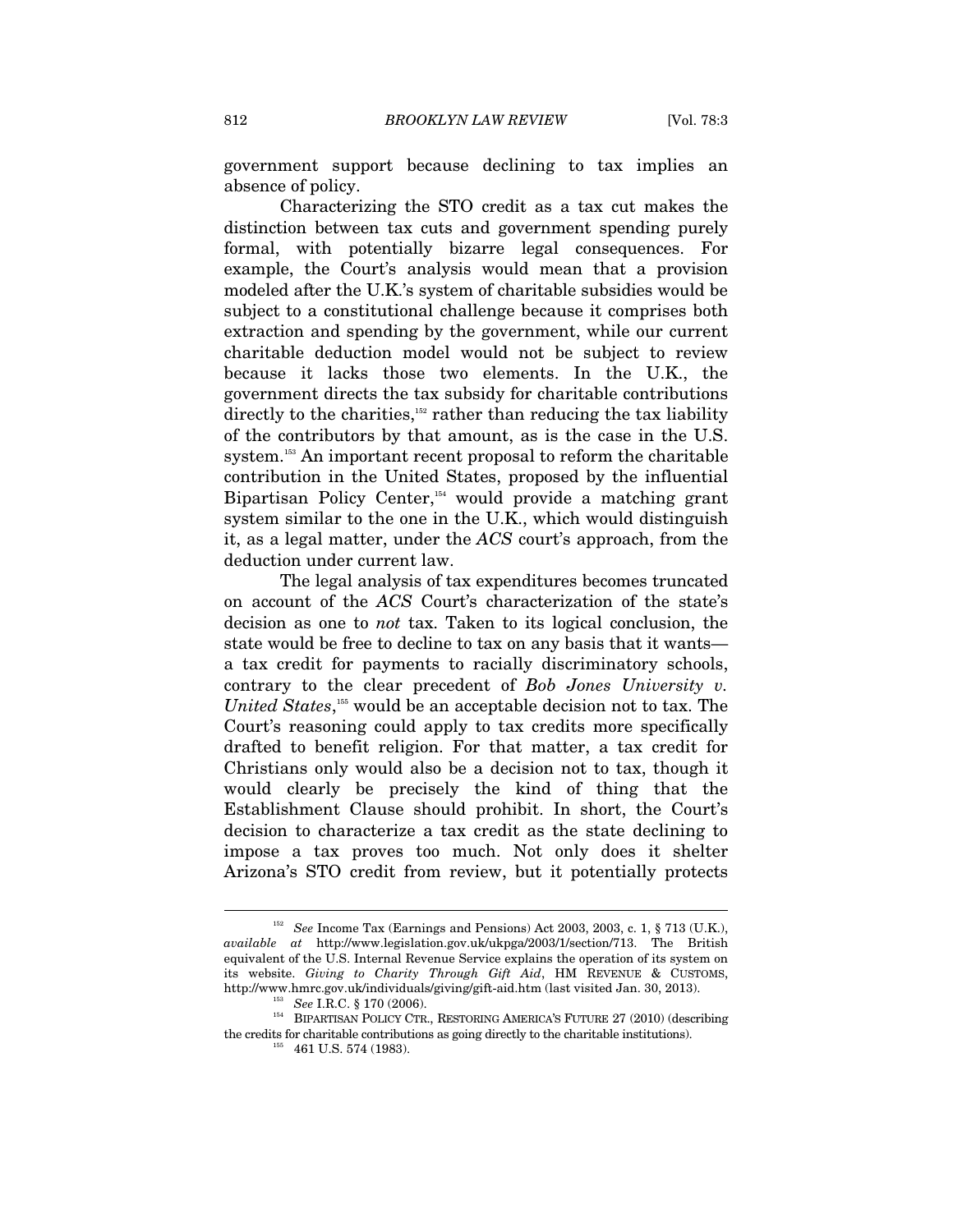government support because declining to tax implies an absence of policy.

Characterizing the STO credit as a tax cut makes the distinction between tax cuts and government spending purely formal, with potentially bizarre legal consequences. For example, the Court's analysis would mean that a provision modeled after the U.K.'s system of charitable subsidies would be subject to a constitutional challenge because it comprises both extraction and spending by the government, while our current charitable deduction model would not be subject to review because it lacks those two elements. In the U.K., the government directs the tax subsidy for charitable contributions directly to the charities, $152$  rather than reducing the tax liability of the contributors by that amount, as is the case in the U.S. system.<sup>153</sup> An important recent proposal to reform the charitable contribution in the United States, proposed by the influential Bipartisan Policy Center,<sup>154</sup> would provide a matching grant system similar to the one in the U.K., which would distinguish it, as a legal matter, under the *ACS* court's approach, from the deduction under current law.

The legal analysis of tax expenditures becomes truncated on account of the *ACS* Court's characterization of the state's decision as one to *not* tax. Taken to its logical conclusion, the state would be free to decline to tax on any basis that it wants a tax credit for payments to racially discriminatory schools, contrary to the clear precedent of *Bob Jones University v. United States*, 155 would be an acceptable decision not to tax. The Court's reasoning could apply to tax credits more specifically drafted to benefit religion. For that matter, a tax credit for Christians only would also be a decision not to tax, though it would clearly be precisely the kind of thing that the Establishment Clause should prohibit. In short, the Court's decision to characterize a tax credit as the state declining to impose a tax proves too much. Not only does it shelter Arizona's STO credit from review, but it potentially protects

<sup>&</sup>lt;sup>152</sup> See Income Tax (Earnings and Pensions) Act 2003, 2003, c. 1, § 713 (U.K.), *available at* http://www.legislation.gov.uk/ukpga/2003/1/section/713. The British equivalent of the U.S. Internal Revenue Service explains the operation of its system on its website. *Giving to Charity Through Gift Aid*, HM REVENUE & CUSTOMS,

http://www.hmrc.gov.uk/individuals/giving/gift-aid.htm (last visited Jan. 30, 2013). 153 *See* I.R.C. § 170 (2006). 154 BIPARTISAN POLICY CTR., RESTORING AMERICA'S FUTURE 27 (2010) (describing the credits for charitable contributions as going directly to the charitable institutions).  $155$  461 U.S. 574 (1983).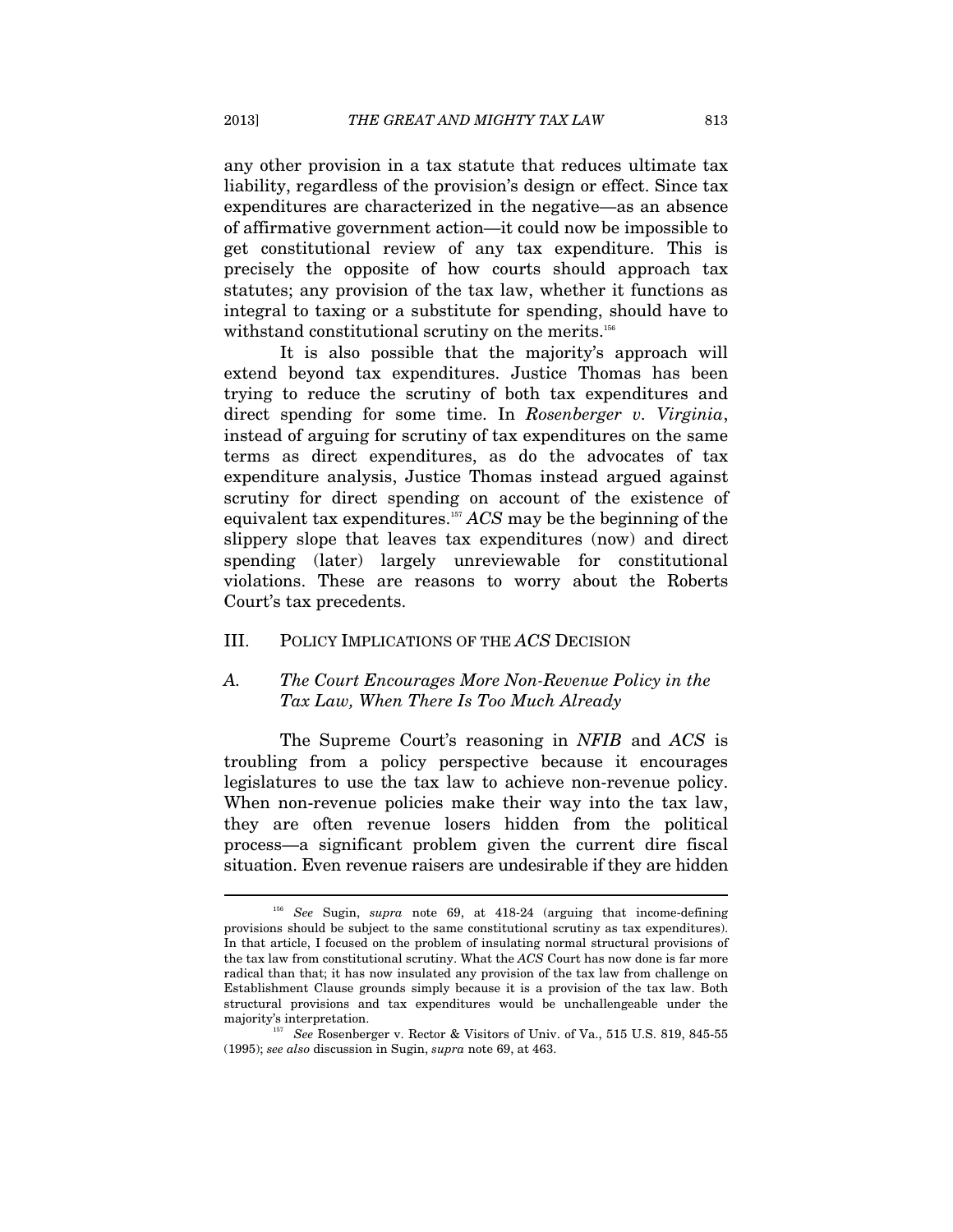any other provision in a tax statute that reduces ultimate tax liability, regardless of the provision's design or effect. Since tax expenditures are characterized in the negative—as an absence of affirmative government action—it could now be impossible to get constitutional review of any tax expenditure. This is precisely the opposite of how courts should approach tax statutes; any provision of the tax law, whether it functions as integral to taxing or a substitute for spending, should have to withstand constitutional scrutiny on the merits.<sup>156</sup>

It is also possible that the majority's approach will extend beyond tax expenditures. Justice Thomas has been trying to reduce the scrutiny of both tax expenditures and direct spending for some time. In *Rosenberger v. Virginia*, instead of arguing for scrutiny of tax expenditures on the same terms as direct expenditures, as do the advocates of tax expenditure analysis, Justice Thomas instead argued against scrutiny for direct spending on account of the existence of equivalent tax expenditures.157 *ACS* may be the beginning of the slippery slope that leaves tax expenditures (now) and direct spending (later) largely unreviewable for constitutional violations. These are reasons to worry about the Roberts Court's tax precedents.

#### III. POLICY IMPLICATIONS OF THE *ACS* DECISION

# *A. The Court Encourages More Non-Revenue Policy in the Tax Law, When There Is Too Much Already*

The Supreme Court's reasoning in *NFIB* and *ACS* is troubling from a policy perspective because it encourages legislatures to use the tax law to achieve non-revenue policy. When non-revenue policies make their way into the tax law, they are often revenue losers hidden from the political process—a significant problem given the current dire fiscal situation. Even revenue raisers are undesirable if they are hidden

<sup>156</sup> *See* Sugin, *supra* note 69, at 418-24 (arguing that income-defining provisions should be subject to the same constitutional scrutiny as tax expenditures). In that article, I focused on the problem of insulating normal structural provisions of the tax law from constitutional scrutiny. What the *ACS* Court has now done is far more radical than that; it has now insulated any provision of the tax law from challenge on Establishment Clause grounds simply because it is a provision of the tax law. Both structural provisions and tax expenditures would be unchallengeable under the

majority's interpretation. 157 *See* Rosenberger v. Rector & Visitors of Univ. of Va., 515 U.S. 819, 845-55 (1995); *see also* discussion in Sugin, *supra* note 69, at 463.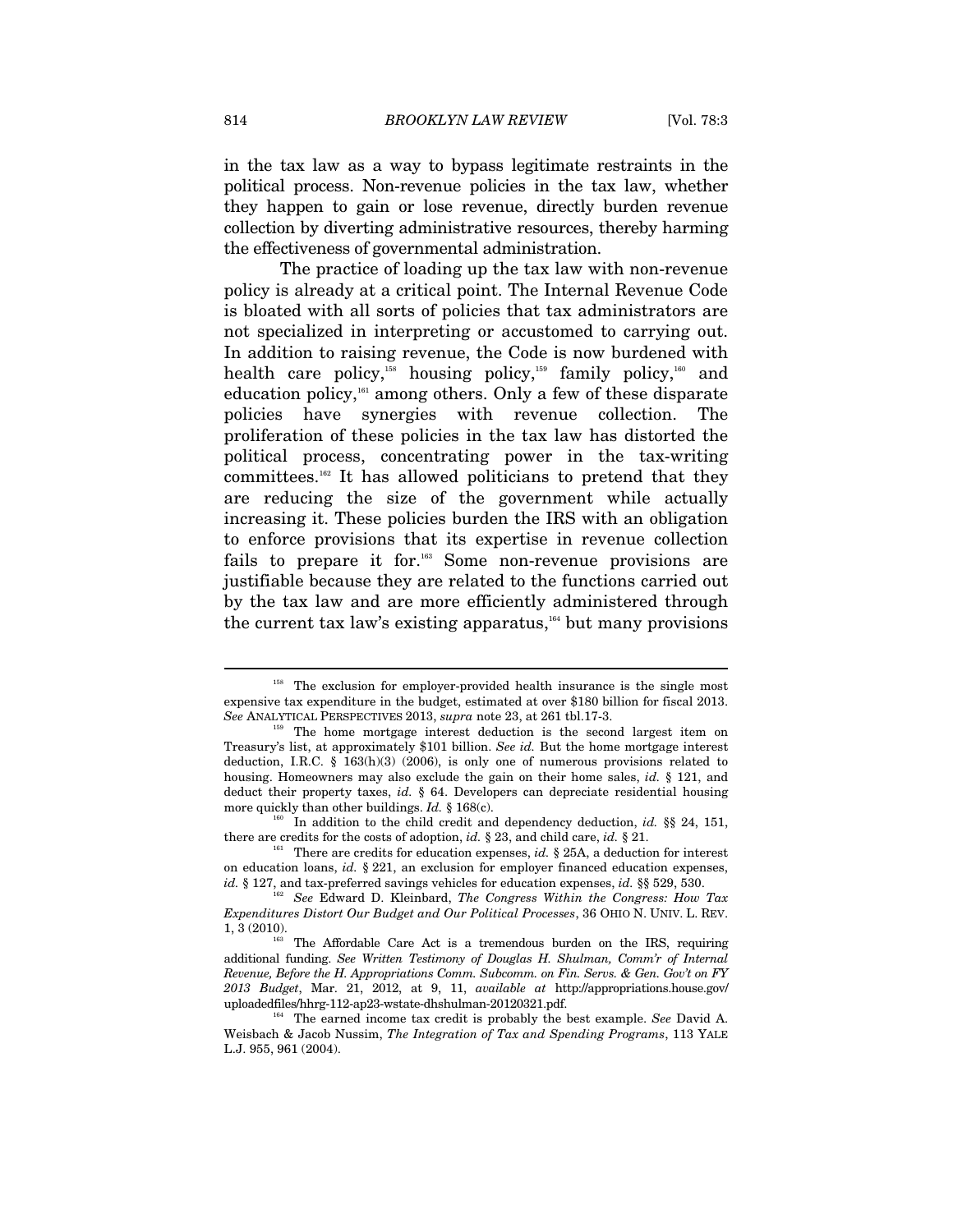in the tax law as a way to bypass legitimate restraints in the political process. Non-revenue policies in the tax law, whether they happen to gain or lose revenue, directly burden revenue collection by diverting administrative resources, thereby harming the effectiveness of governmental administration.

The practice of loading up the tax law with non-revenue policy is already at a critical point. The Internal Revenue Code is bloated with all sorts of policies that tax administrators are not specialized in interpreting or accustomed to carrying out. In addition to raising revenue, the Code is now burdened with health care policy,<sup>158</sup> housing policy,<sup>159</sup> family policy,<sup>160</sup> and education policy,<sup>161</sup> among others. Only a few of these disparate policies have synergies with revenue collection. The proliferation of these policies in the tax law has distorted the political process, concentrating power in the tax-writing committees.162 It has allowed politicians to pretend that they are reducing the size of the government while actually increasing it. These policies burden the IRS with an obligation to enforce provisions that its expertise in revenue collection fails to prepare it for.163 Some non-revenue provisions are justifiable because they are related to the functions carried out by the tax law and are more efficiently administered through the current tax law's existing apparatus, $164$  but many provisions

<sup>&</sup>lt;sup>158</sup> The exclusion for employer-provided health insurance is the single most expensive tax expenditure in the budget, estimated at over \$180 billion for fiscal 2013. See ANALYTICAL PERSPECTIVES 2013,  $supra$  note 23, at 261 tbl.17-3.

<sup>&</sup>lt;sup>159</sup> The home mortgage interest deduction is the second largest item on Treasury's list, at approximately \$101 billion. *See id.* But the home mortgage interest deduction, I.R.C. § 163(h)(3) (2006), is only one of numerous provisions related to housing. Homeowners may also exclude the gain on their home sales, *id.* § 121, and deduct their property taxes, *id.* § 64. Developers can depreciate residential housing more quickly than other buildings. *Id.* § 168(c).<br><sup>160</sup> In addition to the child credit and dependency deduction, *id.* §§ 24, 151,

there are credits for the costs of adoption, *id.* § 23, and child care, *id.* § 21. There are credits for education expenses, *id.* § 25A, a deduction for interest

on education loans, *id.* § 221, an exclusion for employer financed education expenses,

*id.* § 127, and tax-preferred savings vehicles for education expenses, *id.* §§ 529, 530. See Edward D. Kleinbard, *The Congress Within the Congress: How Tax Expenditures Distort Our Budget and Our Political Processes*, 36 OHIO N. UNIV. L. REV. 1, 3 (2010). The Affordable Care Act is a tremendous burden on the IRS, requiring

additional funding. *See Written Testimony of Douglas H. Shulman, Comm'r of Internal Revenue, Before the H. Appropriations Comm. Subcomm. on Fin. Servs. & Gen. Gov't on FY 2013 Budget*, Mar. 21, 2012, at 9, 11, *available at* http://appropriations.house.gov/ uploadedfiles/hhrg-112-ap23-wstate-dhshulman-20120321.pdf. 164 The earned income tax credit is probably the best example. *See* David A.

Weisbach & Jacob Nussim, *The Integration of Tax and Spending Programs*, 113 YALE L.J. 955, 961 (2004).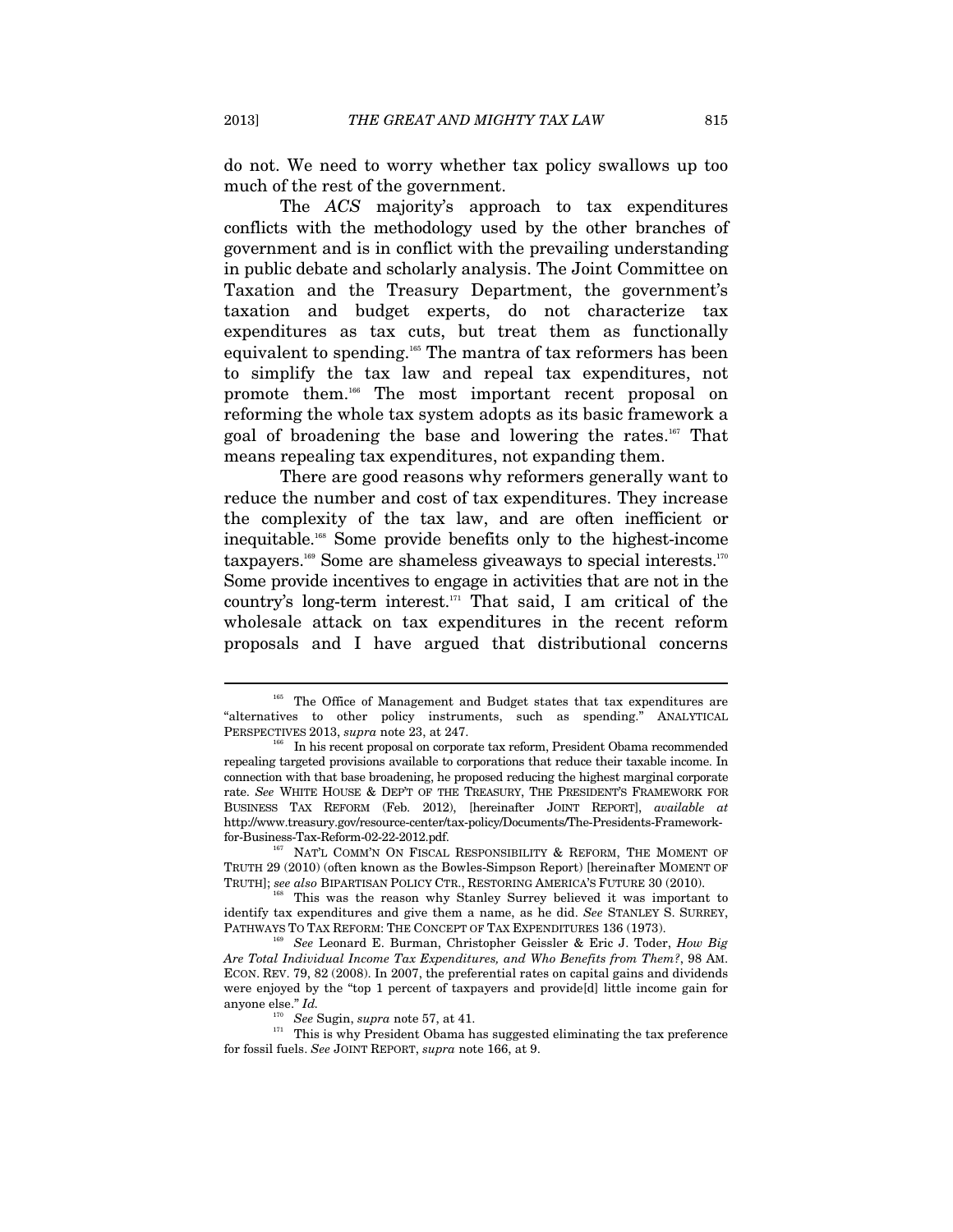do not. We need to worry whether tax policy swallows up too much of the rest of the government.

The *ACS* majority's approach to tax expenditures conflicts with the methodology used by the other branches of government and is in conflict with the prevailing understanding in public debate and scholarly analysis. The Joint Committee on Taxation and the Treasury Department, the government's taxation and budget experts, do not characterize tax expenditures as tax cuts, but treat them as functionally equivalent to spending.165 The mantra of tax reformers has been to simplify the tax law and repeal tax expenditures, not promote them.166 The most important recent proposal on reforming the whole tax system adopts as its basic framework a goal of broadening the base and lowering the rates.167 That means repealing tax expenditures, not expanding them.

There are good reasons why reformers generally want to reduce the number and cost of tax expenditures. They increase the complexity of the tax law, and are often inefficient or inequitable.168 Some provide benefits only to the highest-income taxpayers.<sup>169</sup> Some are shameless giveaways to special interests.<sup>170</sup> Some provide incentives to engage in activities that are not in the country's long-term interest. $171$  That said, I am critical of the wholesale attack on tax expenditures in the recent reform proposals and I have argued that distributional concerns

<sup>&</sup>lt;sup>165</sup> The Office of Management and Budget states that tax expenditures are "alternatives to other policy instruments, such as spending." ANALYTICAL

PERSPECTIVES 2013, *supra* note 23, at 247.<br><sup>166</sup> In his recent proposal on corporate tax reform, President Obama recommended repealing targeted provisions available to corporations that reduce their taxable income. In connection with that base broadening, he proposed reducing the highest marginal corporate rate. *See* WHITE HOUSE & DEP'T OF THE TREASURY, THE PRESIDENT'S FRAMEWORK FOR BUSINESS TAX REFORM (Feb. 2012), [hereinafter JOINT REPORT], *available at*  http://www.treasury.gov/resource-center/tax-policy/Documents/The-Presidents-Framework-

for-Business-Tax-Reform-02-22-2012.pdf.<br><sup>167</sup> NAT'L COMM'N ON FISCAL RESPONSIBILITY & REFORM, THE MOMENT OF TRUTH 29 (2010) (often known as the Bowles-Simpson Report) [hereinafter MOMENT OF

TRUTH]; *see also* BIPARTISAN POLICY CTR., RESTORING AMERICA'S FUTURE 30 (2010). 168 This was the reason why Stanley Surrey believed it was important to identify tax expenditures and give them a name, as he did. *See* STANLEY S. SURREY, PATHWAYS TO TAX REFORM: THE CONCEPT OF TAX EXPENDITURES 136 (1973). 169 *See* Leonard E. Burman, Christopher Geissler & Eric J. Toder, *How Big* 

*Are Total Individual Income Tax Expenditures, and Who Benefits from Them?*, 98 AM. ECON. REV. 79, 82 (2008). In 2007, the preferential rates on capital gains and dividends were enjoyed by the "top 1 percent of taxpayers and provide[d] little income gain for anyone else." *Id.*

<sup>&</sup>lt;sup>170</sup> *See* Sugin, *supra* note 57, at 41.<br><sup>171</sup> This is why President Obama has suggested eliminating the tax preference for fossil fuels. *See* JOINT REPORT, *supra* note 166, at 9.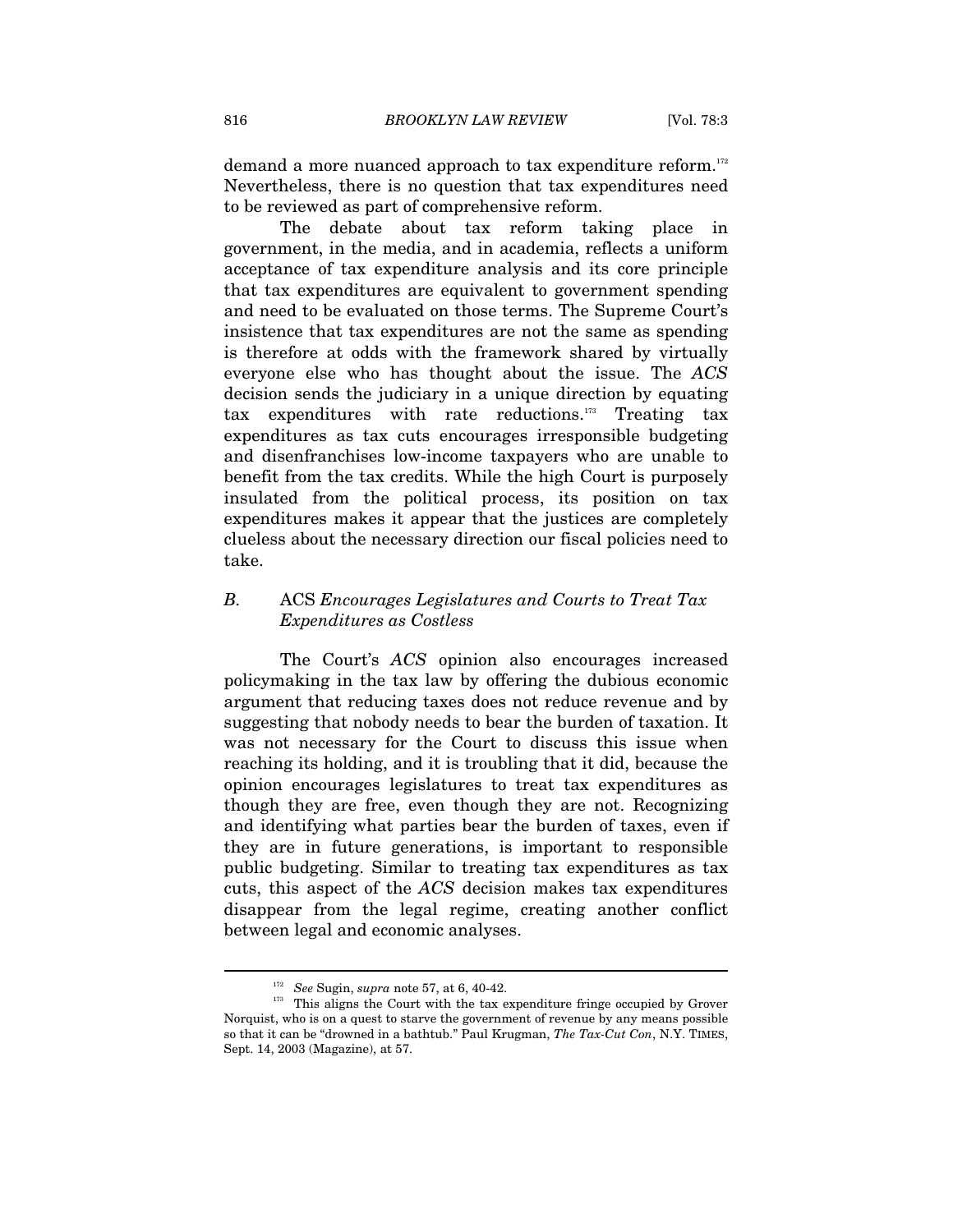demand a more nuanced approach to tax expenditure reform.<sup>172</sup> Nevertheless, there is no question that tax expenditures need to be reviewed as part of comprehensive reform.

The debate about tax reform taking place in government, in the media, and in academia, reflects a uniform acceptance of tax expenditure analysis and its core principle that tax expenditures are equivalent to government spending and need to be evaluated on those terms. The Supreme Court's insistence that tax expenditures are not the same as spending is therefore at odds with the framework shared by virtually everyone else who has thought about the issue. The *ACS* decision sends the judiciary in a unique direction by equating tax expenditures with rate reductions.173 Treating tax expenditures as tax cuts encourages irresponsible budgeting and disenfranchises low-income taxpayers who are unable to benefit from the tax credits. While the high Court is purposely insulated from the political process, its position on tax expenditures makes it appear that the justices are completely clueless about the necessary direction our fiscal policies need to take.

# *B.* ACS *Encourages Legislatures and Courts to Treat Tax Expenditures as Costless*

The Court's *ACS* opinion also encourages increased policymaking in the tax law by offering the dubious economic argument that reducing taxes does not reduce revenue and by suggesting that nobody needs to bear the burden of taxation. It was not necessary for the Court to discuss this issue when reaching its holding, and it is troubling that it did, because the opinion encourages legislatures to treat tax expenditures as though they are free, even though they are not. Recognizing and identifying what parties bear the burden of taxes, even if they are in future generations, is important to responsible public budgeting. Similar to treating tax expenditures as tax cuts, this aspect of the *ACS* decision makes tax expenditures disappear from the legal regime, creating another conflict between legal and economic analyses.

<sup>172</sup> *See* Sugin, *supra* note 57, at 6, 40-42.

<sup>&</sup>lt;sup>173</sup> This aligns the Court with the tax expenditure fringe occupied by Grover Norquist, who is on a quest to starve the government of revenue by any means possible so that it can be "drowned in a bathtub." Paul Krugman, *The Tax-Cut Con*, N.Y. TIMES, Sept. 14, 2003 (Magazine), at 57.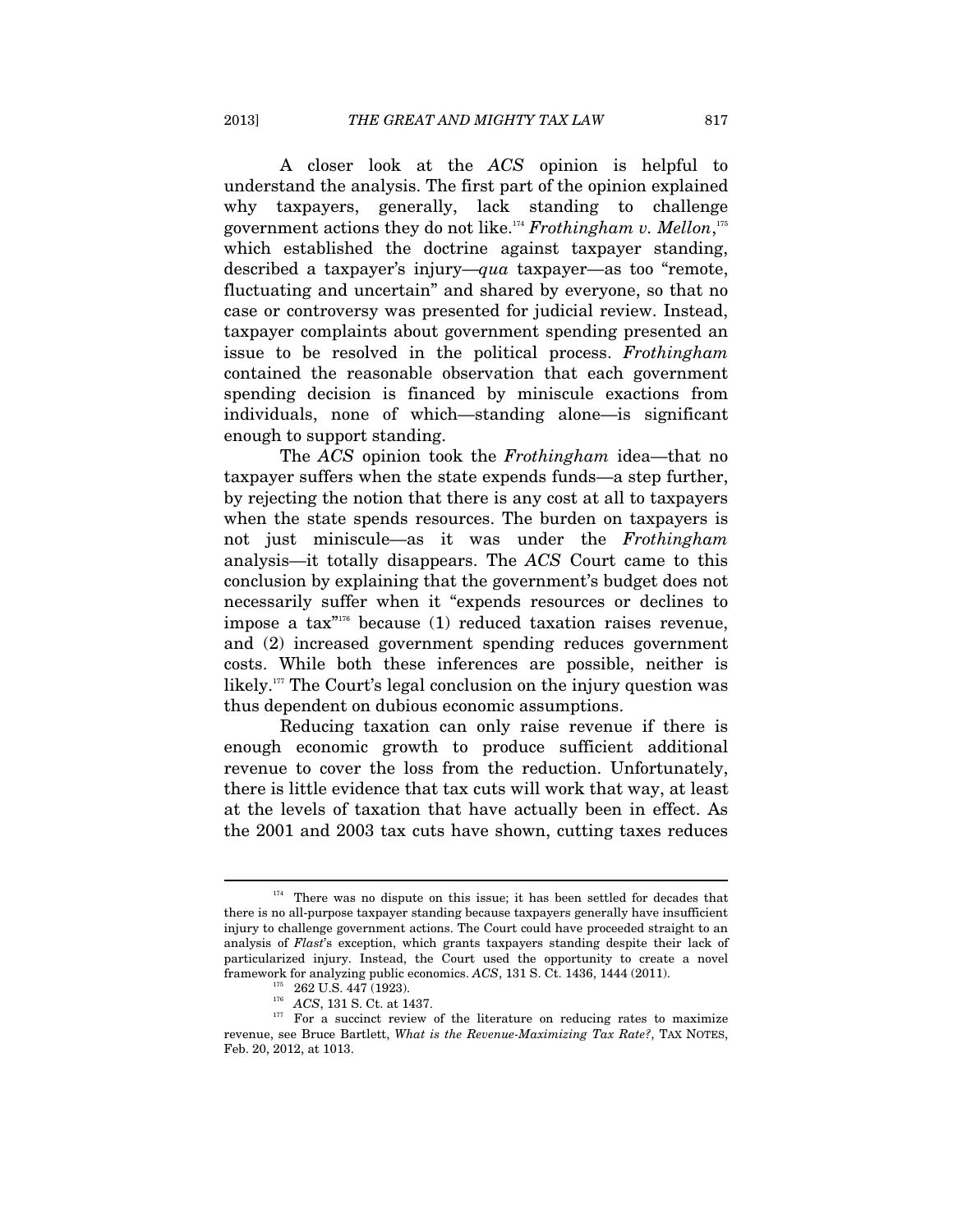A closer look at the *ACS* opinion is helpful to understand the analysis. The first part of the opinion explained why taxpayers, generally, lack standing to challenge government actions they do not like.174 *Frothingham v. Mellon*, 175 which established the doctrine against taxpayer standing, described a taxpayer's injury—*qua* taxpayer—as too "remote, fluctuating and uncertain" and shared by everyone, so that no case or controversy was presented for judicial review. Instead, taxpayer complaints about government spending presented an issue to be resolved in the political process. *Frothingham* contained the reasonable observation that each government spending decision is financed by miniscule exactions from individuals, none of which—standing alone—is significant enough to support standing.

The *ACS* opinion took the *Frothingham* idea—that no taxpayer suffers when the state expends funds—a step further, by rejecting the notion that there is any cost at all to taxpayers when the state spends resources. The burden on taxpayers is not just miniscule—as it was under the *Frothingham* analysis—it totally disappears. The *ACS* Court came to this conclusion by explaining that the government's budget does not necessarily suffer when it "expends resources or declines to impose a tax $n_{176}$  because (1) reduced taxation raises revenue, and (2) increased government spending reduces government costs. While both these inferences are possible, neither is likely.<sup>177</sup> The Court's legal conclusion on the injury question was thus dependent on dubious economic assumptions.

Reducing taxation can only raise revenue if there is enough economic growth to produce sufficient additional revenue to cover the loss from the reduction. Unfortunately, there is little evidence that tax cuts will work that way, at least at the levels of taxation that have actually been in effect. As the 2001 and 2003 tax cuts have shown, cutting taxes reduces

<sup>&</sup>lt;sup>174</sup> There was no dispute on this issue; it has been settled for decades that there is no all-purpose taxpayer standing because taxpayers generally have insufficient injury to challenge government actions. The Court could have proceeded straight to an analysis of *Flast*'s exception, which grants taxpayers standing despite their lack of particularized injury. Instead, the Court used the opportunity to create a novel framework for analyzing public economics. *ACS*, 131 S. Ct. 1436, 1444 (2011).

<sup>&</sup>lt;sup>176</sup> *ACS*, 131 S. Ct. at 1437.<br><sup>177</sup> For a succinct review of the literature on reducing rates to maximize revenue, see Bruce Bartlett, *What is the Revenue-Maximizing Tax Rate?*, TAX NOTES, Feb. 20, 2012, at 1013.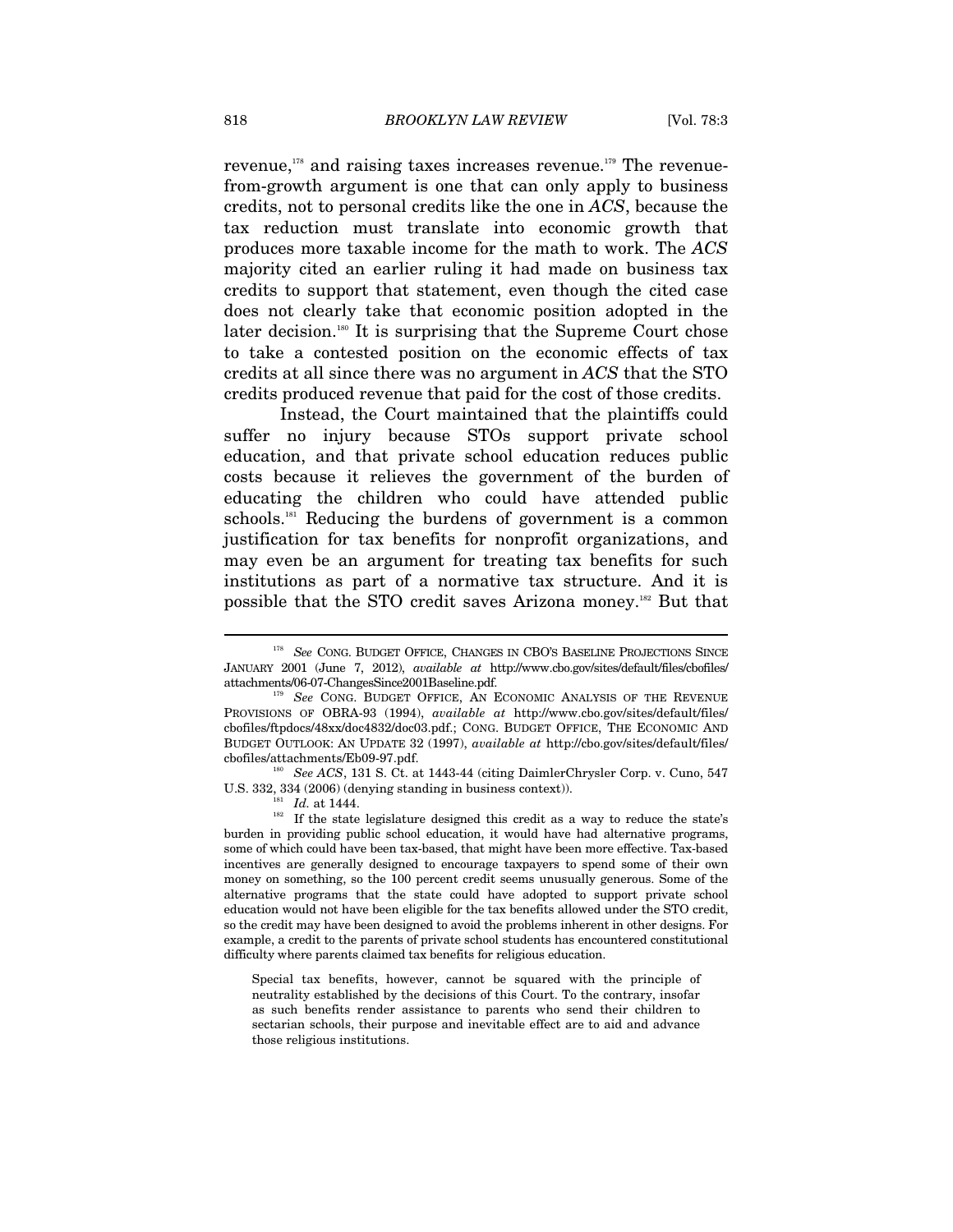revenue, $178$  and raising taxes increases revenue.<sup>179</sup> The revenuefrom-growth argument is one that can only apply to business credits, not to personal credits like the one in *ACS*, because the tax reduction must translate into economic growth that produces more taxable income for the math to work. The *ACS* majority cited an earlier ruling it had made on business tax credits to support that statement, even though the cited case does not clearly take that economic position adopted in the later decision.<sup>180</sup> It is surprising that the Supreme Court chose to take a contested position on the economic effects of tax credits at all since there was no argument in *ACS* that the STO credits produced revenue that paid for the cost of those credits.

Instead, the Court maintained that the plaintiffs could suffer no injury because STOs support private school education, and that private school education reduces public costs because it relieves the government of the burden of educating the children who could have attended public schools.<sup>181</sup> Reducing the burdens of government is a common justification for tax benefits for nonprofit organizations, and may even be an argument for treating tax benefits for such institutions as part of a normative tax structure. And it is possible that the STO credit saves Arizona money.182 But that

U.S. 332, 334 (2006) (denying standing in business context)).<br><sup>181</sup> *Id.* at 1444. If the state legislature designed this credit as a way to reduce the state's burden in providing public school education, it would have had alternative programs, some of which could have been tax-based, that might have been more effective. Tax-based incentives are generally designed to encourage taxpayers to spend some of their own money on something, so the 100 percent credit seems unusually generous. Some of the alternative programs that the state could have adopted to support private school education would not have been eligible for the tax benefits allowed under the STO credit, so the credit may have been designed to avoid the problems inherent in other designs. For example, a credit to the parents of private school students has encountered constitutional difficulty where parents claimed tax benefits for religious education.

Special tax benefits, however, cannot be squared with the principle of neutrality established by the decisions of this Court. To the contrary, insofar as such benefits render assistance to parents who send their children to sectarian schools, their purpose and inevitable effect are to aid and advance those religious institutions.

<sup>&</sup>lt;sup>178</sup> See CONG. BUDGET OFFICE, CHANGES IN CBO'S BASELINE PROJECTIONS SINCE JANUARY 2001 (June 7, 2012), *available at* http://www.cbo.gov/sites/default/files/cbofiles/ attachments/06-07-ChangesSince2001Baseline.pdf.

See CONG. BUDGET OFFICE, AN ECONOMIC ANALYSIS OF THE REVENUE PROVISIONS OF OBRA-93 (1994), *available at* http://www.cbo.gov/sites/default/files/ cbofiles/ftpdocs/48xx/doc4832/doc03.pdf.; CONG. BUDGET OFFICE, THE ECONOMIC AND BUDGET OUTLOOK: AN UPDATE 32 (1997), *available at* http://cbo.gov/sites/default/files/ cbofiles/attachments/Eb09-97.pdf. 180 *See ACS*, 131 S. Ct. at 1443-44 (citing DaimlerChrysler Corp. v. Cuno, 547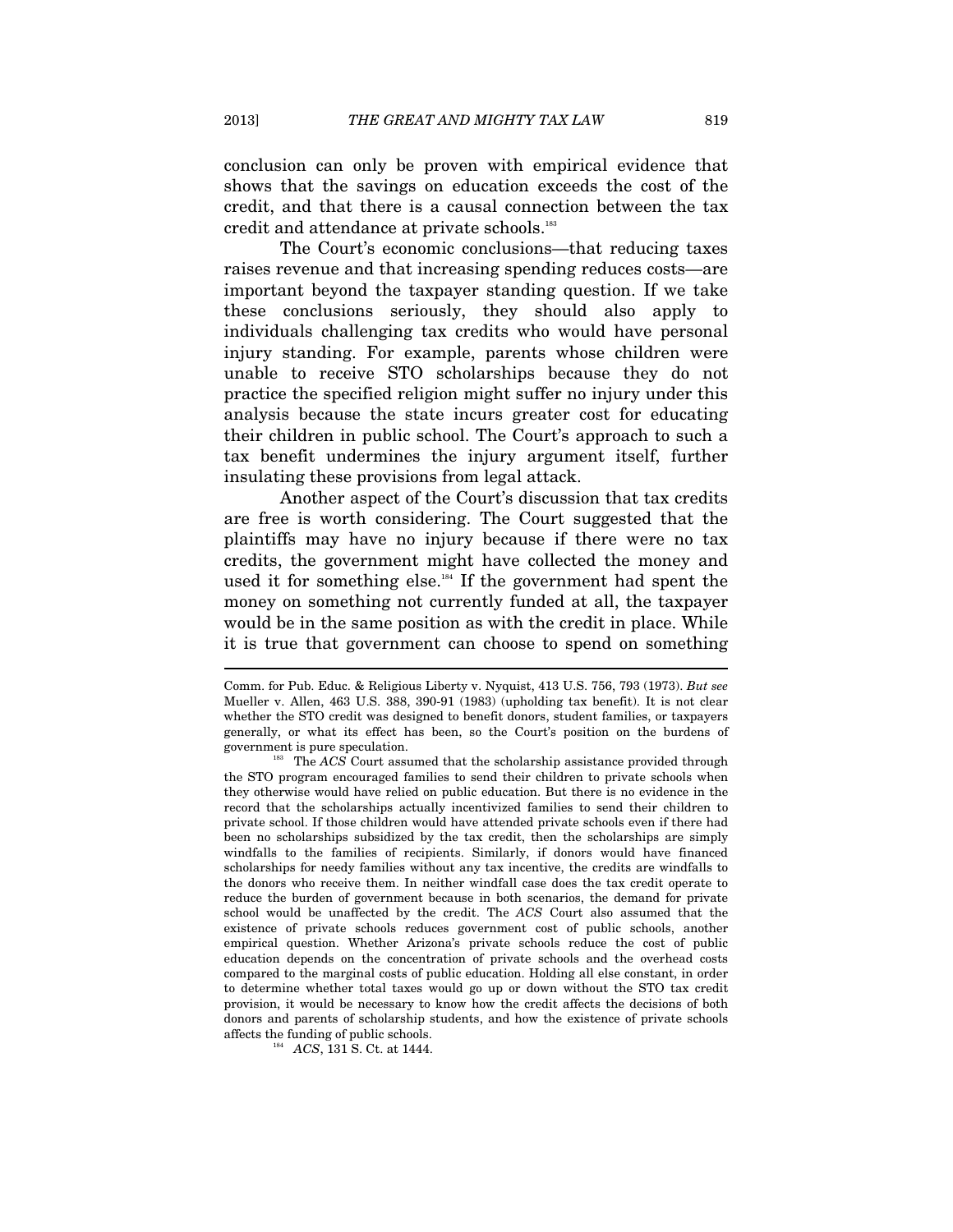conclusion can only be proven with empirical evidence that shows that the savings on education exceeds the cost of the credit, and that there is a causal connection between the tax credit and attendance at private schools.<sup>183</sup>

The Court's economic conclusions—that reducing taxes raises revenue and that increasing spending reduces costs—are important beyond the taxpayer standing question. If we take these conclusions seriously, they should also apply to individuals challenging tax credits who would have personal injury standing. For example, parents whose children were unable to receive STO scholarships because they do not practice the specified religion might suffer no injury under this analysis because the state incurs greater cost for educating their children in public school. The Court's approach to such a tax benefit undermines the injury argument itself, further insulating these provisions from legal attack.

Another aspect of the Court's discussion that tax credits are free is worth considering. The Court suggested that the plaintiffs may have no injury because if there were no tax credits, the government might have collected the money and used it for something else.<sup>184</sup> If the government had spent the money on something not currently funded at all, the taxpayer would be in the same position as with the credit in place. While it is true that government can choose to spend on something

Comm. for Pub. Educ. & Religious Liberty v. Nyquist, 413 U.S. 756, 793 (1973). *But see* Mueller v. Allen, 463 U.S. 388, 390-91 (1983) (upholding tax benefit). It is not clear whether the STO credit was designed to benefit donors, student families, or taxpayers generally, or what its effect has been, so the Court's position on the burdens of

government is pure speculation. 183 The *ACS* Court assumed that the scholarship assistance provided through the STO program encouraged families to send their children to private schools when they otherwise would have relied on public education. But there is no evidence in the record that the scholarships actually incentivized families to send their children to private school. If those children would have attended private schools even if there had been no scholarships subsidized by the tax credit, then the scholarships are simply windfalls to the families of recipients. Similarly, if donors would have financed scholarships for needy families without any tax incentive, the credits are windfalls to the donors who receive them. In neither windfall case does the tax credit operate to reduce the burden of government because in both scenarios, the demand for private school would be unaffected by the credit. The *ACS* Court also assumed that the existence of private schools reduces government cost of public schools, another empirical question. Whether Arizona's private schools reduce the cost of public education depends on the concentration of private schools and the overhead costs compared to the marginal costs of public education. Holding all else constant, in order to determine whether total taxes would go up or down without the STO tax credit provision, it would be necessary to know how the credit affects the decisions of both donors and parents of scholarship students, and how the existence of private schools affects the funding of public schools. 184 *ACS*, 131 S. Ct. at 1444.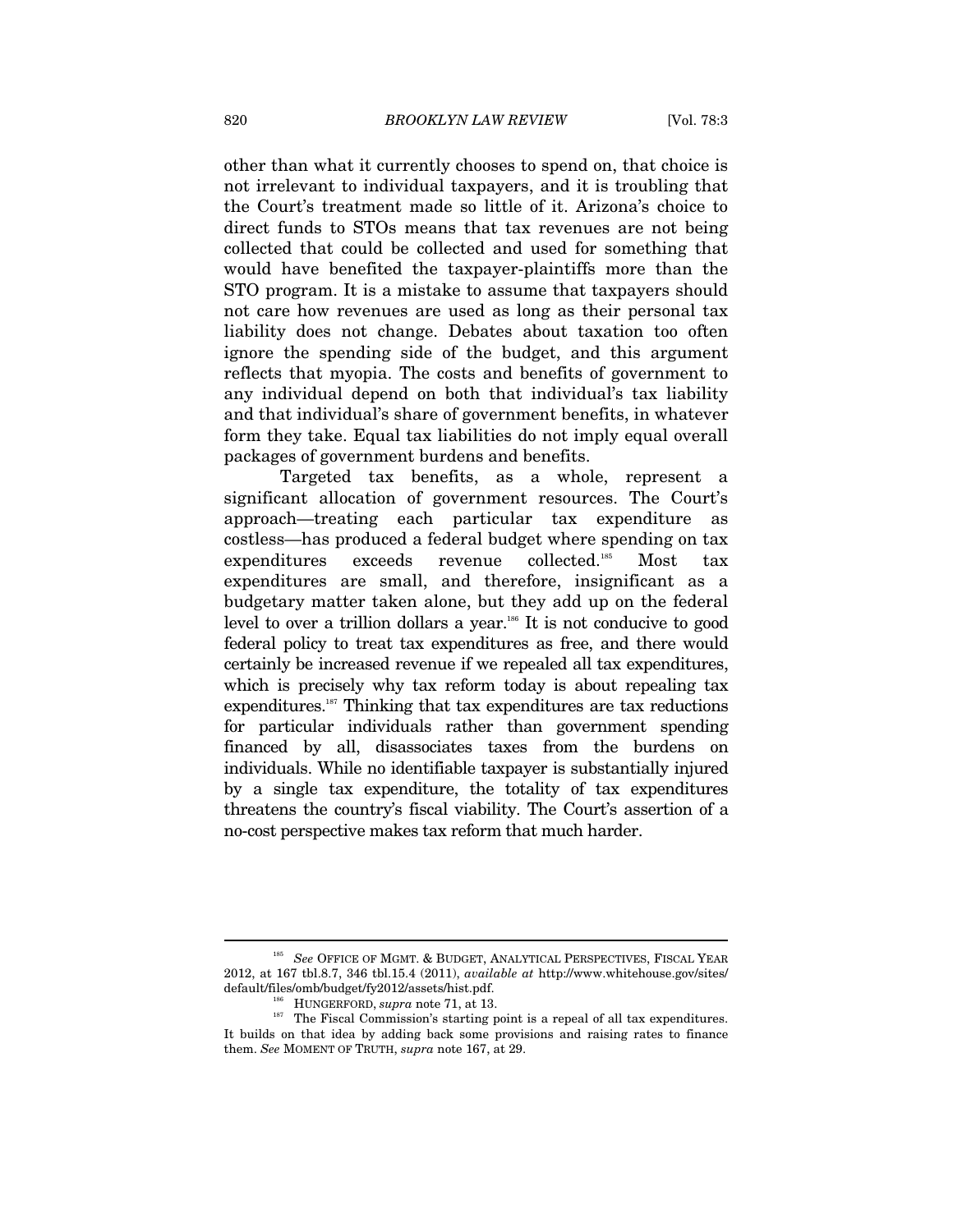other than what it currently chooses to spend on, that choice is not irrelevant to individual taxpayers, and it is troubling that the Court's treatment made so little of it. Arizona's choice to direct funds to STOs means that tax revenues are not being collected that could be collected and used for something that would have benefited the taxpayer-plaintiffs more than the STO program. It is a mistake to assume that taxpayers should not care how revenues are used as long as their personal tax liability does not change. Debates about taxation too often ignore the spending side of the budget, and this argument reflects that myopia. The costs and benefits of government to any individual depend on both that individual's tax liability and that individual's share of government benefits, in whatever form they take. Equal tax liabilities do not imply equal overall packages of government burdens and benefits.

Targeted tax benefits, as a whole, represent a significant allocation of government resources. The Court's approach—treating each particular tax expenditure as costless—has produced a federal budget where spending on tax expenditures exceeds revenue collected.185 Most tax expenditures are small, and therefore, insignificant as a budgetary matter taken alone, but they add up on the federal level to over a trillion dollars a year.<sup>186</sup> It is not conducive to good federal policy to treat tax expenditures as free, and there would certainly be increased revenue if we repealed all tax expenditures, which is precisely why tax reform today is about repealing tax expenditures.<sup>187</sup> Thinking that tax expenditures are tax reductions for particular individuals rather than government spending financed by all, disassociates taxes from the burdens on individuals. While no identifiable taxpayer is substantially injured by a single tax expenditure, the totality of tax expenditures threatens the country's fiscal viability. The Court's assertion of a no-cost perspective makes tax reform that much harder.

<sup>&</sup>lt;sup>185</sup> See OFFICE OF MGMT. & BUDGET, ANALYTICAL PERSPECTIVES, FISCAL YEAR 2012, at 167 tbl.8.7, 346 tbl.15.4 (2011), *available at* http://www.whitehouse.gov/sites/ default/files/omb/budget/fy2012/assets/hist.pdf.

<sup>&</sup>lt;sup>186</sup> HUNGERFORD, *supra* note 71, at 13. 186 HUNGERFORD, *supra* note 71, at 13. 187 The Fiscal Commission's starting point is a repeal of all tax expenditures. It builds on that idea by adding back some provisions and raising rates to finance them. *See* MOMENT OF TRUTH, *supra* note 167, at 29.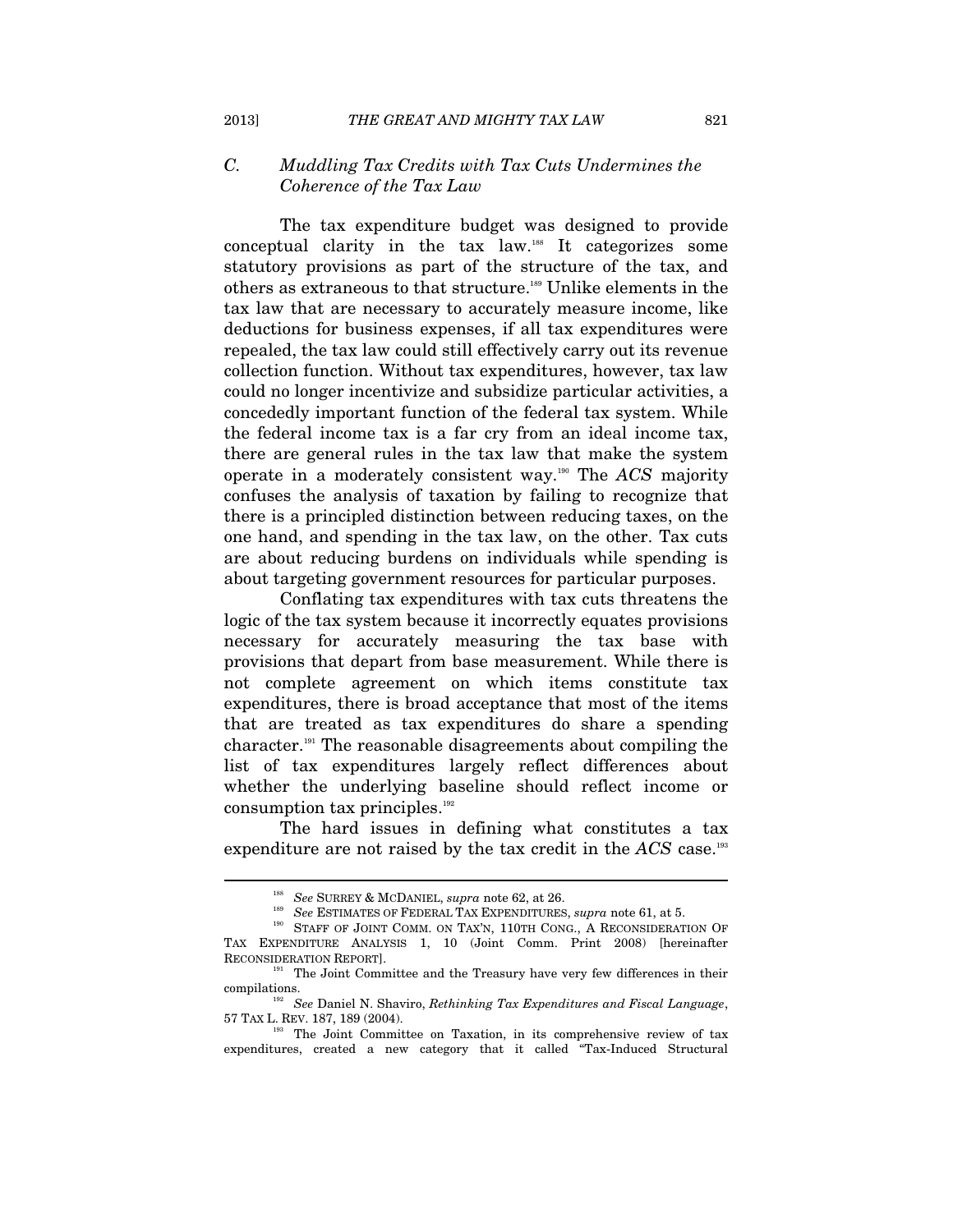# *C. Muddling Tax Credits with Tax Cuts Undermines the Coherence of the Tax Law*

The tax expenditure budget was designed to provide conceptual clarity in the tax law.188 It categorizes some statutory provisions as part of the structure of the tax, and others as extraneous to that structure.189 Unlike elements in the tax law that are necessary to accurately measure income, like deductions for business expenses, if all tax expenditures were repealed, the tax law could still effectively carry out its revenue collection function. Without tax expenditures, however, tax law could no longer incentivize and subsidize particular activities, a concededly important function of the federal tax system. While the federal income tax is a far cry from an ideal income tax, there are general rules in the tax law that make the system operate in a moderately consistent way.190 The *ACS* majority confuses the analysis of taxation by failing to recognize that there is a principled distinction between reducing taxes, on the one hand, and spending in the tax law, on the other. Tax cuts are about reducing burdens on individuals while spending is about targeting government resources for particular purposes.

Conflating tax expenditures with tax cuts threatens the logic of the tax system because it incorrectly equates provisions necessary for accurately measuring the tax base with provisions that depart from base measurement. While there is not complete agreement on which items constitute tax expenditures, there is broad acceptance that most of the items that are treated as tax expenditures do share a spending character.191 The reasonable disagreements about compiling the list of tax expenditures largely reflect differences about whether the underlying baseline should reflect income or consumption tax principles.<sup>192</sup>

The hard issues in defining what constitutes a tax expenditure are not raised by the tax credit in the *ACS* case.193

<sup>&</sup>lt;sup>188</sup> See SURREY & MCDANIEL, *supra* note 62, at 26.

<sup>&</sup>lt;sup>189</sup> See ESTIMATES OF FEDERAL TAX EXPENDITURES, *supra* note 61, at 5.<br><sup>190</sup> STAFF OF JOINT COMM. ON TAX'N, 110TH CONG., A RECONSIDERATION OF TAX EXPENDITURE ANALYSIS 1, 10 (Joint Comm. Print 2008) [hereinafter RECONSIDERATION REPORT].<br><sup>191</sup> The Joint Committee and the Treasury have very few differences in their

compilations.<br><sup>192</sup> See Daniel N. Shaviro, *Rethinking Tax Expenditures and Fiscal Language*,<br>57 TAX L. REV. 187, 189 (2004).

<sup>&</sup>lt;sup>193</sup> The Joint Committee on Taxation, in its comprehensive review of tax expenditures, created a new category that it called "Tax-Induced Structural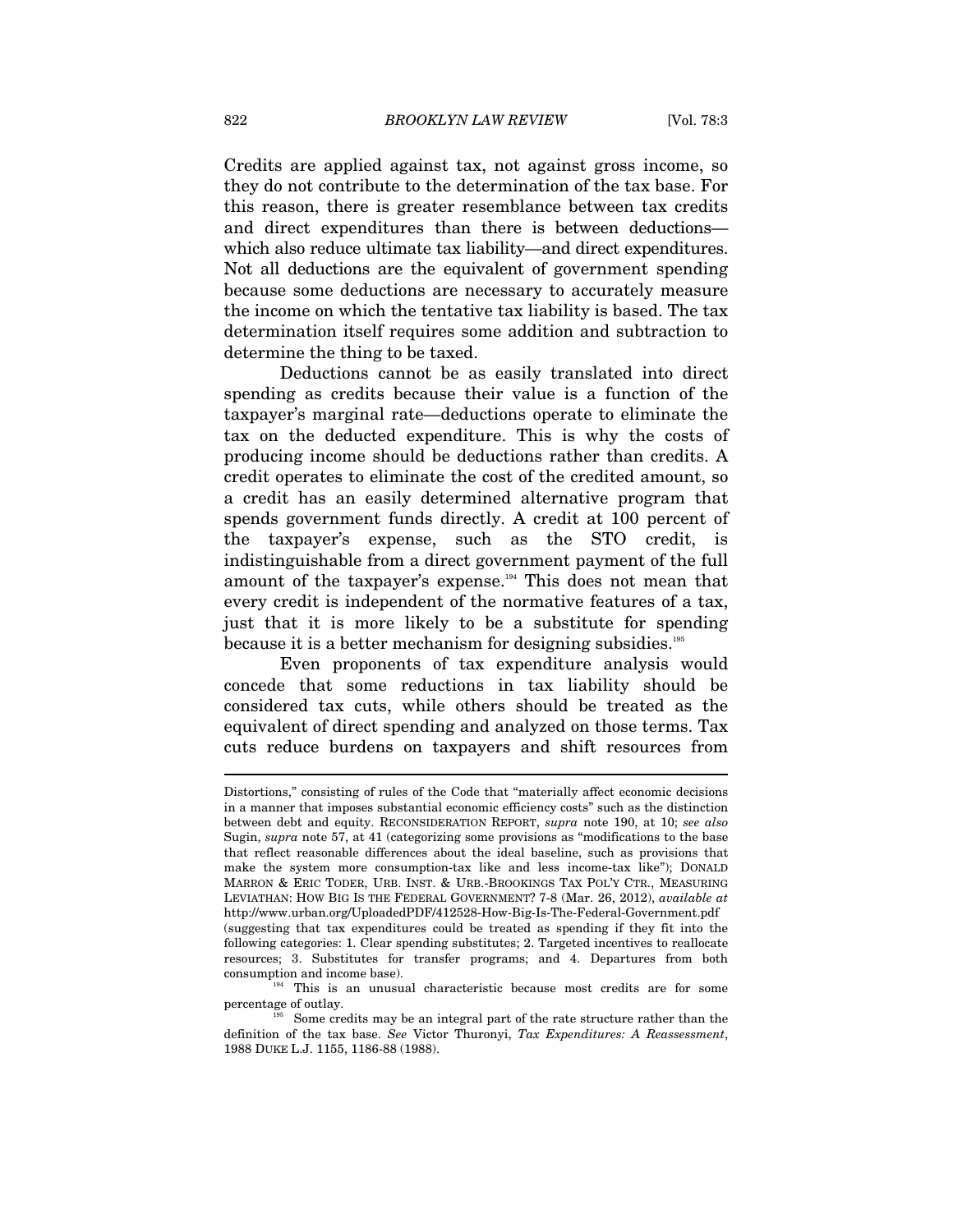Credits are applied against tax, not against gross income, so they do not contribute to the determination of the tax base. For this reason, there is greater resemblance between tax credits and direct expenditures than there is between deductions which also reduce ultimate tax liability—and direct expenditures. Not all deductions are the equivalent of government spending because some deductions are necessary to accurately measure the income on which the tentative tax liability is based. The tax determination itself requires some addition and subtraction to determine the thing to be taxed.

Deductions cannot be as easily translated into direct spending as credits because their value is a function of the taxpayer's marginal rate—deductions operate to eliminate the tax on the deducted expenditure. This is why the costs of producing income should be deductions rather than credits. A credit operates to eliminate the cost of the credited amount, so a credit has an easily determined alternative program that spends government funds directly. A credit at 100 percent of the taxpayer's expense, such as the STO credit, is indistinguishable from a direct government payment of the full amount of the taxpayer's expense.<sup>194</sup> This does not mean that every credit is independent of the normative features of a tax, just that it is more likely to be a substitute for spending because it is a better mechanism for designing subsidies.<sup>195</sup>

Even proponents of tax expenditure analysis would concede that some reductions in tax liability should be considered tax cuts, while others should be treated as the equivalent of direct spending and analyzed on those terms. Tax cuts reduce burdens on taxpayers and shift resources from

Distortions," consisting of rules of the Code that "materially affect economic decisions in a manner that imposes substantial economic efficiency costs" such as the distinction between debt and equity. RECONSIDERATION REPORT, *supra* note 190, at 10; *see also* Sugin, *supra* note 57, at 41 (categorizing some provisions as "modifications to the base that reflect reasonable differences about the ideal baseline, such as provisions that make the system more consumption-tax like and less income-tax like"); DONALD MARRON & ERIC TODER, URB. INST. & URB.-BROOKINGS TAX POL'Y CTR., MEASURING LEVIATHAN: HOW BIG IS THE FEDERAL GOVERNMENT? 7-8 (Mar. 26, 2012), *available at*  http://www.urban.org/UploadedPDF/412528-How-Big-Is-The-Federal-Government.pdf (suggesting that tax expenditures could be treated as spending if they fit into the following categories: 1. Clear spending substitutes; 2. Targeted incentives to reallocate resources; 3. Substitutes for transfer programs; and 4. Departures from both

consumption and income base).  $194$  This is an unusual characteristic because most credits are for some percentage of outlay.

Some credits may be an integral part of the rate structure rather than the definition of the tax base. *See* Victor Thuronyi, *Tax Expenditures: A Reassessment*, 1988 DUKE L.J. 1155, 1186-88 (1988).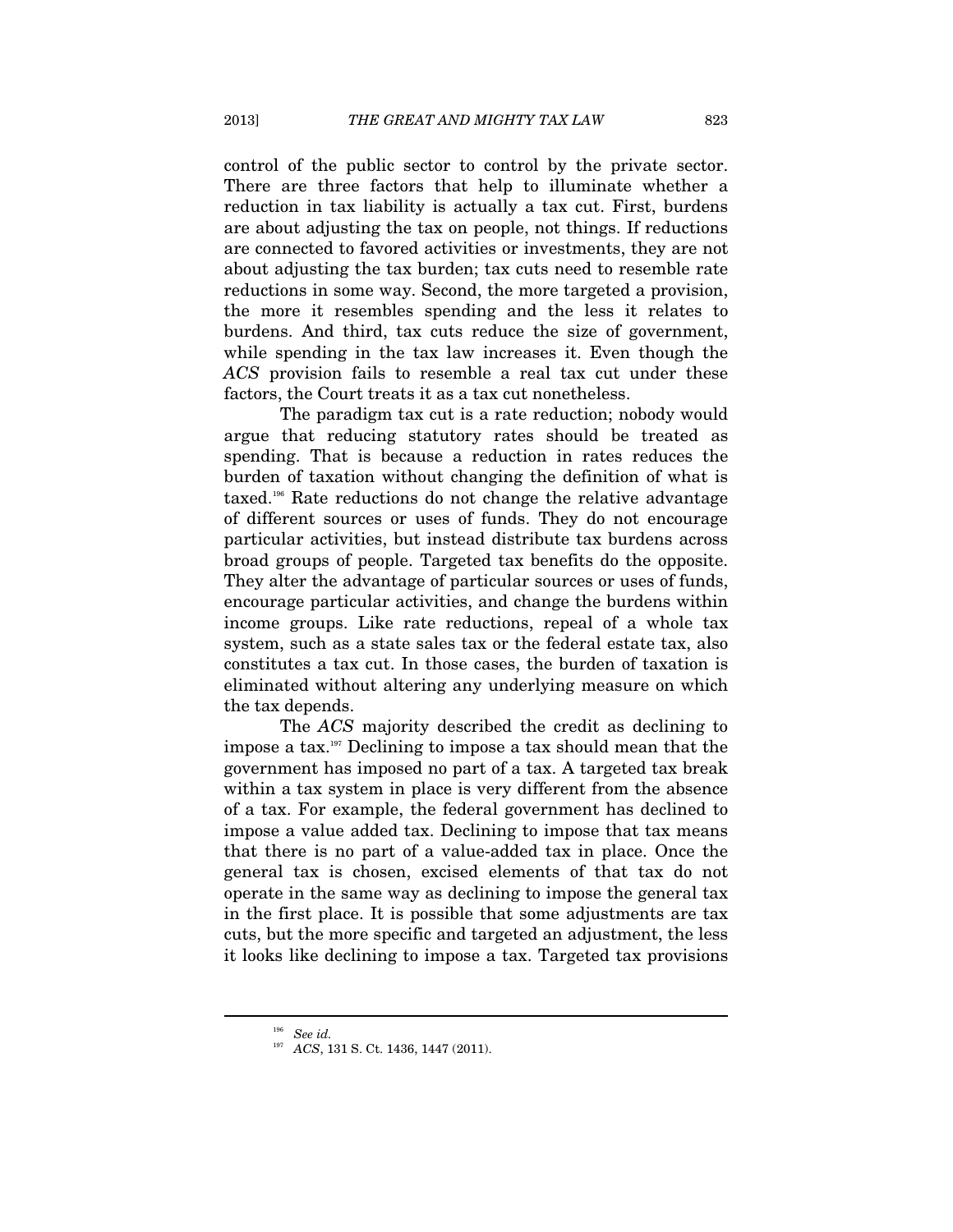control of the public sector to control by the private sector. There are three factors that help to illuminate whether a reduction in tax liability is actually a tax cut. First, burdens are about adjusting the tax on people, not things. If reductions are connected to favored activities or investments, they are not about adjusting the tax burden; tax cuts need to resemble rate reductions in some way. Second, the more targeted a provision, the more it resembles spending and the less it relates to burdens. And third, tax cuts reduce the size of government, while spending in the tax law increases it. Even though the *ACS* provision fails to resemble a real tax cut under these factors, the Court treats it as a tax cut nonetheless.

The paradigm tax cut is a rate reduction; nobody would argue that reducing statutory rates should be treated as spending. That is because a reduction in rates reduces the burden of taxation without changing the definition of what is taxed.196 Rate reductions do not change the relative advantage of different sources or uses of funds. They do not encourage particular activities, but instead distribute tax burdens across broad groups of people. Targeted tax benefits do the opposite. They alter the advantage of particular sources or uses of funds, encourage particular activities, and change the burdens within income groups. Like rate reductions, repeal of a whole tax system, such as a state sales tax or the federal estate tax, also constitutes a tax cut. In those cases, the burden of taxation is eliminated without altering any underlying measure on which the tax depends.

The *ACS* majority described the credit as declining to impose a tax.197 Declining to impose a tax should mean that the government has imposed no part of a tax. A targeted tax break within a tax system in place is very different from the absence of a tax. For example, the federal government has declined to impose a value added tax. Declining to impose that tax means that there is no part of a value-added tax in place. Once the general tax is chosen, excised elements of that tax do not operate in the same way as declining to impose the general tax in the first place. It is possible that some adjustments are tax cuts, but the more specific and targeted an adjustment, the less it looks like declining to impose a tax. Targeted tax provisions

<sup>196</sup> *See id.*

<sup>197</sup> *ACS*, 131 S. Ct. 1436, 1447 (2011).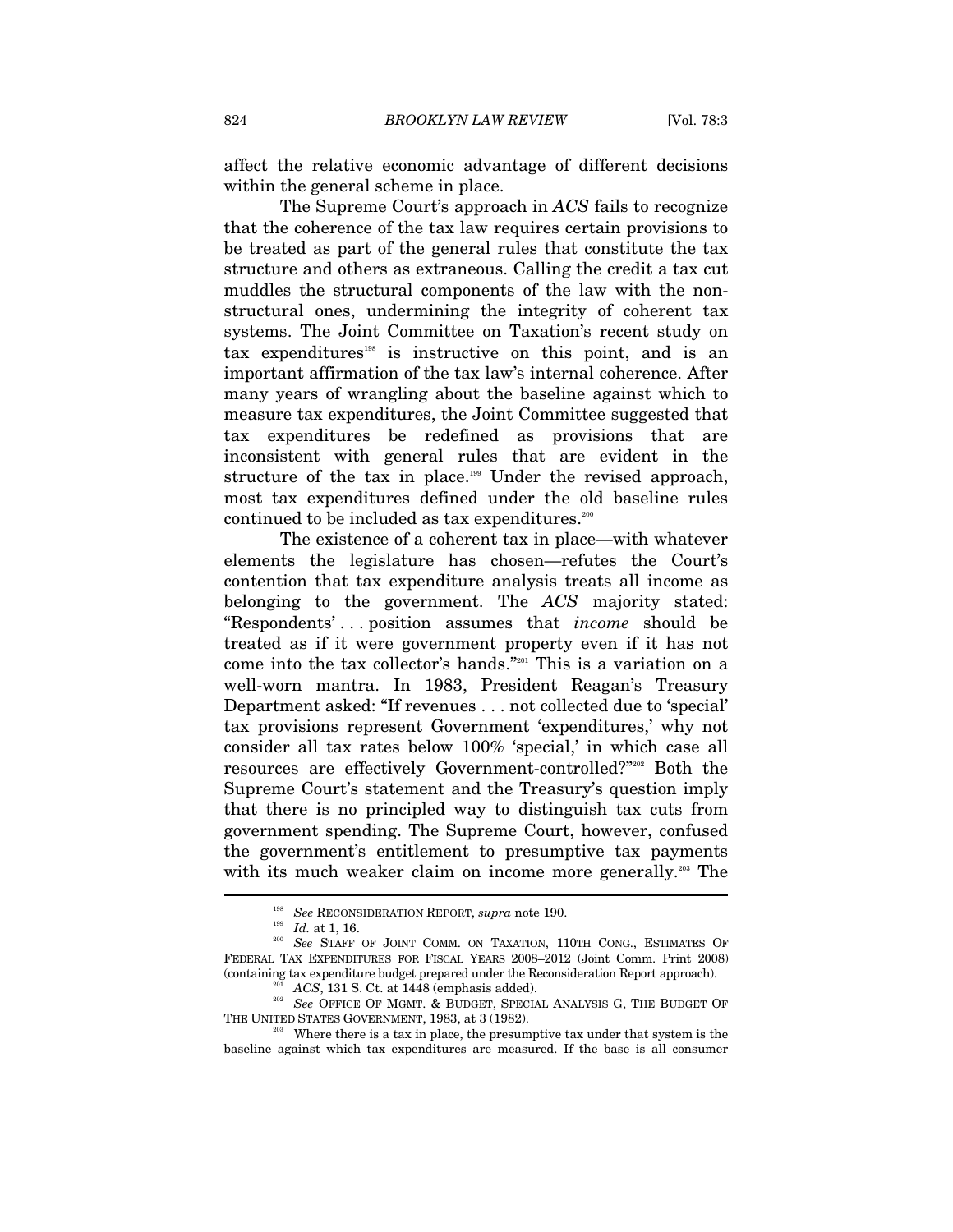affect the relative economic advantage of different decisions within the general scheme in place.

The Supreme Court's approach in *ACS* fails to recognize that the coherence of the tax law requires certain provisions to be treated as part of the general rules that constitute the tax structure and others as extraneous. Calling the credit a tax cut muddles the structural components of the law with the nonstructural ones, undermining the integrity of coherent tax systems. The Joint Committee on Taxation's recent study on tax expenditures<sup>198</sup> is instructive on this point, and is an important affirmation of the tax law's internal coherence. After many years of wrangling about the baseline against which to measure tax expenditures, the Joint Committee suggested that tax expenditures be redefined as provisions that are inconsistent with general rules that are evident in the structure of the tax in place.<sup>199</sup> Under the revised approach, most tax expenditures defined under the old baseline rules continued to be included as tax expenditures. $200$ 

The existence of a coherent tax in place—with whatever elements the legislature has chosen—refutes the Court's contention that tax expenditure analysis treats all income as belonging to the government. The *ACS* majority stated: "Respondents' . . . position assumes that *income* should be treated as if it were government property even if it has not come into the tax collector's hands."201 This is a variation on a well-worn mantra. In 1983, President Reagan's Treasury Department asked: "If revenues . . . not collected due to 'special' tax provisions represent Government 'expenditures,' why not consider all tax rates below 100% 'special,' in which case all resources are effectively Government-controlled?"202 Both the Supreme Court's statement and the Treasury's question imply that there is no principled way to distinguish tax cuts from government spending. The Supreme Court, however, confused the government's entitlement to presumptive tax payments with its much weaker claim on income more generally.<sup>203</sup> The

<sup>&</sup>lt;sup>198</sup> See RECONSIDERATION REPORT, *supra* note 190.<br><sup>199</sup> Id. at 1, 16. 200 *See* STAFF OF JOINT COMM. ON TAXATION, 110TH CONG., ESTIMATES OF FEDERAL TAX EXPENDITURES FOR FISCAL YEARS 2008–2012 (Joint Comm. Print 2008) (containing tax expenditure budget prepared under the Reconsideration Report approach).

<sup>&</sup>lt;sup>201</sup> ACS, 131 S. Ct. at 1448 (emphasis added).<br><sup>202</sup> *See* OFFICE OF MGMT. & BUDGET, SPECIAL ANALYSIS G, THE BUDGET OF THE UNITED STATES GOVERNMENT, 1983, at 3 (1982).

<sup>&</sup>lt;sup>203</sup> Where there is a tax in place, the presumptive tax under that system is the baseline against which tax expenditures are measured. If the base is all consumer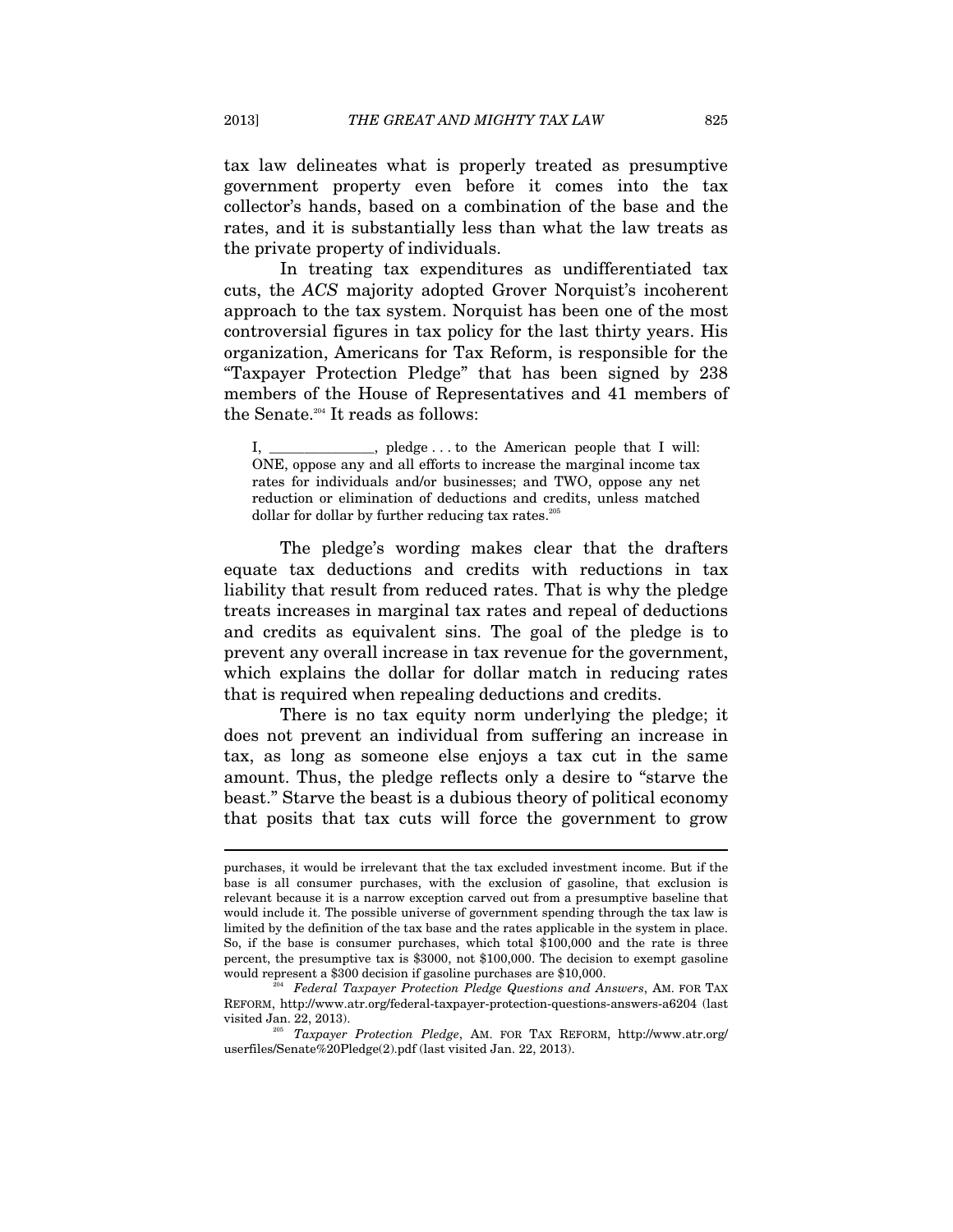tax law delineates what is properly treated as presumptive government property even before it comes into the tax collector's hands, based on a combination of the base and the rates, and it is substantially less than what the law treats as the private property of individuals.

In treating tax expenditures as undifferentiated tax cuts, the *ACS* majority adopted Grover Norquist's incoherent approach to the tax system. Norquist has been one of the most controversial figures in tax policy for the last thirty years. His organization, Americans for Tax Reform, is responsible for the "Taxpayer Protection Pledge" that has been signed by 238 members of the House of Representatives and 41 members of the Senate.204 It reads as follows:

The pledge's wording makes clear that the drafters equate tax deductions and credits with reductions in tax liability that result from reduced rates. That is why the pledge treats increases in marginal tax rates and repeal of deductions and credits as equivalent sins. The goal of the pledge is to prevent any overall increase in tax revenue for the government, which explains the dollar for dollar match in reducing rates that is required when repealing deductions and credits.

There is no tax equity norm underlying the pledge; it does not prevent an individual from suffering an increase in tax, as long as someone else enjoys a tax cut in the same amount. Thus, the pledge reflects only a desire to "starve the beast." Starve the beast is a dubious theory of political economy that posits that tax cuts will force the government to grow

 $\Box$ , pledge . . . to the American people that I will: ONE, oppose any and all efforts to increase the marginal income tax rates for individuals and/or businesses; and TWO, oppose any net reduction or elimination of deductions and credits, unless matched dollar for dollar by further reducing tax rates. $^{205}$ 

purchases, it would be irrelevant that the tax excluded investment income. But if the base is all consumer purchases, with the exclusion of gasoline, that exclusion is relevant because it is a narrow exception carved out from a presumptive baseline that would include it. The possible universe of government spending through the tax law is limited by the definition of the tax base and the rates applicable in the system in place. So, if the base is consumer purchases, which total \$100,000 and the rate is three percent, the presumptive tax is \$3000, not \$100,000. The decision to exempt gasoline would represent a \$300 decision if gasoline purchases are \$10,000. 204 *Federal Taxpayer Protection Pledge Questions and Answers*, AM. FOR TAX

REFORM, http://www.atr.org/federal-taxpayer-protection-questions-answers-a6204 (last

visited Jan. 22, 2013). 205 *Taxpayer Protection Pledge*, AM. FOR TAX REFORM, http://www.atr.org/ userfiles/Senate%20Pledge(2).pdf (last visited Jan. 22, 2013).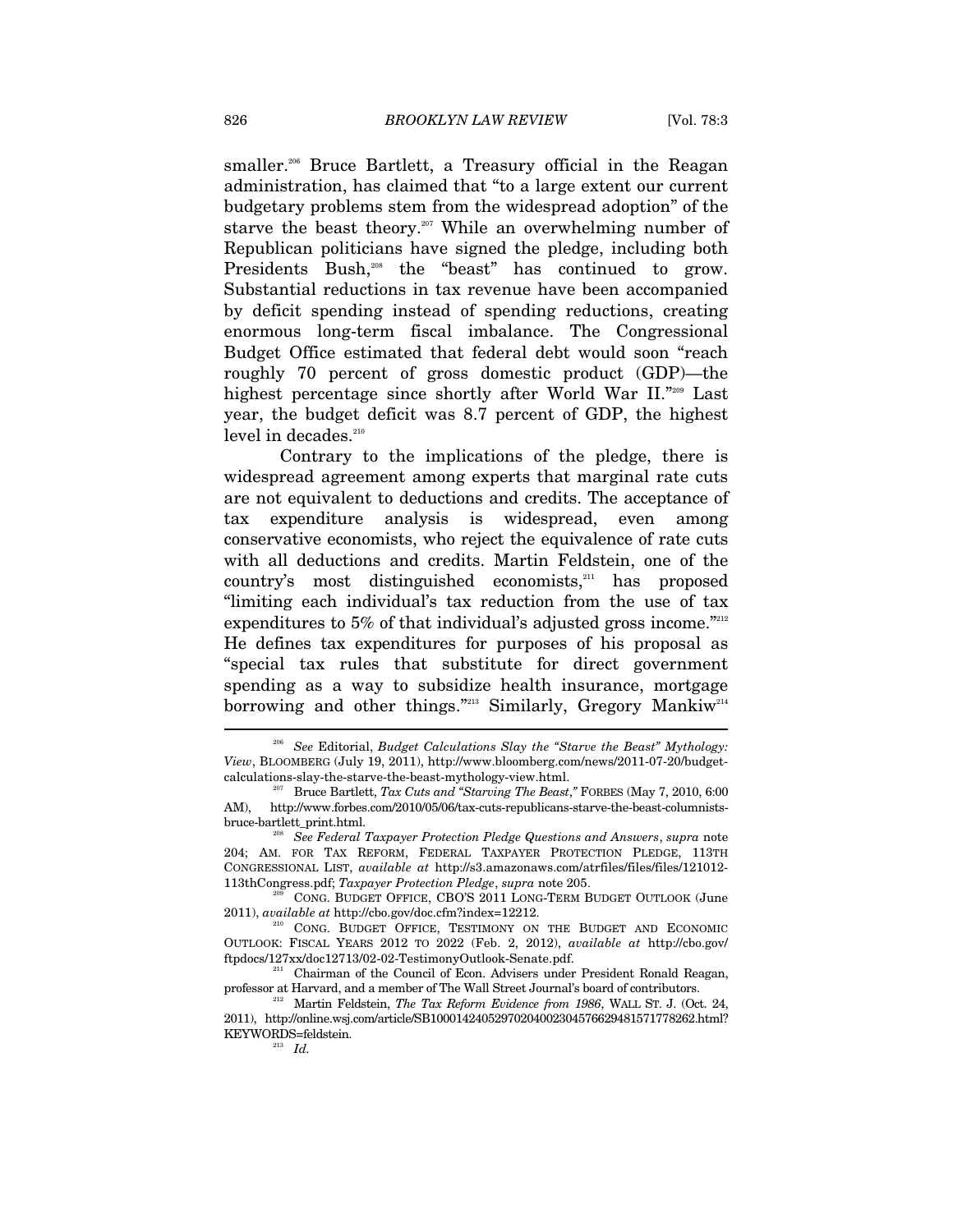smaller.<sup>206</sup> Bruce Bartlett, a Treasury official in the Reagan administration, has claimed that "to a large extent our current budgetary problems stem from the widespread adoption" of the starve the beast theory.<sup>207</sup> While an overwhelming number of Republican politicians have signed the pledge, including both Presidents Bush,<sup>208</sup> the "beast" has continued to grow. Substantial reductions in tax revenue have been accompanied by deficit spending instead of spending reductions, creating enormous long-term fiscal imbalance. The Congressional Budget Office estimated that federal debt would soon "reach roughly 70 percent of gross domestic product (GDP)—the highest percentage since shortly after World War II."209 Last year, the budget deficit was 8.7 percent of GDP, the highest level in decades.<sup>210</sup>

Contrary to the implications of the pledge, there is widespread agreement among experts that marginal rate cuts are not equivalent to deductions and credits. The acceptance of tax expenditure analysis is widespread, even among conservative economists, who reject the equivalence of rate cuts with all deductions and credits. Martin Feldstein, one of the country's most distinguished economists,<sup>211</sup> has proposed "limiting each individual's tax reduction from the use of tax expenditures to 5% of that individual's adjusted gross income. $\frac{m_{212}}{2}$ He defines tax expenditures for purposes of his proposal as "special tax rules that substitute for direct government spending as a way to subsidize health insurance, mortgage borrowing and other things."<sup>213</sup> Similarly, Gregory Mankiw<sup>214</sup>  $\overline{a}$ 

<sup>206</sup> *See* Editorial, *Budget Calculations Slay the "Starve the Beast" Mythology: View*, BLOOMBERG (July 19, 2011), http://www.bloomberg.com/news/2011-07-20/budget-

Bruce Bartlett, *Tax Cuts and "Starving The Beast,"* FORBES (May 7, 2010, 6:00 AM), http://www.forbes.com/2010/05/06/tax-cuts-republicans-starve-the-beast-columnists-bruce-bartlett\_print.html.

 $See Federal Taxpayer Protection$  *Pledge Questions and Answers*, *supra* note 204; AM. FOR TAX REFORM, FEDERAL TAXPAYER PROTECTION PLEDGE, 113TH CONGRESSIONAL LIST, *available at* http://s3.amazonaws.com/atrfiles/files/files/121012-

<sup>113</sup>thCongress.pdf; *Taxpayer Protection Pledge*, *supra* note 205. 209 CONG. BUDGET OFFICE, CBO'S <sup>2011</sup> LONG-TERM BUDGET OUTLOOK (June 2011), *available at* http://cbo.gov/doc.cfm?index=12212.<br><sup>210</sup> CONG. BUDGET OFFICE, TESTIMONY ON THE BUDGET AND ECONOMIC

OUTLOOK: FISCAL YEARS 2012 TO 2022 (Feb. 2, 2012), *available at* http://cbo.gov/

<sup>&</sup>lt;sup>211</sup> Chairman of the Council of Econ. Advisers under President Ronald Reagan, professor at Harvard, and a member of The Wall Street Journal's board of contributors. 212 Martin Feldstein, *The Tax Reform Evidence from 1986*, WALL ST. J. (Oct. 24,

<sup>2011),</sup> http://online.wsj.com/article/SB10001424052970204002304576629481571778262.html? KEYWORDS=feldstein.<br> $\frac{213}{Id}$ .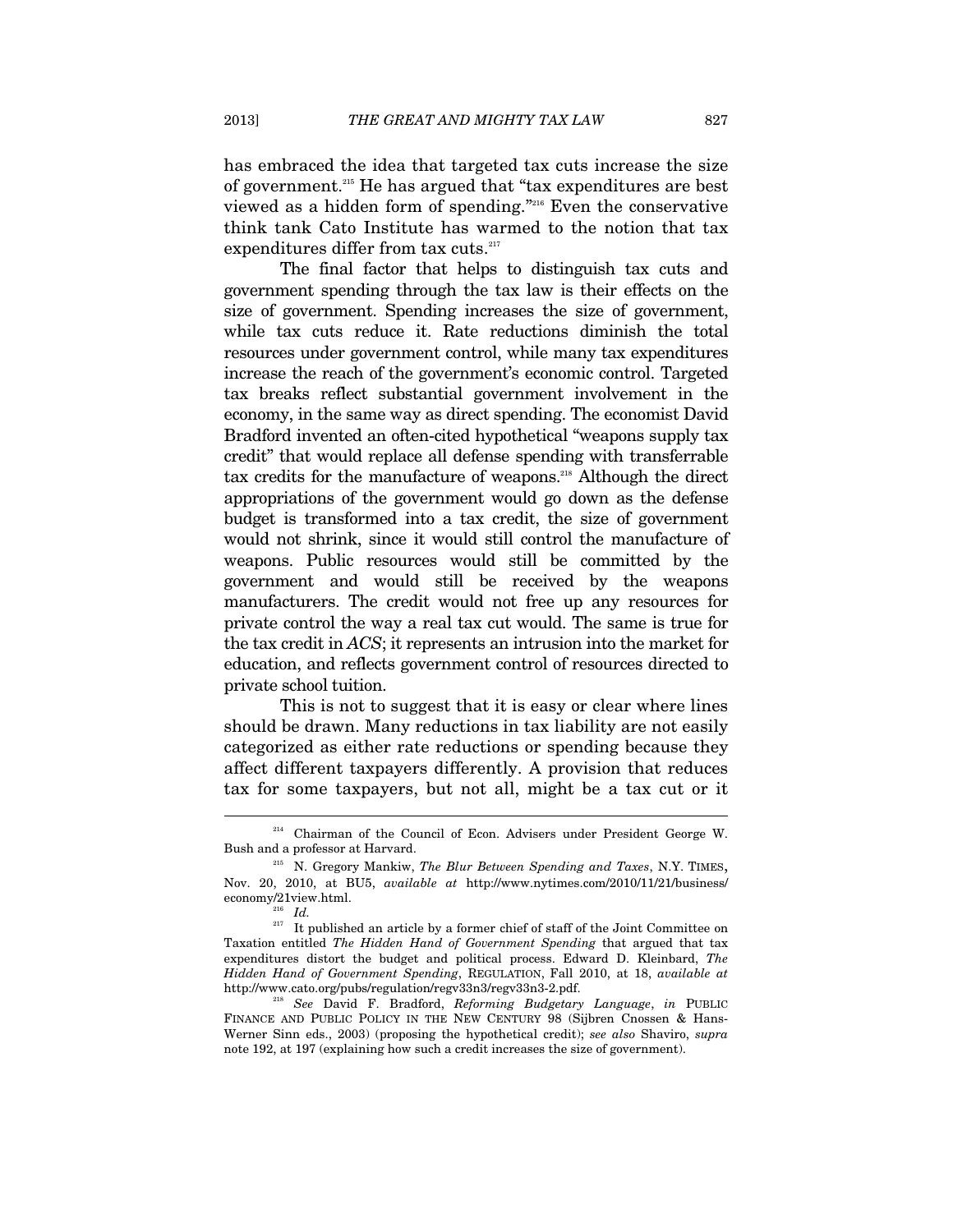has embraced the idea that targeted tax cuts increase the size of government.215 He has argued that "tax expenditures are best viewed as a hidden form of spending."216 Even the conservative think tank Cato Institute has warmed to the notion that tax expenditures differ from tax cuts.<sup>217</sup>

The final factor that helps to distinguish tax cuts and government spending through the tax law is their effects on the size of government. Spending increases the size of government, while tax cuts reduce it. Rate reductions diminish the total resources under government control, while many tax expenditures increase the reach of the government's economic control. Targeted tax breaks reflect substantial government involvement in the economy, in the same way as direct spending. The economist David Bradford invented an often-cited hypothetical "weapons supply tax credit" that would replace all defense spending with transferrable tax credits for the manufacture of weapons.218 Although the direct appropriations of the government would go down as the defense budget is transformed into a tax credit, the size of government would not shrink, since it would still control the manufacture of weapons. Public resources would still be committed by the government and would still be received by the weapons manufacturers. The credit would not free up any resources for private control the way a real tax cut would. The same is true for the tax credit in *ACS*; it represents an intrusion into the market for education, and reflects government control of resources directed to private school tuition.

This is not to suggest that it is easy or clear where lines should be drawn. Many reductions in tax liability are not easily categorized as either rate reductions or spending because they affect different taxpayers differently. A provision that reduces tax for some taxpayers, but not all, might be a tax cut or it

<sup>&</sup>lt;sup>214</sup> Chairman of the Council of Econ. Advisers under President George W. Bush and a professor at Harvard. 215 N. Gregory Mankiw, *The Blur Between Spending and Taxes*, N.Y. TIMES,

Nov. 20, 2010, at BU5, *available at* http://www.nytimes.com/2010/11/21/business/ economy/21view.html. 216 *Id.*

 $217$  It published an article by a former chief of staff of the Joint Committee on Taxation entitled *The Hidden Hand of Government Spending* that argued that tax expenditures distort the budget and political process. Edward D. Kleinbard, *The Hidden Hand of Government Spending*, REGULATION, Fall 2010, at 18, *available at*  http://www.cato.org/pubs/regulation/regv33n3/regv33n3-2.pdf. 218 *See* David F. Bradford, *Reforming Budgetary Language*, *in* PUBLIC

FINANCE AND PUBLIC POLICY IN THE NEW CENTURY 98 (Sijbren Cnossen & Hans-Werner Sinn eds., 2003) (proposing the hypothetical credit); *see also* Shaviro, *supra*  note 192, at 197 (explaining how such a credit increases the size of government).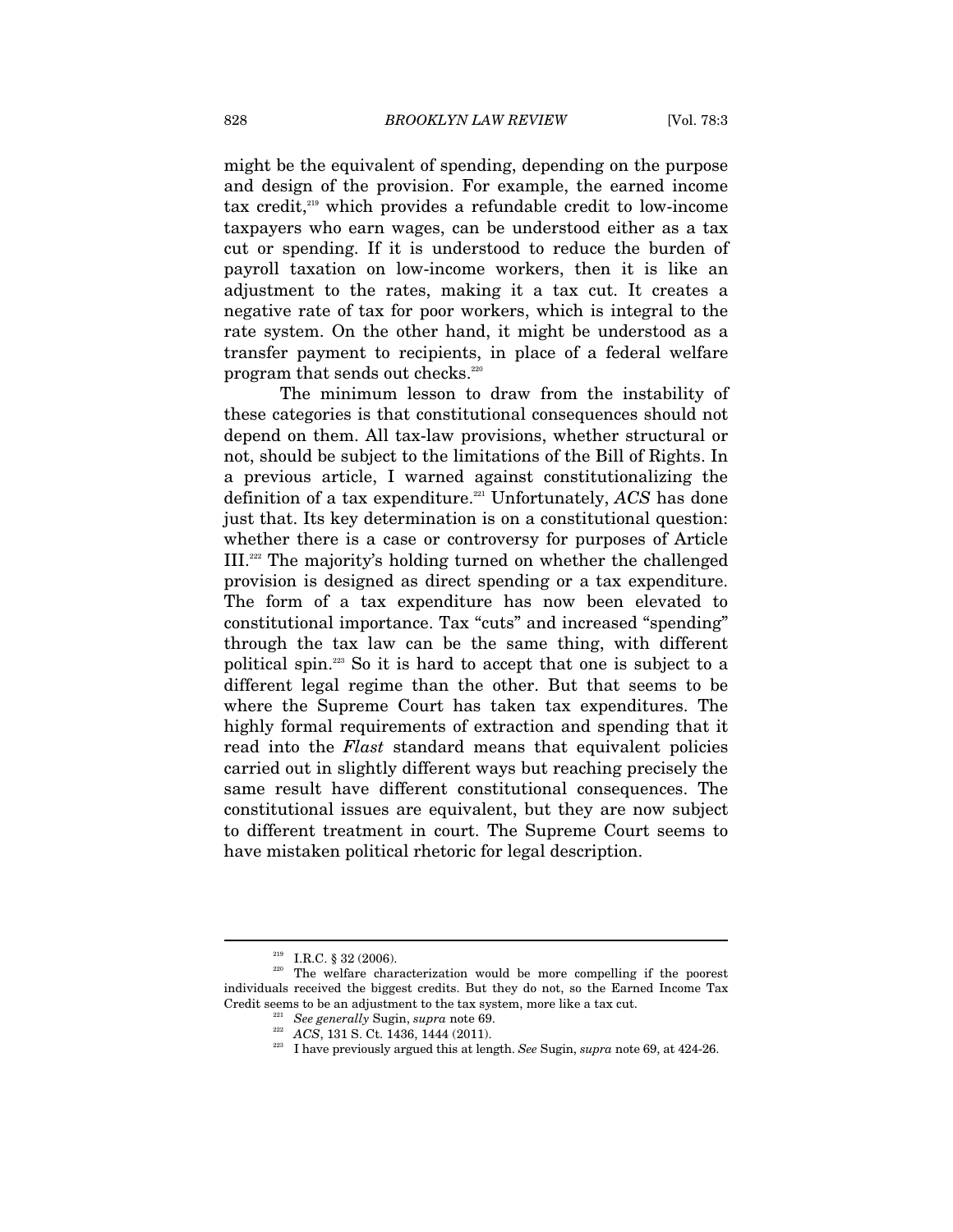might be the equivalent of spending, depending on the purpose and design of the provision. For example, the earned income tax credit,219 which provides a refundable credit to low-income taxpayers who earn wages, can be understood either as a tax cut or spending. If it is understood to reduce the burden of payroll taxation on low-income workers, then it is like an adjustment to the rates, making it a tax cut. It creates a negative rate of tax for poor workers, which is integral to the rate system. On the other hand, it might be understood as a transfer payment to recipients, in place of a federal welfare program that sends out checks.<sup>220</sup>

The minimum lesson to draw from the instability of these categories is that constitutional consequences should not depend on them. All tax-law provisions, whether structural or not, should be subject to the limitations of the Bill of Rights. In a previous article, I warned against constitutionalizing the definition of a tax expenditure.221 Unfortunately, *ACS* has done just that. Its key determination is on a constitutional question: whether there is a case or controversy for purposes of Article III.222 The majority's holding turned on whether the challenged provision is designed as direct spending or a tax expenditure. The form of a tax expenditure has now been elevated to constitutional importance. Tax "cuts" and increased "spending" through the tax law can be the same thing, with different political spin.223 So it is hard to accept that one is subject to a different legal regime than the other. But that seems to be where the Supreme Court has taken tax expenditures. The highly formal requirements of extraction and spending that it read into the *Flast* standard means that equivalent policies carried out in slightly different ways but reaching precisely the same result have different constitutional consequences. The constitutional issues are equivalent, but they are now subject to different treatment in court. The Supreme Court seems to have mistaken political rhetoric for legal description.

<sup>&</sup>lt;sup>219</sup> I.R.C. § 32 (2006). <sup>220</sup> The welfare characterization would be more compelling if the poorest individuals received the biggest credits. But they do not, so the Earned Income Tax Credit seems to be an adjustment to the tax system, more like a tax cut.

<sup>&</sup>lt;sup>221</sup> See generally Sugin, *supra* note 69.<br><sup>222</sup> ACS, 131 S. Ct. 1436, 1444 (2011).<br><sup>223</sup> I have previously argued this at length. *See* Sugin, *supra* note 69, at 424-26.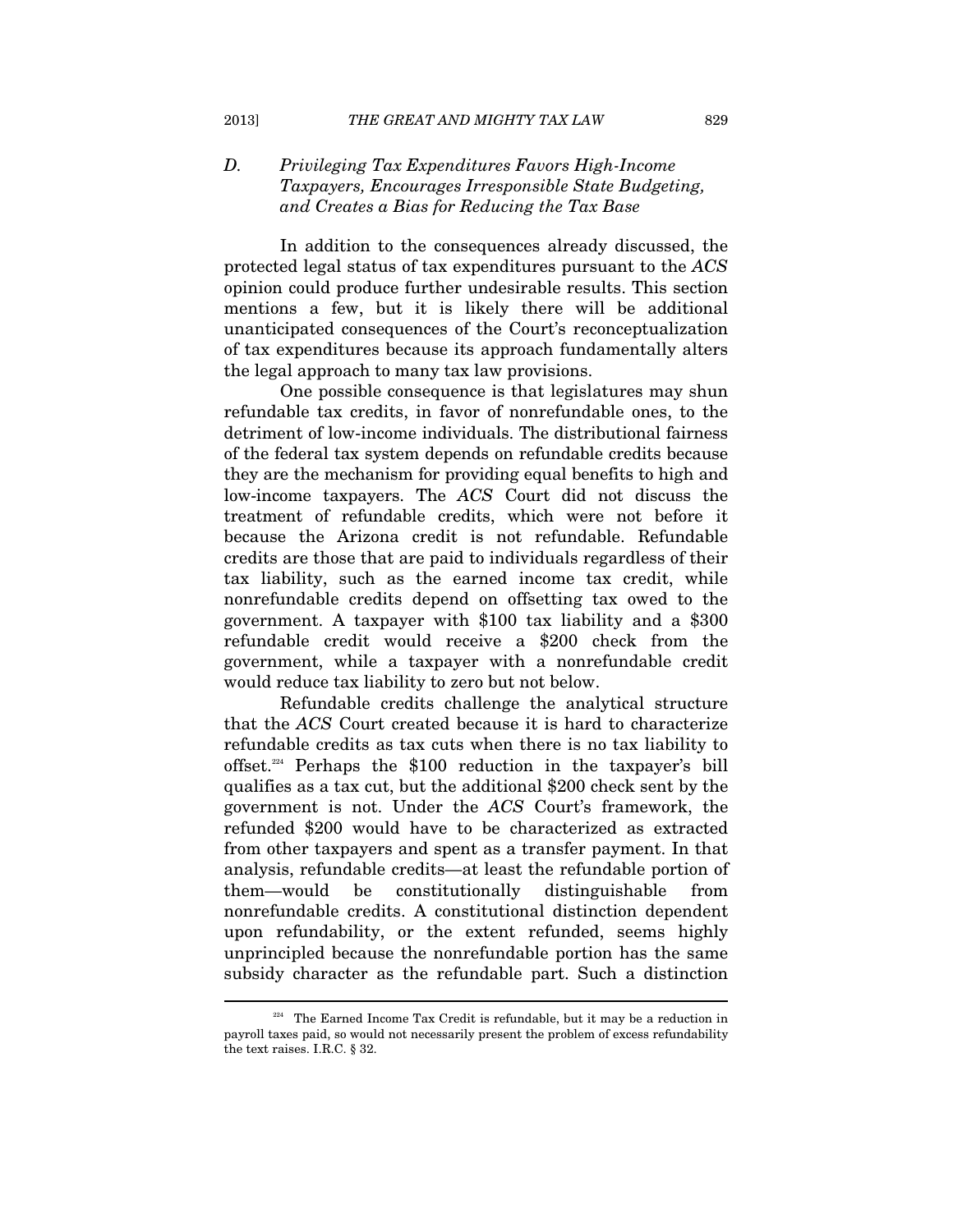# *D. Privileging Tax Expenditures Favors High-Income Taxpayers, Encourages Irresponsible State Budgeting, and Creates a Bias for Reducing the Tax Base*

In addition to the consequences already discussed, the protected legal status of tax expenditures pursuant to the *ACS* opinion could produce further undesirable results. This section mentions a few, but it is likely there will be additional unanticipated consequences of the Court's reconceptualization of tax expenditures because its approach fundamentally alters the legal approach to many tax law provisions.

One possible consequence is that legislatures may shun refundable tax credits, in favor of nonrefundable ones, to the detriment of low-income individuals. The distributional fairness of the federal tax system depends on refundable credits because they are the mechanism for providing equal benefits to high and low-income taxpayers. The *ACS* Court did not discuss the treatment of refundable credits, which were not before it because the Arizona credit is not refundable. Refundable credits are those that are paid to individuals regardless of their tax liability, such as the earned income tax credit, while nonrefundable credits depend on offsetting tax owed to the government. A taxpayer with \$100 tax liability and a \$300 refundable credit would receive a \$200 check from the government, while a taxpayer with a nonrefundable credit would reduce tax liability to zero but not below.

Refundable credits challenge the analytical structure that the *ACS* Court created because it is hard to characterize refundable credits as tax cuts when there is no tax liability to offset.224 Perhaps the \$100 reduction in the taxpayer's bill qualifies as a tax cut, but the additional \$200 check sent by the government is not. Under the *ACS* Court's framework, the refunded \$200 would have to be characterized as extracted from other taxpayers and spent as a transfer payment. In that analysis, refundable credits—at least the refundable portion of them—would be constitutionally distinguishable from nonrefundable credits. A constitutional distinction dependent upon refundability, or the extent refunded, seems highly unprincipled because the nonrefundable portion has the same subsidy character as the refundable part. Such a distinction

 $224$  The Earned Income Tax Credit is refundable, but it may be a reduction in payroll taxes paid, so would not necessarily present the problem of excess refundability the text raises. I.R.C. § 32.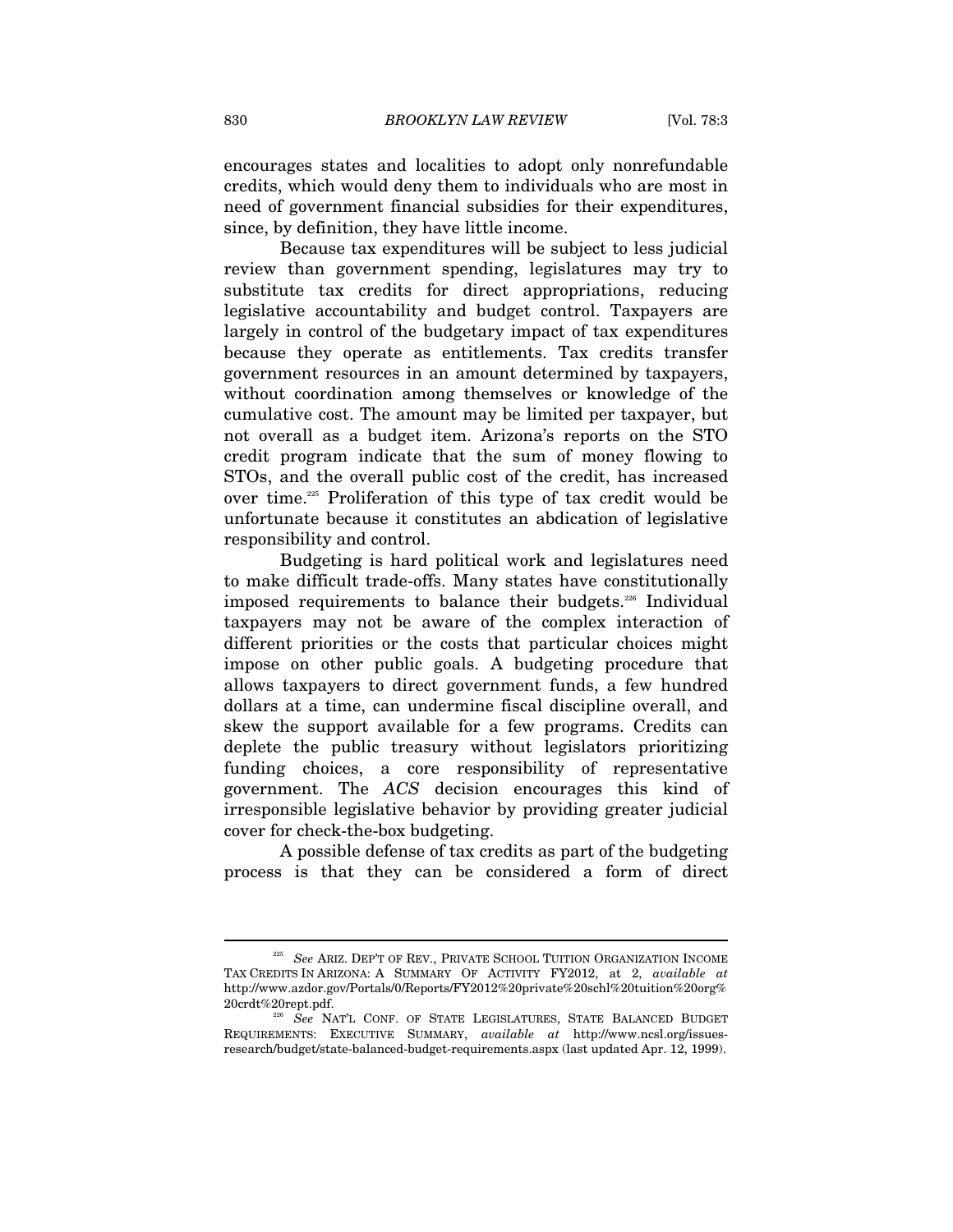encourages states and localities to adopt only nonrefundable credits, which would deny them to individuals who are most in need of government financial subsidies for their expenditures, since, by definition, they have little income.

Because tax expenditures will be subject to less judicial review than government spending, legislatures may try to substitute tax credits for direct appropriations, reducing legislative accountability and budget control. Taxpayers are largely in control of the budgetary impact of tax expenditures because they operate as entitlements. Tax credits transfer government resources in an amount determined by taxpayers, without coordination among themselves or knowledge of the cumulative cost. The amount may be limited per taxpayer, but not overall as a budget item. Arizona's reports on the STO credit program indicate that the sum of money flowing to STOs, and the overall public cost of the credit, has increased over time.225 Proliferation of this type of tax credit would be unfortunate because it constitutes an abdication of legislative responsibility and control.

Budgeting is hard political work and legislatures need to make difficult trade-offs. Many states have constitutionally imposed requirements to balance their budgets.226 Individual taxpayers may not be aware of the complex interaction of different priorities or the costs that particular choices might impose on other public goals. A budgeting procedure that allows taxpayers to direct government funds, a few hundred dollars at a time, can undermine fiscal discipline overall, and skew the support available for a few programs. Credits can deplete the public treasury without legislators prioritizing funding choices, a core responsibility of representative government. The *ACS* decision encourages this kind of irresponsible legislative behavior by providing greater judicial cover for check-the-box budgeting.

A possible defense of tax credits as part of the budgeting process is that they can be considered a form of direct

<sup>225</sup> *See* ARIZ. DEP'T OF REV., PRIVATE SCHOOL TUITION ORGANIZATION INCOME TAX CREDITS IN ARIZONA: A SUMMARY OF ACTIVITY FY2012, at 2, *available at*  http://www.azdor.gov/Portals/0/Reports/FY2012%20private%20schl%20tuition%20org% 20crdt%20rept.pdf. 226 *See* NAT'L CONF. OF STATE LEGISLATURES, STATE BALANCED BUDGET

REQUIREMENTS: EXECUTIVE SUMMARY, *available at* http://www.ncsl.org/issuesresearch/budget/state-balanced-budget-requirements.aspx (last updated Apr. 12, 1999).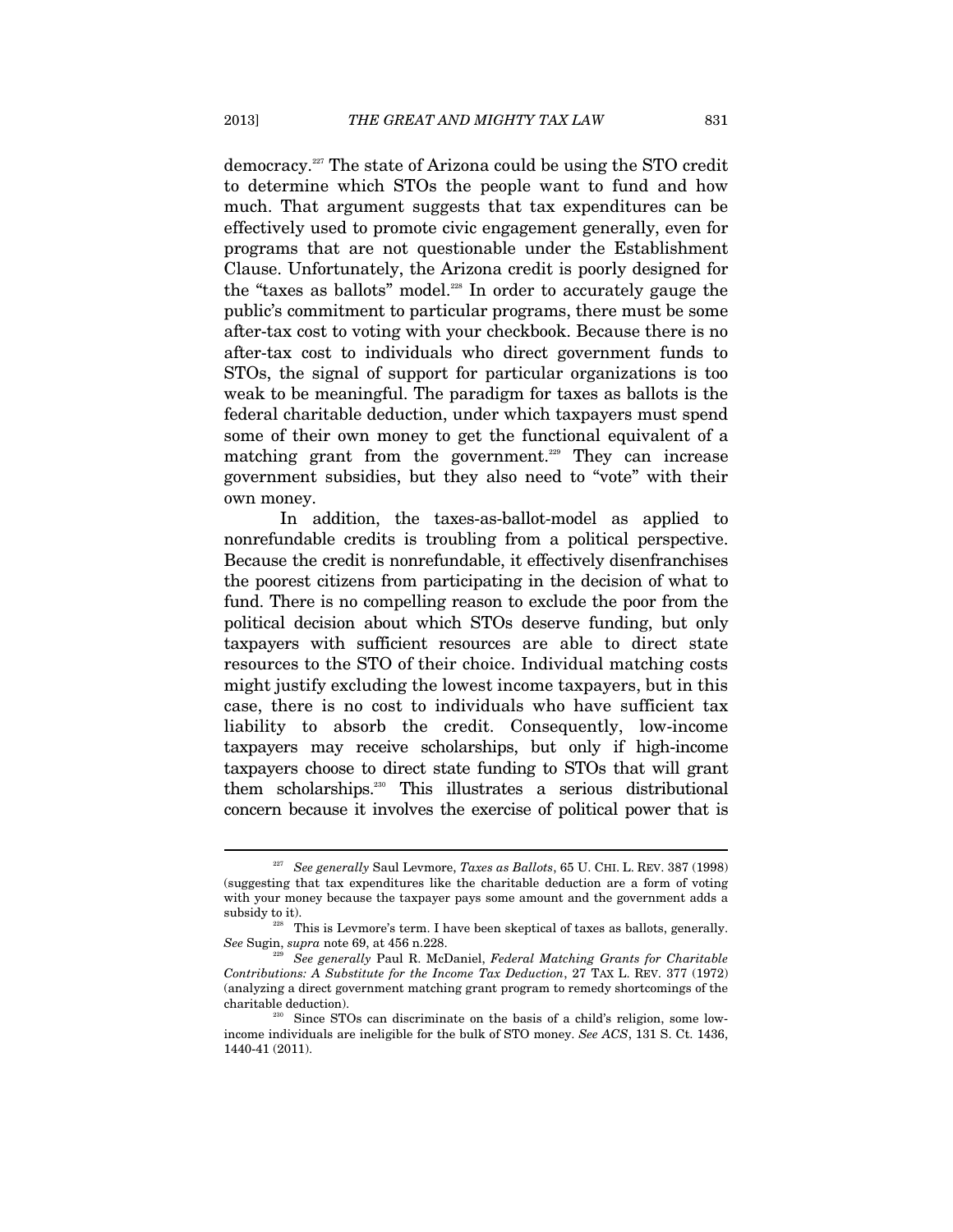democracy.227 The state of Arizona could be using the STO credit to determine which STOs the people want to fund and how much. That argument suggests that tax expenditures can be effectively used to promote civic engagement generally, even for programs that are not questionable under the Establishment Clause. Unfortunately, the Arizona credit is poorly designed for the "taxes as ballots" model.<sup>228</sup> In order to accurately gauge the public's commitment to particular programs, there must be some after-tax cost to voting with your checkbook. Because there is no after-tax cost to individuals who direct government funds to STOs, the signal of support for particular organizations is too weak to be meaningful. The paradigm for taxes as ballots is the federal charitable deduction, under which taxpayers must spend some of their own money to get the functional equivalent of a matching grant from the government.<sup>229</sup> They can increase government subsidies, but they also need to "vote" with their own money.

In addition, the taxes-as-ballot-model as applied to nonrefundable credits is troubling from a political perspective. Because the credit is nonrefundable, it effectively disenfranchises the poorest citizens from participating in the decision of what to fund. There is no compelling reason to exclude the poor from the political decision about which STOs deserve funding, but only taxpayers with sufficient resources are able to direct state resources to the STO of their choice. Individual matching costs might justify excluding the lowest income taxpayers, but in this case, there is no cost to individuals who have sufficient tax liability to absorb the credit. Consequently, low-income taxpayers may receive scholarships, but only if high-income taxpayers choose to direct state funding to STOs that will grant them scholarships.230 This illustrates a serious distributional concern because it involves the exercise of political power that is

<sup>227</sup> *See generally* Saul Levmore, *Taxes as Ballots*, 65 U. CHI. L. REV. 387 (1998) (suggesting that tax expenditures like the charitable deduction are a form of voting with your money because the taxpayer pays some amount and the government adds a subsidy to it).

<sup>&</sup>lt;sup>228</sup> This is Levmore's term. I have been skeptical of taxes as ballots, generally.<br>See Sugin, *supra* note 69, at 456 n.228.

<sup>&</sup>lt;sup>229</sup> See generally Paul R. McDaniel, *Federal Matching Grants for Charitable Contributions: A Substitute for the Income Tax Deduction*, 27 TAX L. REV. 377 (1972) (analyzing a direct government matching grant program to remedy shortcomings of the charitable deduction).

Since STOs can discriminate on the basis of a child's religion, some lowincome individuals are ineligible for the bulk of STO money. *See ACS*, 131 S. Ct. 1436, 1440-41 (2011).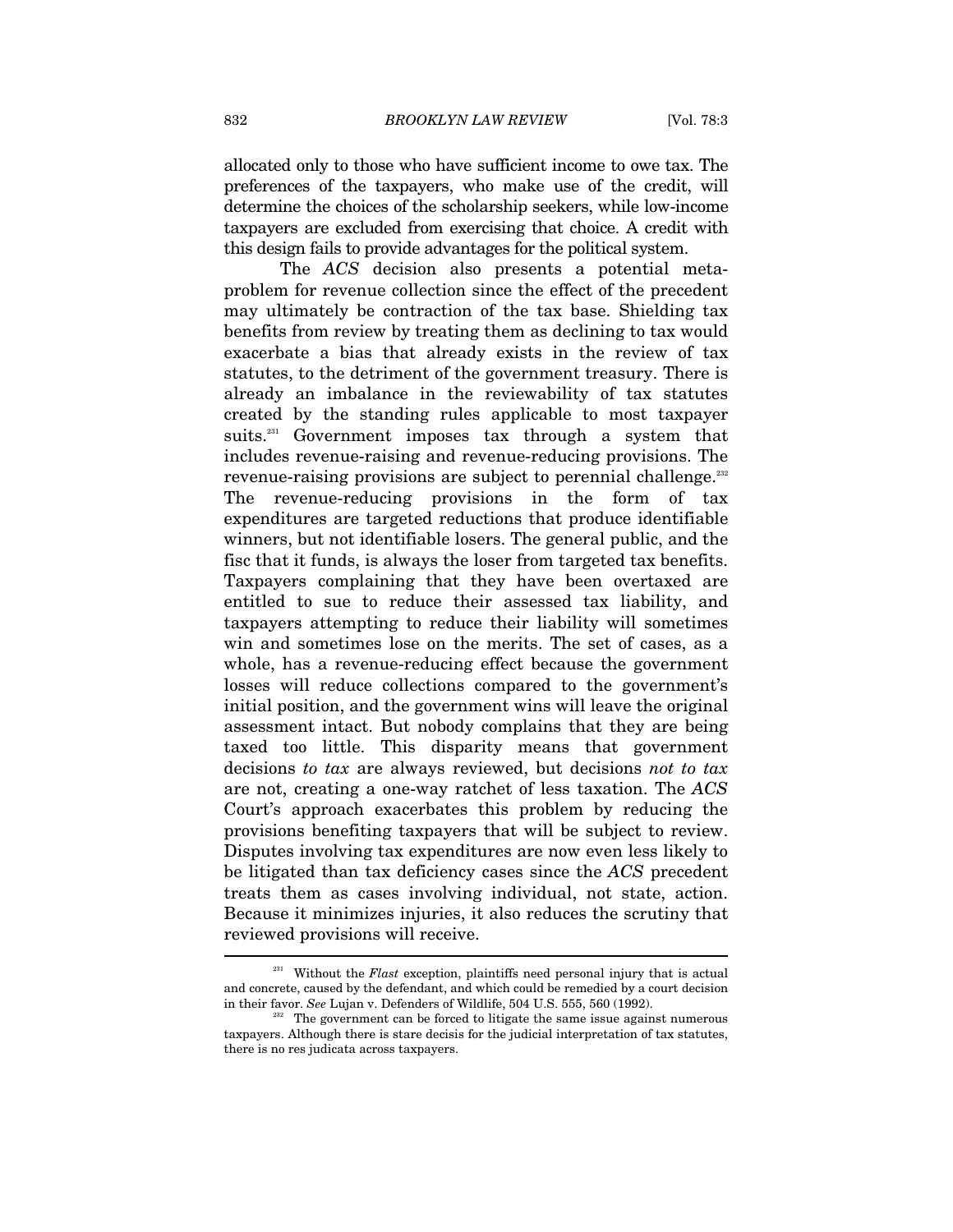allocated only to those who have sufficient income to owe tax. The preferences of the taxpayers, who make use of the credit, will determine the choices of the scholarship seekers, while low-income taxpayers are excluded from exercising that choice. A credit with this design fails to provide advantages for the political system.

The *ACS* decision also presents a potential metaproblem for revenue collection since the effect of the precedent may ultimately be contraction of the tax base. Shielding tax benefits from review by treating them as declining to tax would exacerbate a bias that already exists in the review of tax statutes, to the detriment of the government treasury. There is already an imbalance in the reviewability of tax statutes created by the standing rules applicable to most taxpayer suits.<sup>231</sup> Government imposes tax through a system that includes revenue-raising and revenue-reducing provisions. The revenue-raising provisions are subject to perennial challenge.<sup>232</sup> The revenue-reducing provisions in the form of tax expenditures are targeted reductions that produce identifiable winners, but not identifiable losers. The general public, and the fisc that it funds, is always the loser from targeted tax benefits. Taxpayers complaining that they have been overtaxed are entitled to sue to reduce their assessed tax liability, and taxpayers attempting to reduce their liability will sometimes win and sometimes lose on the merits. The set of cases, as a whole, has a revenue-reducing effect because the government losses will reduce collections compared to the government's initial position, and the government wins will leave the original assessment intact. But nobody complains that they are being taxed too little. This disparity means that government decisions *to tax* are always reviewed, but decisions *not to tax* are not, creating a one-way ratchet of less taxation. The *ACS* Court's approach exacerbates this problem by reducing the provisions benefiting taxpayers that will be subject to review. Disputes involving tax expenditures are now even less likely to be litigated than tax deficiency cases since the *ACS* precedent treats them as cases involving individual, not state, action. Because it minimizes injuries, it also reduces the scrutiny that reviewed provisions will receive. l

<sup>&</sup>lt;sup>231</sup> Without the *Flast* exception, plaintiffs need personal injury that is actual and concrete, caused by the defendant, and which could be remedied by a court decision in their favor. *See* Lujan v. Defenders of Wildlife, 504 U.S. 555, 560 (1992).

The government can be forced to litigate the same issue against numerous taxpayers. Although there is stare decisis for the judicial interpretation of tax statutes, there is no res judicata across taxpayers.